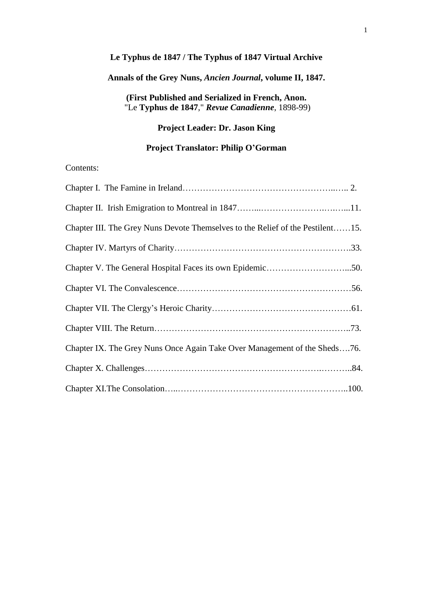# **Le Typhus de 1847 / The Typhus of 1847 Virtual Archive**

# **Annals of the Grey Nuns,** *Ancien Journal***, volume II, 1847.**

# **(First Published and Serialized in French, Anon.** "Le **Typhus de 1847**," *Revue Canadienne*, 1898-99)

# **Project Leader: Dr. Jason King**

# **Project Translator: Philip O'Gorman**

# Contents:

| Chapter III. The Grey Nuns Devote Themselves to the Relief of the Pestilent15. |  |
|--------------------------------------------------------------------------------|--|
|                                                                                |  |
|                                                                                |  |
|                                                                                |  |
|                                                                                |  |
|                                                                                |  |
| Chapter IX. The Grey Nuns Once Again Take Over Management of the Sheds76.      |  |
|                                                                                |  |
|                                                                                |  |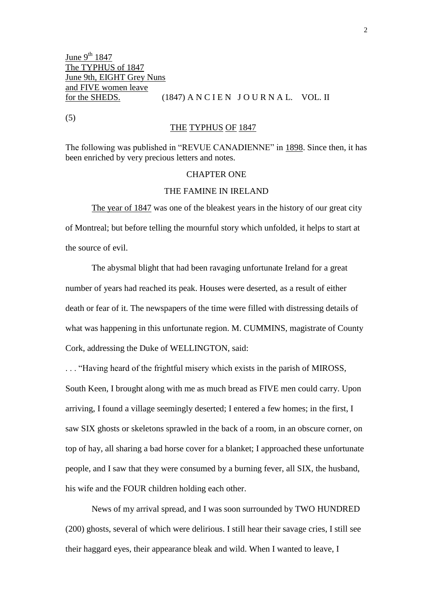(5)

### THE TYPHUS OF 1847

The following was published in "REVUE CANADIENNE" in 1898. Since then, it has been enriched by very precious letters and notes.

#### CHAPTER ONE

### THE FAMINE IN IRELAND

The year of 1847 was one of the bleakest years in the history of our great city of Montreal; but before telling the mournful story which unfolded, it helps to start at the source of evil.

The abysmal blight that had been ravaging unfortunate Ireland for a great number of years had reached its peak. Houses were deserted, as a result of either death or fear of it. The newspapers of the time were filled with distressing details of what was happening in this unfortunate region. M. CUMMINS, magistrate of County Cork, addressing the Duke of WELLINGTON, said:

. . . "Having heard of the frightful misery which exists in the parish of MIROSS, South Keen, I brought along with me as much bread as FIVE men could carry. Upon arriving, I found a village seemingly deserted; I entered a few homes; in the first, I saw SIX ghosts or skeletons sprawled in the back of a room, in an obscure corner, on top of hay, all sharing a bad horse cover for a blanket; I approached these unfortunate people, and I saw that they were consumed by a burning fever, all SIX, the husband, his wife and the FOUR children holding each other.

News of my arrival spread, and I was soon surrounded by TWO HUNDRED (200) ghosts, several of which were delirious. I still hear their savage cries, I still see their haggard eyes, their appearance bleak and wild. When I wanted to leave, I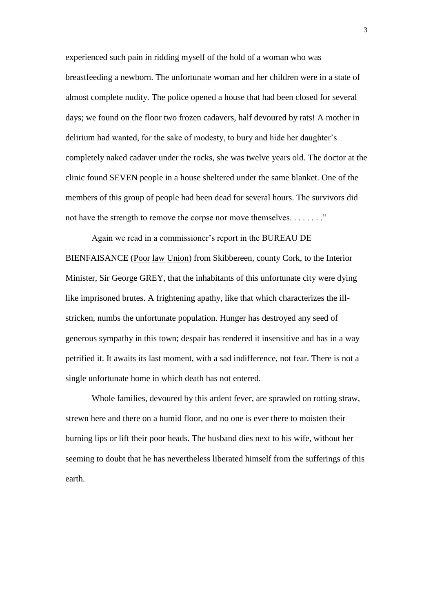experienced such pain in ridding myself of the hold of a woman who was breastfeeding a newborn. The unfortunate woman and her children were in a state of almost complete nudity. The police opened a house that had been closed for several days; we found on the floor two frozen cadavers, half devoured by rats! A mother in delirium had wanted, for the sake of modesty, to bury and hide her daughter's completely naked cadaver under the rocks, she was twelve years old. The doctor at the clinic found SEVEN people in a house sheltered under the same blanket. One of the members of this group of people had been dead for several hours. The survivors did not have the strength to remove the corpse nor move themselves. . . . . . . . . "

Again we read in a commissioner's report in the BUREAU DE BIENFAISANCE (Poor law Union) from Skibbereen, county Cork, to the Interior Minister, Sir George GREY, that the inhabitants of this unfortunate city were dying like imprisoned brutes. A frightening apathy, like that which characterizes the illstricken, numbs the unfortunate population. Hunger has destroyed any seed of generous sympathy in this town; despair has rendered it insensitive and has in a way petrified it. It awaits its last moment, with a sad indifference, not fear. There is not a single unfortunate home in which death has not entered.

Whole families, devoured by this ardent fever, are sprawled on rotting straw, strewn here and there on a humid floor, and no one is ever there to moisten their burning lips or lift their poor heads. The husband dies next to his wife, without her seeming to doubt that he has nevertheless liberated himself from the sufferings of this earth.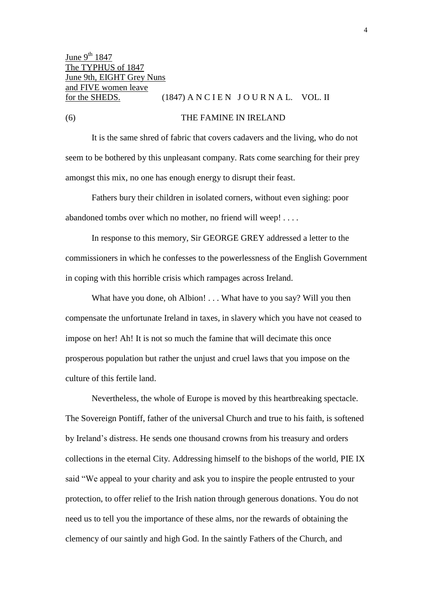# (6) THE FAMINE IN IRELAND

It is the same shred of fabric that covers cadavers and the living, who do not seem to be bothered by this unpleasant company. Rats come searching for their prey amongst this mix, no one has enough energy to disrupt their feast.

Fathers bury their children in isolated corners, without even sighing: poor abandoned tombs over which no mother, no friend will weep! . . . .

In response to this memory, Sir GEORGE GREY addressed a letter to the commissioners in which he confesses to the powerlessness of the English Government in coping with this horrible crisis which rampages across Ireland.

What have you done, oh Albion! . . . What have to you say? Will you then compensate the unfortunate Ireland in taxes, in slavery which you have not ceased to impose on her! Ah! It is not so much the famine that will decimate this once prosperous population but rather the unjust and cruel laws that you impose on the culture of this fertile land.

Nevertheless, the whole of Europe is moved by this heartbreaking spectacle. The Sovereign Pontiff, father of the universal Church and true to his faith, is softened by Ireland's distress. He sends one thousand crowns from his treasury and orders collections in the eternal City. Addressing himself to the bishops of the world, PIE IX said "We appeal to your charity and ask you to inspire the people entrusted to your protection, to offer relief to the Irish nation through generous donations. You do not need us to tell you the importance of these alms, nor the rewards of obtaining the clemency of our saintly and high God. In the saintly Fathers of the Church, and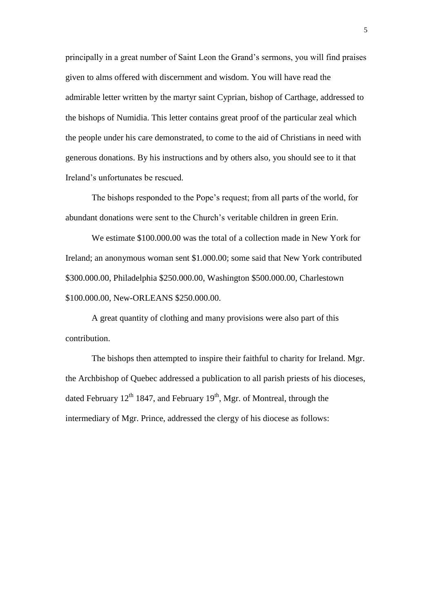principally in a great number of Saint Leon the Grand's sermons, you will find praises given to alms offered with discernment and wisdom. You will have read the admirable letter written by the martyr saint Cyprian, bishop of Carthage, addressed to the bishops of Numidia. This letter contains great proof of the particular zeal which the people under his care demonstrated, to come to the aid of Christians in need with generous donations. By his instructions and by others also, you should see to it that Ireland's unfortunates be rescued.

The bishops responded to the Pope's request; from all parts of the world, for abundant donations were sent to the Church's veritable children in green Erin.

We estimate \$100.000.00 was the total of a collection made in New York for Ireland; an anonymous woman sent \$1.000.00; some said that New York contributed \$300.000.00, Philadelphia \$250.000.00, Washington \$500.000.00, Charlestown \$100.000.00, New-ORLEANS \$250.000.00.

A great quantity of clothing and many provisions were also part of this contribution.

The bishops then attempted to inspire their faithful to charity for Ireland. Mgr. the Archbishop of Quebec addressed a publication to all parish priests of his dioceses, dated February  $12^{th}$  1847, and February  $19^{th}$ , Mgr. of Montreal, through the intermediary of Mgr. Prince, addressed the clergy of his diocese as follows: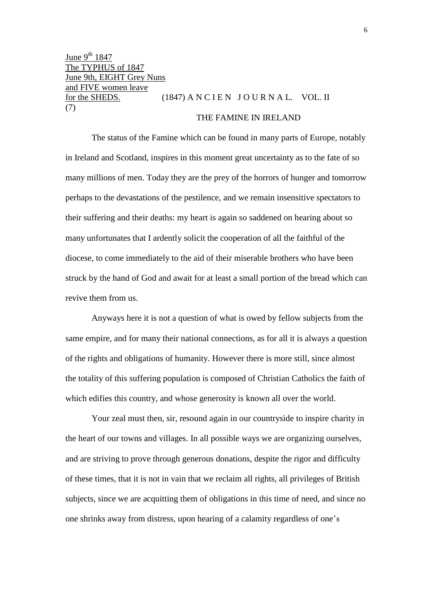June 9<sup>th</sup> 1847 The TYPHUS of 1847 June 9th, EIGHT Grey Nuns and FIVE women leave for the SHEDS.  $(1847)$  A N C I E N J O U R N A L. VOL. II (7)

# THE FAMINE IN IRELAND

The status of the Famine which can be found in many parts of Europe, notably in Ireland and Scotland, inspires in this moment great uncertainty as to the fate of so many millions of men. Today they are the prey of the horrors of hunger and tomorrow perhaps to the devastations of the pestilence, and we remain insensitive spectators to their suffering and their deaths: my heart is again so saddened on hearing about so many unfortunates that I ardently solicit the cooperation of all the faithful of the diocese, to come immediately to the aid of their miserable brothers who have been struck by the hand of God and await for at least a small portion of the bread which can revive them from us.

Anyways here it is not a question of what is owed by fellow subjects from the same empire, and for many their national connections, as for all it is always a question of the rights and obligations of humanity. However there is more still, since almost the totality of this suffering population is composed of Christian Catholics the faith of which edifies this country, and whose generosity is known all over the world.

Your zeal must then, sir, resound again in our countryside to inspire charity in the heart of our towns and villages. In all possible ways we are organizing ourselves, and are striving to prove through generous donations, despite the rigor and difficulty of these times, that it is not in vain that we reclaim all rights, all privileges of British subjects, since we are acquitting them of obligations in this time of need, and since no one shrinks away from distress, upon hearing of a calamity regardless of one's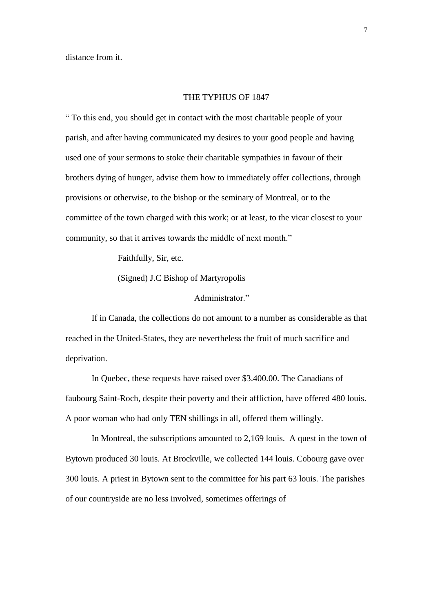distance from it.

#### THE TYPHUS OF 1847

" To this end, you should get in contact with the most charitable people of your parish, and after having communicated my desires to your good people and having used one of your sermons to stoke their charitable sympathies in favour of their brothers dying of hunger, advise them how to immediately offer collections, through provisions or otherwise, to the bishop or the seminary of Montreal, or to the committee of the town charged with this work; or at least, to the vicar closest to your community, so that it arrives towards the middle of next month."

Faithfully, Sir, etc.

(Signed) J.C Bishop of Martyropolis

Administrator<sup>"</sup>

If in Canada, the collections do not amount to a number as considerable as that reached in the United-States, they are nevertheless the fruit of much sacrifice and deprivation.

In Quebec, these requests have raised over \$3.400.00. The Canadians of faubourg Saint-Roch, despite their poverty and their affliction, have offered 480 louis. A poor woman who had only TEN shillings in all, offered them willingly.

In Montreal, the subscriptions amounted to 2,169 louis. A quest in the town of Bytown produced 30 louis. At Brockville, we collected 144 louis. Cobourg gave over 300 louis. A priest in Bytown sent to the committee for his part 63 louis. The parishes of our countryside are no less involved, sometimes offerings of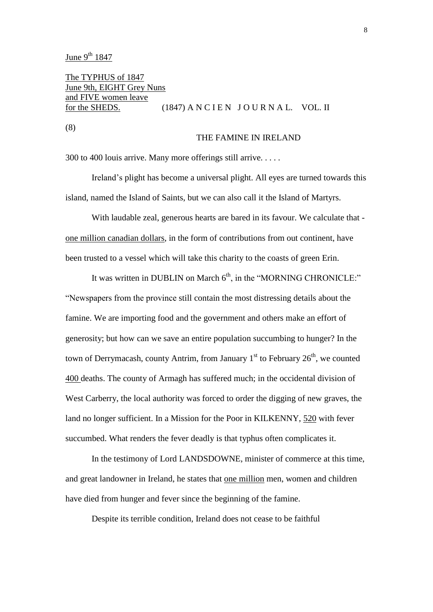June  $9^{th}$  1847

The TYPHUS of 1847 June 9th, EIGHT Grey Nuns and FIVE women leave for the SHEDS. (1847) A N C I E N  $J$  O U R N A L. VOL. II

(8)

#### THE FAMINE IN IRELAND

300 to 400 louis arrive. Many more offerings still arrive. . . . .

Ireland's plight has become a universal plight. All eyes are turned towards this island, named the Island of Saints, but we can also call it the Island of Martyrs.

With laudable zeal, generous hearts are bared in its favour. We calculate that one million canadian dollars, in the form of contributions from out continent, have been trusted to a vessel which will take this charity to the coasts of green Erin.

It was written in DUBLIN on March  $6<sup>th</sup>$ , in the "MORNING CHRONICLE:" "Newspapers from the province still contain the most distressing details about the famine. We are importing food and the government and others make an effort of generosity; but how can we save an entire population succumbing to hunger? In the town of Derrymacash, county Antrim, from January  $1<sup>st</sup>$  to February  $26<sup>th</sup>$ , we counted 400 deaths. The county of Armagh has suffered much; in the occidental division of West Carberry, the local authority was forced to order the digging of new graves, the land no longer sufficient. In a Mission for the Poor in KILKENNY, 520 with fever succumbed. What renders the fever deadly is that typhus often complicates it.

In the testimony of Lord LANDSDOWNE, minister of commerce at this time, and great landowner in Ireland, he states that one million men, women and children have died from hunger and fever since the beginning of the famine.

Despite its terrible condition, Ireland does not cease to be faithful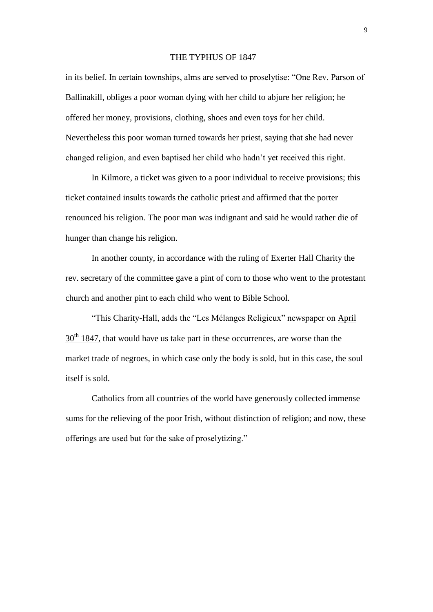#### THE TYPHUS OF 1847

in its belief. In certain townships, alms are served to proselytise: "One Rev. Parson of Ballinakill, obliges a poor woman dying with her child to abjure her religion; he offered her money, provisions, clothing, shoes and even toys for her child. Nevertheless this poor woman turned towards her priest, saying that she had never changed religion, and even baptised her child who hadn't yet received this right.

In Kilmore, a ticket was given to a poor individual to receive provisions; this ticket contained insults towards the catholic priest and affirmed that the porter renounced his religion. The poor man was indignant and said he would rather die of hunger than change his religion.

In another county, in accordance with the ruling of Exerter Hall Charity the rev. secretary of the committee gave a pint of corn to those who went to the protestant church and another pint to each child who went to Bible School.

"This Charity-Hall, adds the "Les Mélanges Religieux" newspaper on April  $30<sup>th</sup>$  1847, that would have us take part in these occurrences, are worse than the market trade of negroes, in which case only the body is sold, but in this case, the soul itself is sold.

Catholics from all countries of the world have generously collected immense sums for the relieving of the poor Irish, without distinction of religion; and now, these offerings are used but for the sake of proselytizing."

9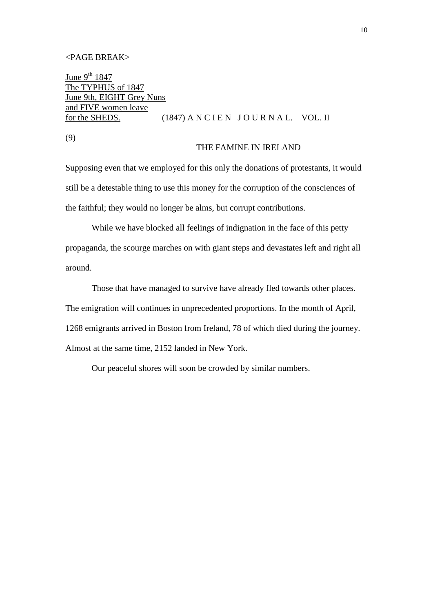#### <PAGE BREAK>

June  $9^{th}$  1847 The TYPHUS of 1847 June 9th, EIGHT Grey Nuns and FIVE women leave for the SHEDS. (1847) A N C I E N  $J$  O U R N A L. VOL. II

(9)

### THE FAMINE IN IRELAND

Supposing even that we employed for this only the donations of protestants, it would still be a detestable thing to use this money for the corruption of the consciences of the faithful; they would no longer be alms, but corrupt contributions.

While we have blocked all feelings of indignation in the face of this petty propaganda, the scourge marches on with giant steps and devastates left and right all around.

Those that have managed to survive have already fled towards other places. The emigration will continues in unprecedented proportions. In the month of April, 1268 emigrants arrived in Boston from Ireland, 78 of which died during the journey. Almost at the same time, 2152 landed in New York.

Our peaceful shores will soon be crowded by similar numbers.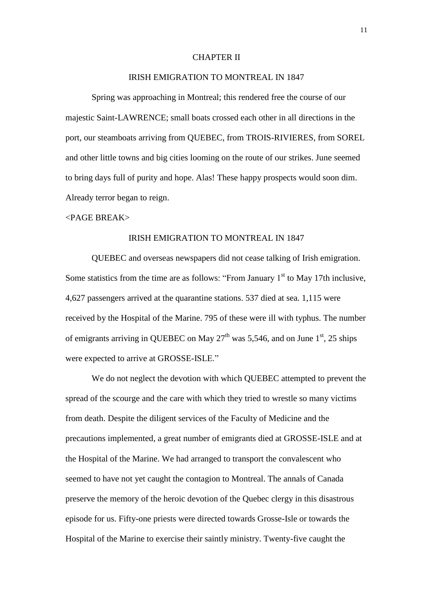#### CHAPTER II

# IRISH EMIGRATION TO MONTREAL IN 1847

Spring was approaching in Montreal; this rendered free the course of our majestic Saint-LAWRENCE; small boats crossed each other in all directions in the port, our steamboats arriving from QUEBEC, from TROIS-RIVIERES, from SOREL and other little towns and big cities looming on the route of our strikes. June seemed to bring days full of purity and hope. Alas! These happy prospects would soon dim. Already terror began to reign.

#### <PAGE BREAK>

#### IRISH EMIGRATION TO MONTREAL IN 1847

QUEBEC and overseas newspapers did not cease talking of Irish emigration. Some statistics from the time are as follows: "From January  $1<sup>st</sup>$  to May 17th inclusive, 4,627 passengers arrived at the quarantine stations. 537 died at sea. 1,115 were received by the Hospital of the Marine. 795 of these were ill with typhus. The number of emigrants arriving in OUEBEC on May  $27<sup>th</sup>$  was 5,546, and on June 1<sup>st</sup>, 25 ships were expected to arrive at GROSSE-ISLE."

We do not neglect the devotion with which QUEBEC attempted to prevent the spread of the scourge and the care with which they tried to wrestle so many victims from death. Despite the diligent services of the Faculty of Medicine and the precautions implemented, a great number of emigrants died at GROSSE-ISLE and at the Hospital of the Marine. We had arranged to transport the convalescent who seemed to have not yet caught the contagion to Montreal. The annals of Canada preserve the memory of the heroic devotion of the Quebec clergy in this disastrous episode for us. Fifty-one priests were directed towards Grosse-Isle or towards the Hospital of the Marine to exercise their saintly ministry. Twenty-five caught the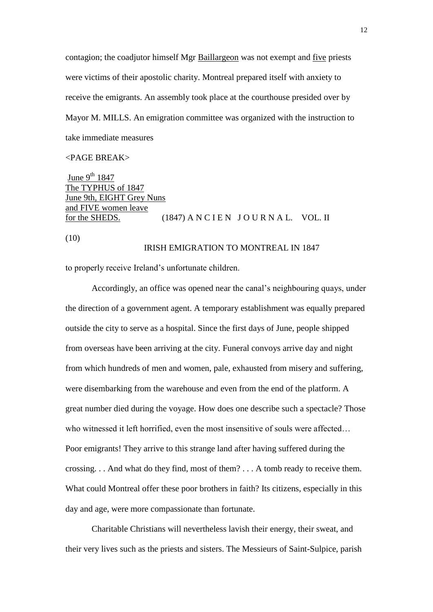contagion; the coadjutor himself Mgr Baillargeon was not exempt and five priests were victims of their apostolic charity. Montreal prepared itself with anxiety to receive the emigrants. An assembly took place at the courthouse presided over by Mayor M. MILLS. An emigration committee was organized with the instruction to take immediate measures

# <PAGE BREAK>

June  $9^{th}$  1847 The TYPHUS of 1847 June 9th, EIGHT Grey Nuns and FIVE women leave for the SHEDS. (1847) A N C I E N  $J$  O U R N A L. VOL. II

(10)

### IRISH EMIGRATION TO MONTREAL IN 1847

to properly receive Ireland's unfortunate children.

Accordingly, an office was opened near the canal's neighbouring quays, under the direction of a government agent. A temporary establishment was equally prepared outside the city to serve as a hospital. Since the first days of June, people shipped from overseas have been arriving at the city. Funeral convoys arrive day and night from which hundreds of men and women, pale, exhausted from misery and suffering, were disembarking from the warehouse and even from the end of the platform. A great number died during the voyage. How does one describe such a spectacle? Those who witnessed it left horrified, even the most insensitive of souls were affected… Poor emigrants! They arrive to this strange land after having suffered during the crossing. . . And what do they find, most of them? . . . A tomb ready to receive them. What could Montreal offer these poor brothers in faith? Its citizens, especially in this day and age, were more compassionate than fortunate.

Charitable Christians will nevertheless lavish their energy, their sweat, and their very lives such as the priests and sisters. The Messieurs of Saint-Sulpice, parish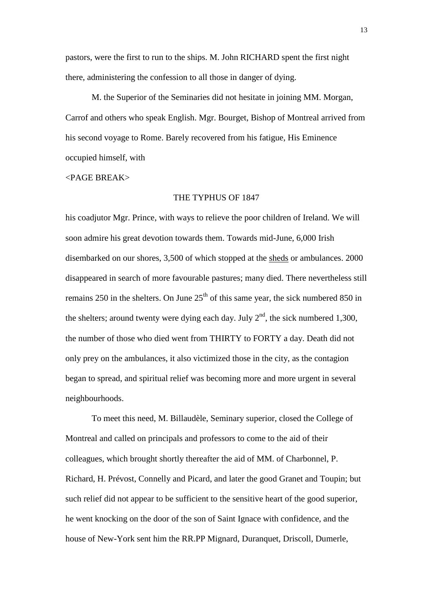pastors, were the first to run to the ships. M. John RICHARD spent the first night there, administering the confession to all those in danger of dying.

M. the Superior of the Seminaries did not hesitate in joining MM. Morgan, Carrof and others who speak English. Mgr. Bourget, Bishop of Montreal arrived from his second voyage to Rome. Barely recovered from his fatigue, His Eminence occupied himself, with

#### <PAGE BREAK>

#### THE TYPHUS OF 1847

his coadjutor Mgr. Prince, with ways to relieve the poor children of Ireland. We will soon admire his great devotion towards them. Towards mid-June, 6,000 Irish disembarked on our shores, 3,500 of which stopped at the sheds or ambulances. 2000 disappeared in search of more favourable pastures; many died. There nevertheless still remains 250 in the shelters. On June  $25<sup>th</sup>$  of this same year, the sick numbered 850 in the shelters; around twenty were dying each day. July  $2<sup>nd</sup>$ , the sick numbered 1,300, the number of those who died went from THIRTY to FORTY a day. Death did not only prey on the ambulances, it also victimized those in the city, as the contagion began to spread, and spiritual relief was becoming more and more urgent in several neighbourhoods.

To meet this need, M. Billaudèle, Seminary superior, closed the College of Montreal and called on principals and professors to come to the aid of their colleagues, which brought shortly thereafter the aid of MM. of Charbonnel, P. Richard, H. Prévost, Connelly and Picard, and later the good Granet and Toupin; but such relief did not appear to be sufficient to the sensitive heart of the good superior, he went knocking on the door of the son of Saint Ignace with confidence, and the house of New-York sent him the RR.PP Mignard, Duranquet, Driscoll, Dumerle,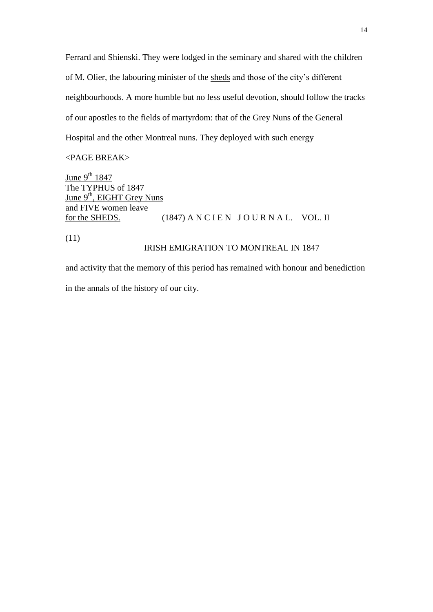Ferrard and Shienski. They were lodged in the seminary and shared with the children of M. Olier, the labouring minister of the sheds and those of the city's different neighbourhoods. A more humble but no less useful devotion, should follow the tracks of our apostles to the fields of martyrdom: that of the Grey Nuns of the General Hospital and the other Montreal nuns. They deployed with such energy

<PAGE BREAK>

June  $9^{th}$  1847 The TYPHUS of 1847 June 9<sup>th</sup>, EIGHT Grey Nuns and FIVE women leave for the SHEDS. (1847) A N C I E N J O U R N A L. VOL. II

(11)

# IRISH EMIGRATION TO MONTREAL IN 1847

and activity that the memory of this period has remained with honour and benediction in the annals of the history of our city.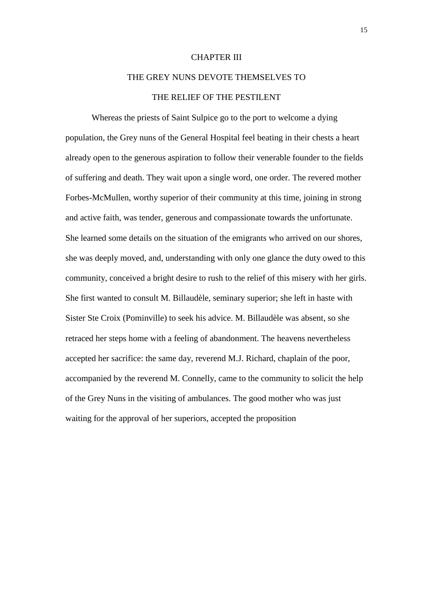#### CHAPTER III

# THE GREY NUNS DEVOTE THEMSELVES TO THE RELIEF OF THE PESTILENT

Whereas the priests of Saint Sulpice go to the port to welcome a dying population, the Grey nuns of the General Hospital feel beating in their chests a heart already open to the generous aspiration to follow their venerable founder to the fields of suffering and death. They wait upon a single word, one order. The revered mother Forbes-McMullen, worthy superior of their community at this time, joining in strong and active faith, was tender, generous and compassionate towards the unfortunate. She learned some details on the situation of the emigrants who arrived on our shores, she was deeply moved, and, understanding with only one glance the duty owed to this community, conceived a bright desire to rush to the relief of this misery with her girls. She first wanted to consult M. Billaudèle, seminary superior; she left in haste with Sister Ste Croix (Pominville) to seek his advice. M. Billaudèle was absent, so she retraced her steps home with a feeling of abandonment. The heavens nevertheless accepted her sacrifice: the same day, reverend M.J. Richard, chaplain of the poor, accompanied by the reverend M. Connelly, came to the community to solicit the help of the Grey Nuns in the visiting of ambulances. The good mother who was just waiting for the approval of her superiors, accepted the proposition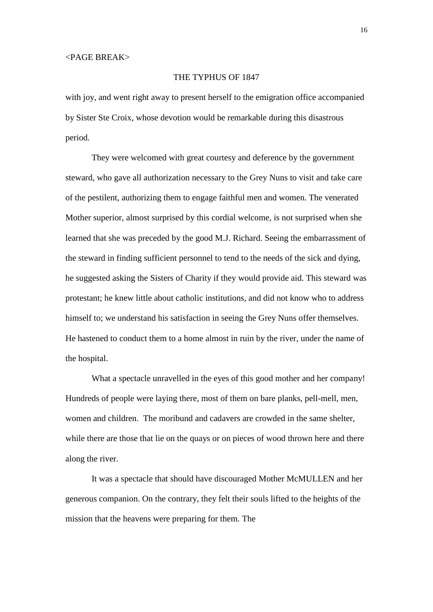### THE TYPHUS OF 1847

with joy, and went right away to present herself to the emigration office accompanied by Sister Ste Croix, whose devotion would be remarkable during this disastrous period.

They were welcomed with great courtesy and deference by the government steward, who gave all authorization necessary to the Grey Nuns to visit and take care of the pestilent, authorizing them to engage faithful men and women. The venerated Mother superior, almost surprised by this cordial welcome, is not surprised when she learned that she was preceded by the good M.J. Richard. Seeing the embarrassment of the steward in finding sufficient personnel to tend to the needs of the sick and dying, he suggested asking the Sisters of Charity if they would provide aid. This steward was protestant; he knew little about catholic institutions, and did not know who to address himself to; we understand his satisfaction in seeing the Grey Nuns offer themselves. He hastened to conduct them to a home almost in ruin by the river, under the name of the hospital.

What a spectacle unravelled in the eyes of this good mother and her company! Hundreds of people were laying there, most of them on bare planks, pell-mell, men, women and children. The moribund and cadavers are crowded in the same shelter, while there are those that lie on the quays or on pieces of wood thrown here and there along the river.

It was a spectacle that should have discouraged Mother McMULLEN and her generous companion. On the contrary, they felt their souls lifted to the heights of the mission that the heavens were preparing for them. The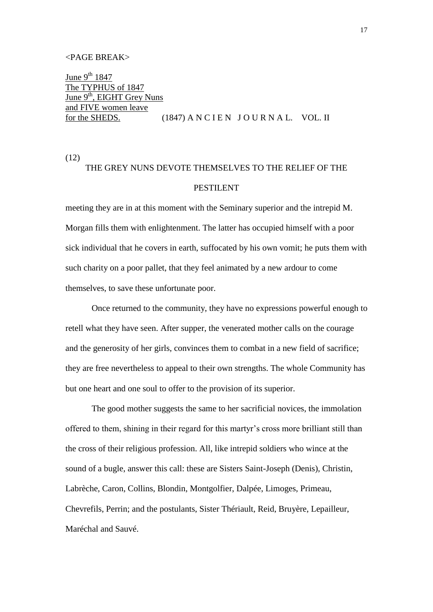#### <PAGE BREAK>

June  $9^{th}$  1847 The TYPHUS of 1847 June 9<sup>th</sup>, EIGHT Grey Nuns and FIVE women leave for the SHEDS.  $(1847)$  A N C I E N J O U R N A L. VOL. II

(12)

# THE GREY NUNS DEVOTE THEMSELVES TO THE RELIEF OF THE PESTILENT

meeting they are in at this moment with the Seminary superior and the intrepid M. Morgan fills them with enlightenment. The latter has occupied himself with a poor sick individual that he covers in earth, suffocated by his own vomit; he puts them with such charity on a poor pallet, that they feel animated by a new ardour to come themselves, to save these unfortunate poor.

Once returned to the community, they have no expressions powerful enough to retell what they have seen. After supper, the venerated mother calls on the courage and the generosity of her girls, convinces them to combat in a new field of sacrifice; they are free nevertheless to appeal to their own strengths. The whole Community has but one heart and one soul to offer to the provision of its superior.

The good mother suggests the same to her sacrificial novices, the immolation offered to them, shining in their regard for this martyr's cross more brilliant still than the cross of their religious profession. All, like intrepid soldiers who wince at the sound of a bugle, answer this call: these are Sisters Saint-Joseph (Denis), Christin, Labrèche, Caron, Collins, Blondin, Montgolfier, Dalpée, Limoges, Primeau, Chevrefils, Perrin; and the postulants, Sister Thériault, Reid, Bruyère, Lepailleur, Maréchal and Sauvé.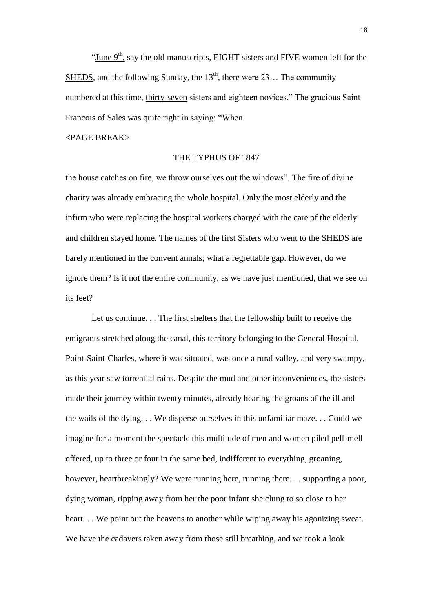"June  $9<sup>th</sup>$ , say the old manuscripts, EIGHT sisters and FIVE women left for the SHEDS, and the following Sunday, the  $13<sup>th</sup>$ , there were 23... The community numbered at this time, thirty-seven sisters and eighteen novices." The gracious Saint Francois of Sales was quite right in saying: "When

<PAGE BREAK>

### THE TYPHUS OF 1847

the house catches on fire, we throw ourselves out the windows". The fire of divine charity was already embracing the whole hospital. Only the most elderly and the infirm who were replacing the hospital workers charged with the care of the elderly and children stayed home. The names of the first Sisters who went to the SHEDS are barely mentioned in the convent annals; what a regrettable gap. However, do we ignore them? Is it not the entire community, as we have just mentioned, that we see on its feet?

Let us continue. . . The first shelters that the fellowship built to receive the emigrants stretched along the canal, this territory belonging to the General Hospital. Point-Saint-Charles, where it was situated, was once a rural valley, and very swampy, as this year saw torrential rains. Despite the mud and other inconveniences, the sisters made their journey within twenty minutes, already hearing the groans of the ill and the wails of the dying. . . We disperse ourselves in this unfamiliar maze. . . Could we imagine for a moment the spectacle this multitude of men and women piled pell-mell offered, up to three or four in the same bed, indifferent to everything, groaning, however, heartbreakingly? We were running here, running there. . . supporting a poor, dying woman, ripping away from her the poor infant she clung to so close to her heart. . . We point out the heavens to another while wiping away his agonizing sweat. We have the cadavers taken away from those still breathing, and we took a look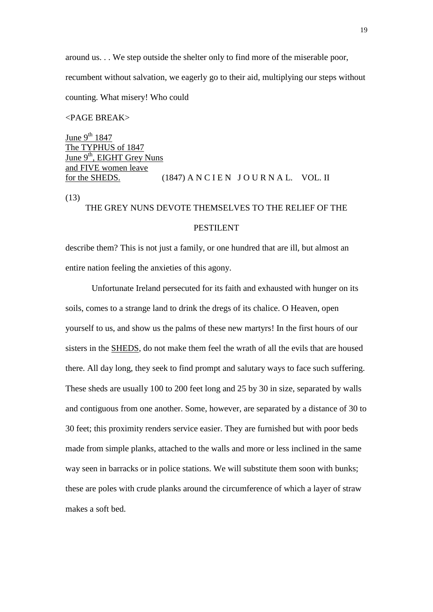around us. . . We step outside the shelter only to find more of the miserable poor, recumbent without salvation, we eagerly go to their aid, multiplying our steps without counting. What misery! Who could

# <PAGE BREAK>

June 9<sup>th</sup> 1847 The TYPHUS of 1847 June 9<sup>th</sup>, EIGHT Grey Nuns and FIVE women leave for the SHEDS.  $(1847)$  A N C I E N J O U R N A L. VOL. II

(13)

# THE GREY NUNS DEVOTE THEMSELVES TO THE RELIEF OF THE

# PESTILENT

describe them? This is not just a family, or one hundred that are ill, but almost an entire nation feeling the anxieties of this agony.

Unfortunate Ireland persecuted for its faith and exhausted with hunger on its soils, comes to a strange land to drink the dregs of its chalice. O Heaven, open yourself to us, and show us the palms of these new martyrs! In the first hours of our sisters in the SHEDS, do not make them feel the wrath of all the evils that are housed there. All day long, they seek to find prompt and salutary ways to face such suffering. These sheds are usually 100 to 200 feet long and 25 by 30 in size, separated by walls and contiguous from one another. Some, however, are separated by a distance of 30 to 30 feet; this proximity renders service easier. They are furnished but with poor beds made from simple planks, attached to the walls and more or less inclined in the same way seen in barracks or in police stations. We will substitute them soon with bunks; these are poles with crude planks around the circumference of which a layer of straw makes a soft bed.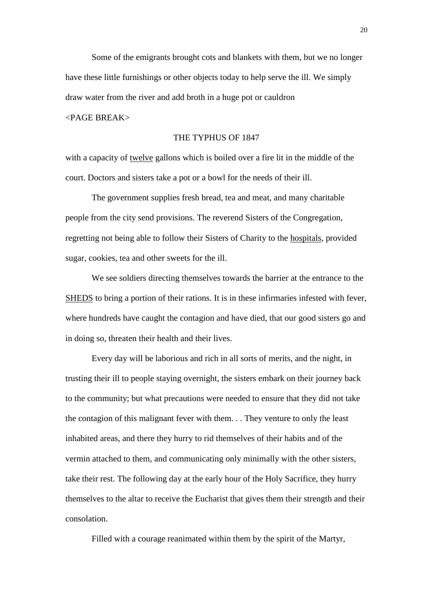Some of the emigrants brought cots and blankets with them, but we no longer have these little furnishings or other objects today to help serve the ill. We simply draw water from the river and add broth in a huge pot or cauldron

# <PAGE BREAK>

#### THE TYPHUS OF 1847

with a capacity of twelve gallons which is boiled over a fire lit in the middle of the court. Doctors and sisters take a pot or a bowl for the needs of their ill.

The government supplies fresh bread, tea and meat, and many charitable people from the city send provisions. The reverend Sisters of the Congregation, regretting not being able to follow their Sisters of Charity to the hospitals, provided sugar, cookies, tea and other sweets for the ill.

We see soldiers directing themselves towards the barrier at the entrance to the SHEDS to bring a portion of their rations. It is in these infirmaries infested with fever, where hundreds have caught the contagion and have died, that our good sisters go and in doing so, threaten their health and their lives.

Every day will be laborious and rich in all sorts of merits, and the night, in trusting their ill to people staying overnight, the sisters embark on their journey back to the community; but what precautions were needed to ensure that they did not take the contagion of this malignant fever with them. . . They venture to only the least inhabited areas, and there they hurry to rid themselves of their habits and of the vermin attached to them, and communicating only minimally with the other sisters, take their rest. The following day at the early hour of the Holy Sacrifice, they hurry themselves to the altar to receive the Eucharist that gives them their strength and their consolation.

Filled with a courage reanimated within them by the spirit of the Martyr,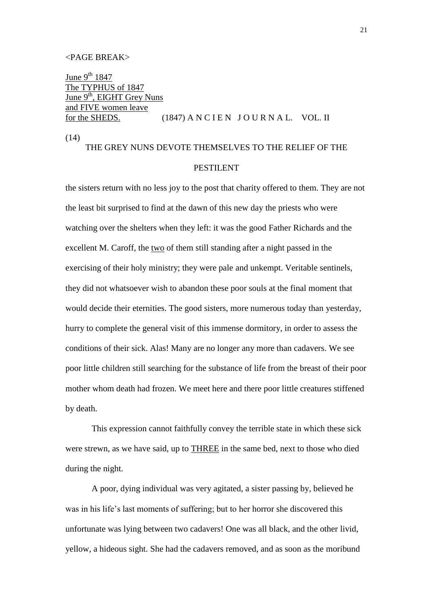#### <PAGE BREAK>

June  $9^{th}$  1847 The TYPHUS of 1847 June 9<sup>th</sup>, EIGHT Grey Nuns and FIVE women leave for the SHEDS.  $(1847)$  A N C I E N J O U R N A L. VOL. II

(14)

# THE GREY NUNS DEVOTE THEMSELVES TO THE RELIEF OF THE

# PESTILENT

the sisters return with no less joy to the post that charity offered to them. They are not the least bit surprised to find at the dawn of this new day the priests who were watching over the shelters when they left: it was the good Father Richards and the excellent M. Caroff, the two of them still standing after a night passed in the exercising of their holy ministry; they were pale and unkempt. Veritable sentinels, they did not whatsoever wish to abandon these poor souls at the final moment that would decide their eternities. The good sisters, more numerous today than yesterday, hurry to complete the general visit of this immense dormitory, in order to assess the conditions of their sick. Alas! Many are no longer any more than cadavers. We see poor little children still searching for the substance of life from the breast of their poor mother whom death had frozen. We meet here and there poor little creatures stiffened by death.

This expression cannot faithfully convey the terrible state in which these sick were strewn, as we have said, up to THREE in the same bed, next to those who died during the night.

A poor, dying individual was very agitated, a sister passing by, believed he was in his life's last moments of suffering; but to her horror she discovered this unfortunate was lying between two cadavers! One was all black, and the other livid, yellow, a hideous sight. She had the cadavers removed, and as soon as the moribund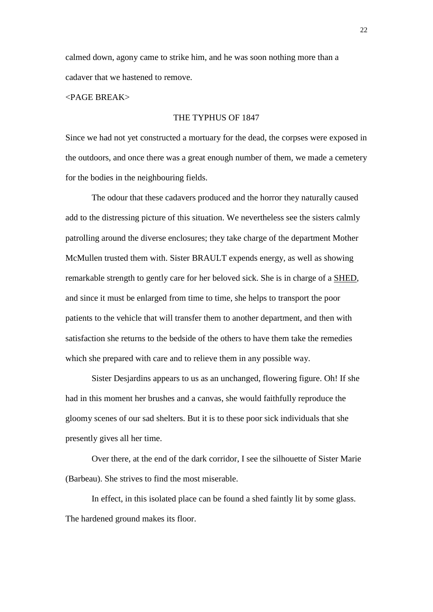calmed down, agony came to strike him, and he was soon nothing more than a cadaver that we hastened to remove.

# <PAGE BREAK>

### THE TYPHUS OF 1847

Since we had not yet constructed a mortuary for the dead, the corpses were exposed in the outdoors, and once there was a great enough number of them, we made a cemetery for the bodies in the neighbouring fields.

The odour that these cadavers produced and the horror they naturally caused add to the distressing picture of this situation. We nevertheless see the sisters calmly patrolling around the diverse enclosures; they take charge of the department Mother McMullen trusted them with. Sister BRAULT expends energy, as well as showing remarkable strength to gently care for her beloved sick. She is in charge of a SHED, and since it must be enlarged from time to time, she helps to transport the poor patients to the vehicle that will transfer them to another department, and then with satisfaction she returns to the bedside of the others to have them take the remedies which she prepared with care and to relieve them in any possible way.

Sister Desjardins appears to us as an unchanged, flowering figure. Oh! If she had in this moment her brushes and a canvas, she would faithfully reproduce the gloomy scenes of our sad shelters. But it is to these poor sick individuals that she presently gives all her time.

Over there, at the end of the dark corridor, I see the silhouette of Sister Marie (Barbeau). She strives to find the most miserable.

In effect, in this isolated place can be found a shed faintly lit by some glass. The hardened ground makes its floor.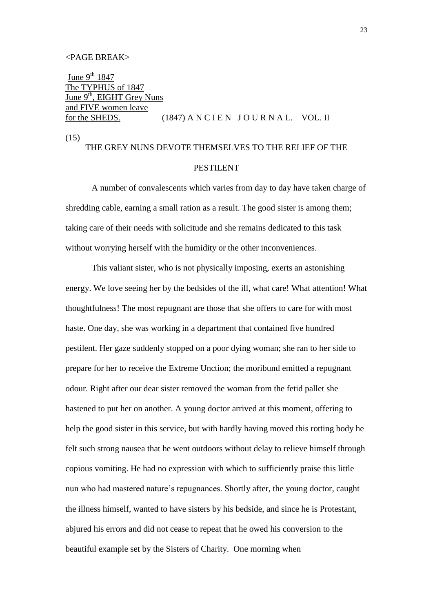#### <PAGE BREAK>

June  $9^{th}$  1847 The TYPHUS of 1847 June 9<sup>th</sup>, EIGHT Grey Nuns and FIVE women leave for the SHEDS. (1847) A N C I E N J O U R N A L. VOL. II

(15)

# THE GREY NUNS DEVOTE THEMSELVES TO THE RELIEF OF THE PESTILENT

A number of convalescents which varies from day to day have taken charge of shredding cable, earning a small ration as a result. The good sister is among them; taking care of their needs with solicitude and she remains dedicated to this task without worrying herself with the humidity or the other inconveniences.

This valiant sister, who is not physically imposing, exerts an astonishing energy. We love seeing her by the bedsides of the ill, what care! What attention! What thoughtfulness! The most repugnant are those that she offers to care for with most haste. One day, she was working in a department that contained five hundred pestilent. Her gaze suddenly stopped on a poor dying woman; she ran to her side to prepare for her to receive the Extreme Unction; the moribund emitted a repugnant odour. Right after our dear sister removed the woman from the fetid pallet she hastened to put her on another. A young doctor arrived at this moment, offering to help the good sister in this service, but with hardly having moved this rotting body he felt such strong nausea that he went outdoors without delay to relieve himself through copious vomiting. He had no expression with which to sufficiently praise this little nun who had mastered nature's repugnances. Shortly after, the young doctor, caught the illness himself, wanted to have sisters by his bedside, and since he is Protestant, abjured his errors and did not cease to repeat that he owed his conversion to the beautiful example set by the Sisters of Charity. One morning when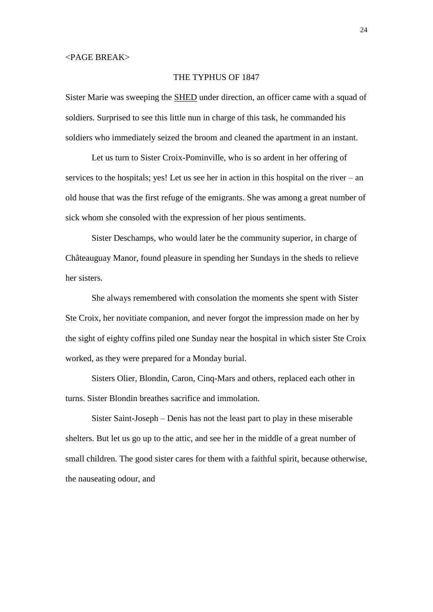### THE TYPHUS OF 1847

Sister Marie was sweeping the SHED under direction, an officer came with a squad of soldiers. Surprised to see this little nun in charge of this task, he commanded his soldiers who immediately seized the broom and cleaned the apartment in an instant.

Let us turn to Sister Croix-Pominville, who is so ardent in her offering of services to the hospitals; yes! Let us see her in action in this hospital on the river – an old house that was the first refuge of the emigrants. She was among a great number of sick whom she consoled with the expression of her pious sentiments.

Sister Deschamps, who would later be the community superior, in charge of Châteauguay Manor, found pleasure in spending her Sundays in the sheds to relieve her sisters.

She always remembered with consolation the moments she spent with Sister Ste Croix, her novitiate companion, and never forgot the impression made on her by the sight of eighty coffins piled one Sunday near the hospital in which sister Ste Croix worked, as they were prepared for a Monday burial.

Sisters Olier, Blondin, Caron, Cinq-Mars and others, replaced each other in turns. Sister Blondin breathes sacrifice and immolation.

Sister Saint-Joseph – Denis has not the least part to play in these miserable shelters. But let us go up to the attic, and see her in the middle of a great number of small children. The good sister cares for them with a faithful spirit, because otherwise, the nauseating odour, and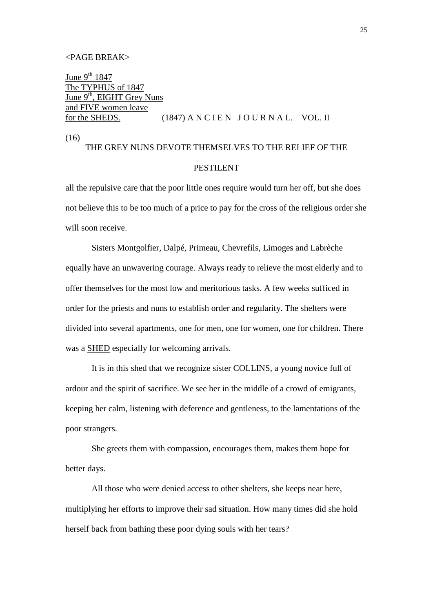#### <PAGE BREAK>

June  $9^{th}$  1847 The TYPHUS of 1847 June 9<sup>th</sup>, EIGHT Grey Nuns and FIVE women leave for the SHEDS.  $(1847)$  A N C I E N J O U R N A L. VOL. II

(16)

# THE GREY NUNS DEVOTE THEMSELVES TO THE RELIEF OF THE PESTILENT

all the repulsive care that the poor little ones require would turn her off, but she does not believe this to be too much of a price to pay for the cross of the religious order she will soon receive.

Sisters Montgolfier, Dalpé, Primeau, Chevrefils, Limoges and Labrèche equally have an unwavering courage. Always ready to relieve the most elderly and to offer themselves for the most low and meritorious tasks. A few weeks sufficed in order for the priests and nuns to establish order and regularity. The shelters were divided into several apartments, one for men, one for women, one for children. There was a SHED especially for welcoming arrivals.

It is in this shed that we recognize sister COLLINS, a young novice full of ardour and the spirit of sacrifice. We see her in the middle of a crowd of emigrants, keeping her calm, listening with deference and gentleness, to the lamentations of the poor strangers.

She greets them with compassion, encourages them, makes them hope for better days.

All those who were denied access to other shelters, she keeps near here, multiplying her efforts to improve their sad situation. How many times did she hold herself back from bathing these poor dying souls with her tears?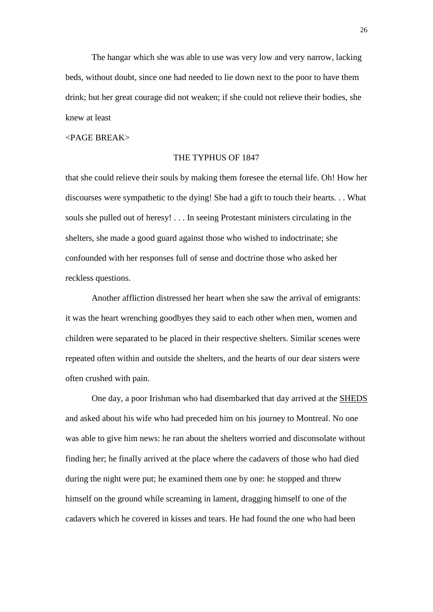The hangar which she was able to use was very low and very narrow, lacking beds, without doubt, since one had needed to lie down next to the poor to have them drink; but her great courage did not weaken; if she could not relieve their bodies, she knew at least

#### <PAGE BREAK>

### THE TYPHUS OF 1847

that she could relieve their souls by making them foresee the eternal life. Oh! How her discourses were sympathetic to the dying! She had a gift to touch their hearts. . . What souls she pulled out of heresy! . . . In seeing Protestant ministers circulating in the shelters, she made a good guard against those who wished to indoctrinate; she confounded with her responses full of sense and doctrine those who asked her reckless questions.

Another affliction distressed her heart when she saw the arrival of emigrants: it was the heart wrenching goodbyes they said to each other when men, women and children were separated to be placed in their respective shelters. Similar scenes were repeated often within and outside the shelters, and the hearts of our dear sisters were often crushed with pain.

One day, a poor Irishman who had disembarked that day arrived at the SHEDS and asked about his wife who had preceded him on his journey to Montreal. No one was able to give him news: he ran about the shelters worried and disconsolate without finding her; he finally arrived at the place where the cadavers of those who had died during the night were put; he examined them one by one: he stopped and threw himself on the ground while screaming in lament, dragging himself to one of the cadavers which he covered in kisses and tears. He had found the one who had been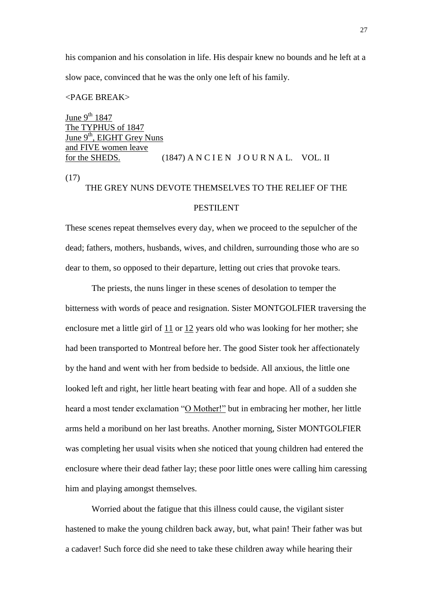his companion and his consolation in life. His despair knew no bounds and he left at a slow pace, convinced that he was the only one left of his family.

#### <PAGE BREAK>

June  $9^{th}$  1847 The TYPHUS of 1847 June  $9<sup>th</sup>$ , EIGHT Grey Nuns and FIVE women leave for the SHEDS.  $(1847)$  A N C I E N J O U R N A L. VOL. II (17)

# THE GREY NUNS DEVOTE THEMSELVES TO THE RELIEF OF THE

# PESTILENT

These scenes repeat themselves every day, when we proceed to the sepulcher of the dead; fathers, mothers, husbands, wives, and children, surrounding those who are so dear to them, so opposed to their departure, letting out cries that provoke tears.

The priests, the nuns linger in these scenes of desolation to temper the bitterness with words of peace and resignation. Sister MONTGOLFIER traversing the enclosure met a little girl of 11 or 12 years old who was looking for her mother; she had been transported to Montreal before her. The good Sister took her affectionately by the hand and went with her from bedside to bedside. All anxious, the little one looked left and right, her little heart beating with fear and hope. All of a sudden she heard a most tender exclamation "O Mother!" but in embracing her mother, her little arms held a moribund on her last breaths. Another morning, Sister MONTGOLFIER was completing her usual visits when she noticed that young children had entered the enclosure where their dead father lay; these poor little ones were calling him caressing him and playing amongst themselves.

Worried about the fatigue that this illness could cause, the vigilant sister hastened to make the young children back away, but, what pain! Their father was but a cadaver! Such force did she need to take these children away while hearing their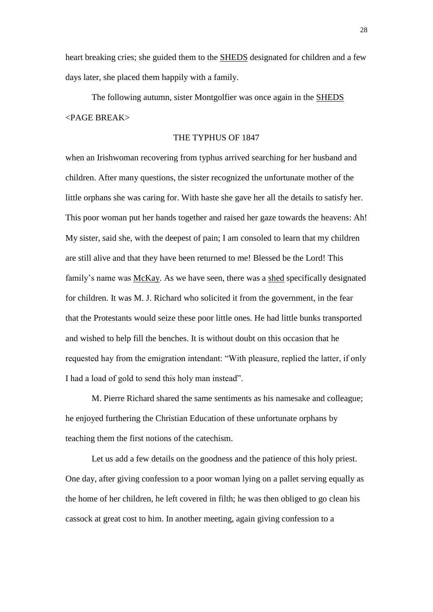heart breaking cries; she guided them to the SHEDS designated for children and a few days later, she placed them happily with a family.

The following autumn, sister Montgolfier was once again in the SHEDS <PAGE BREAK>

#### THE TYPHUS OF 1847

when an Irishwoman recovering from typhus arrived searching for her husband and children. After many questions, the sister recognized the unfortunate mother of the little orphans she was caring for. With haste she gave her all the details to satisfy her. This poor woman put her hands together and raised her gaze towards the heavens: Ah! My sister, said she, with the deepest of pain; I am consoled to learn that my children are still alive and that they have been returned to me! Blessed be the Lord! This family's name was McKay. As we have seen, there was a shed specifically designated for children. It was M. J. Richard who solicited it from the government, in the fear that the Protestants would seize these poor little ones. He had little bunks transported and wished to help fill the benches. It is without doubt on this occasion that he requested hay from the emigration intendant: "With pleasure, replied the latter, if only I had a load of gold to send this holy man instead".

M. Pierre Richard shared the same sentiments as his namesake and colleague; he enjoyed furthering the Christian Education of these unfortunate orphans by teaching them the first notions of the catechism.

Let us add a few details on the goodness and the patience of this holy priest. One day, after giving confession to a poor woman lying on a pallet serving equally as the home of her children, he left covered in filth; he was then obliged to go clean his cassock at great cost to him. In another meeting, again giving confession to a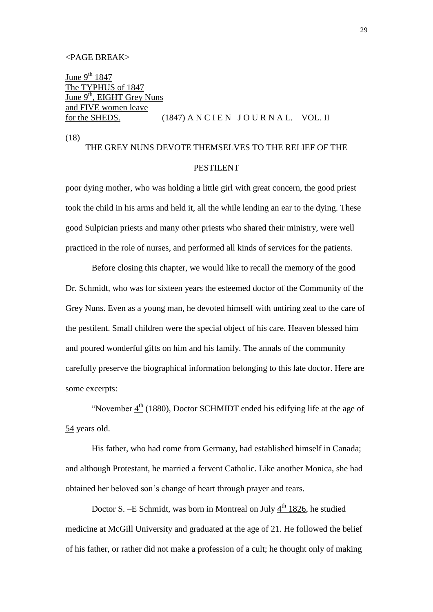#### <PAGE BREAK>

<u>June 9<sup>th</sup> 1847</u> The TYPHUS of 1847 June  $9<sup>th</sup>$ , EIGHT Grey Nuns and FIVE women leave for the SHEDS.  $(1847)$  A N C I E N J O U R N A L. VOL. II

(18)

# THE GREY NUNS DEVOTE THEMSELVES TO THE RELIEF OF THE PESTILENT

poor dying mother, who was holding a little girl with great concern, the good priest took the child in his arms and held it, all the while lending an ear to the dying. These good Sulpician priests and many other priests who shared their ministry, were well practiced in the role of nurses, and performed all kinds of services for the patients.

Before closing this chapter, we would like to recall the memory of the good Dr. Schmidt, who was for sixteen years the esteemed doctor of the Community of the Grey Nuns. Even as a young man, he devoted himself with untiring zeal to the care of the pestilent. Small children were the special object of his care. Heaven blessed him and poured wonderful gifts on him and his family. The annals of the community carefully preserve the biographical information belonging to this late doctor. Here are some excerpts:

"November  $4<sup>th</sup>$  (1880), Doctor SCHMIDT ended his edifying life at the age of 54 years old.

His father, who had come from Germany, had established himself in Canada; and although Protestant, he married a fervent Catholic. Like another Monica, she had obtained her beloved son's change of heart through prayer and tears.

Doctor S. – E Schmidt, was born in Montreal on July  $4<sup>th</sup>$  1826, he studied medicine at McGill University and graduated at the age of 21. He followed the belief of his father, or rather did not make a profession of a cult; he thought only of making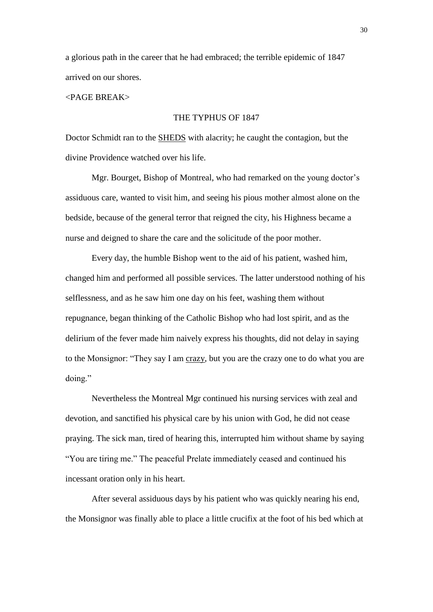a glorious path in the career that he had embraced; the terrible epidemic of 1847 arrived on our shores.

#### <PAGE BREAK>

### THE TYPHUS OF 1847

Doctor Schmidt ran to the SHEDS with alacrity; he caught the contagion, but the divine Providence watched over his life.

Mgr. Bourget, Bishop of Montreal, who had remarked on the young doctor's assiduous care, wanted to visit him, and seeing his pious mother almost alone on the bedside, because of the general terror that reigned the city, his Highness became a nurse and deigned to share the care and the solicitude of the poor mother.

Every day, the humble Bishop went to the aid of his patient, washed him, changed him and performed all possible services. The latter understood nothing of his selflessness, and as he saw him one day on his feet, washing them without repugnance, began thinking of the Catholic Bishop who had lost spirit, and as the delirium of the fever made him naively express his thoughts, did not delay in saying to the Monsignor: "They say I am crazy, but you are the crazy one to do what you are doing."

Nevertheless the Montreal Mgr continued his nursing services with zeal and devotion, and sanctified his physical care by his union with God, he did not cease praying. The sick man, tired of hearing this, interrupted him without shame by saying "You are tiring me." The peaceful Prelate immediately ceased and continued his incessant oration only in his heart.

After several assiduous days by his patient who was quickly nearing his end, the Monsignor was finally able to place a little crucifix at the foot of his bed which at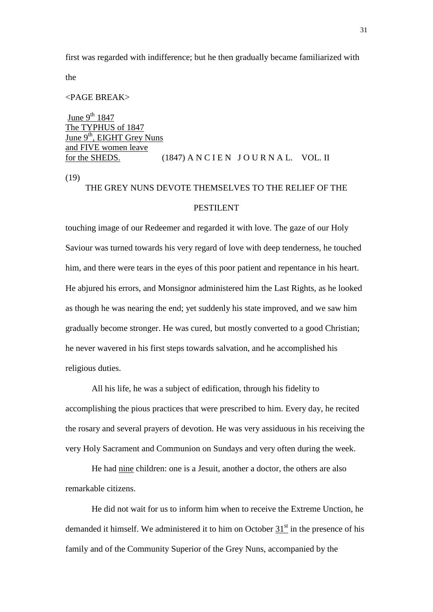first was regarded with indifference; but he then gradually became familiarized with

the

#### <PAGE BREAK>

June  $9^{th}$  1847 The TYPHUS of 1847 June  $9<sup>th</sup>$ , EIGHT Grey Nuns and FIVE women leave for the SHEDS.  $(1847)$  A N C I E N J O U R N A L. VOL. II (19)

# THE GREY NUNS DEVOTE THEMSELVES TO THE RELIEF OF THE

#### PESTILENT

touching image of our Redeemer and regarded it with love. The gaze of our Holy Saviour was turned towards his very regard of love with deep tenderness, he touched him, and there were tears in the eyes of this poor patient and repentance in his heart. He abjured his errors, and Monsignor administered him the Last Rights, as he looked as though he was nearing the end; yet suddenly his state improved, and we saw him gradually become stronger. He was cured, but mostly converted to a good Christian; he never wavered in his first steps towards salvation, and he accomplished his religious duties.

All his life, he was a subject of edification, through his fidelity to accomplishing the pious practices that were prescribed to him. Every day, he recited the rosary and several prayers of devotion. He was very assiduous in his receiving the very Holy Sacrament and Communion on Sundays and very often during the week.

He had nine children: one is a Jesuit, another a doctor, the others are also remarkable citizens.

He did not wait for us to inform him when to receive the Extreme Unction, he demanded it himself. We administered it to him on October  $31<sup>st</sup>$  in the presence of his family and of the Community Superior of the Grey Nuns, accompanied by the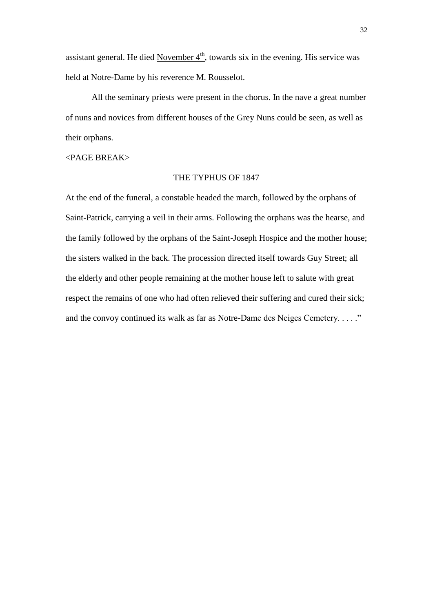assistant general. He died November  $4<sup>th</sup>$ , towards six in the evening. His service was held at Notre-Dame by his reverence M. Rousselot.

All the seminary priests were present in the chorus. In the nave a great number of nuns and novices from different houses of the Grey Nuns could be seen, as well as their orphans.

### <PAGE BREAK>

#### THE TYPHUS OF 1847

At the end of the funeral, a constable headed the march, followed by the orphans of Saint-Patrick, carrying a veil in their arms. Following the orphans was the hearse, and the family followed by the orphans of the Saint-Joseph Hospice and the mother house; the sisters walked in the back. The procession directed itself towards Guy Street; all the elderly and other people remaining at the mother house left to salute with great respect the remains of one who had often relieved their suffering and cured their sick; and the convoy continued its walk as far as Notre-Dame des Neiges Cemetery. . . . ."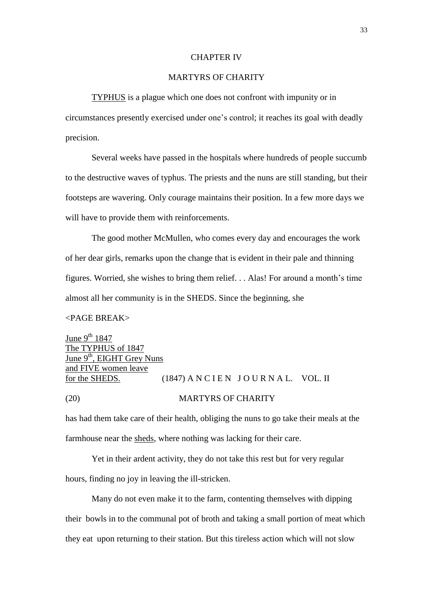#### CHAPTER IV

# MARTYRS OF CHARITY

TYPHUS is a plague which one does not confront with impunity or in

circumstances presently exercised under one's control; it reaches its goal with deadly precision.

Several weeks have passed in the hospitals where hundreds of people succumb to the destructive waves of typhus. The priests and the nuns are still standing, but their footsteps are wavering. Only courage maintains their position. In a few more days we will have to provide them with reinforcements.

The good mother McMullen, who comes every day and encourages the work of her dear girls, remarks upon the change that is evident in their pale and thinning figures. Worried, she wishes to bring them relief. . . Alas! For around a month's time almost all her community is in the SHEDS. Since the beginning, she

#### <PAGE BREAK>

June  $9^{th}$  1847 The TYPHUS of 1847 June  $9<sup>th</sup>$ , EIGHT Grey Nuns and FIVE women leave for the SHEDS.  $(1847)$  A N C I E N J O U R N A L. VOL. II (20) MARTYRS OF CHARITY

has had them take care of their health, obliging the nuns to go take their meals at the farmhouse near the sheds, where nothing was lacking for their care.

Yet in their ardent activity, they do not take this rest but for very regular

hours, finding no joy in leaving the ill-stricken.

Many do not even make it to the farm, contenting themselves with dipping their bowls in to the communal pot of broth and taking a small portion of meat which they eat upon returning to their station. But this tireless action which will not slow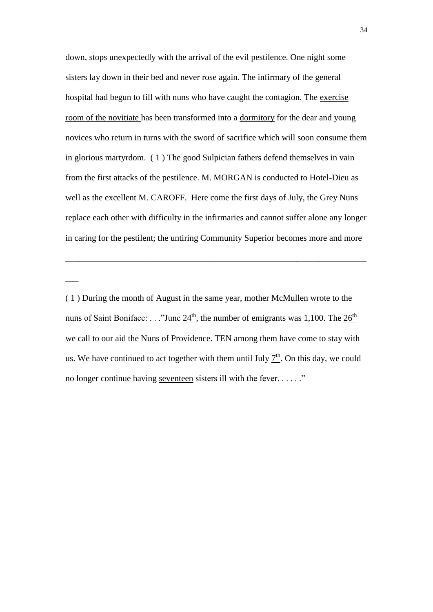down, stops unexpectedly with the arrival of the evil pestilence. One night some sisters lay down in their bed and never rose again. The infirmary of the general hospital had begun to fill with nuns who have caught the contagion. The exercise room of the novitiate has been transformed into a dormitory for the dear and young novices who return in turns with the sword of sacrifice which will soon consume them in glorious martyrdom. ( 1 ) The good Sulpician fathers defend themselves in vain from the first attacks of the pestilence. M. MORGAN is conducted to Hotel-Dieu as well as the excellent M. CAROFF. Here come the first days of July, the Grey Nuns replace each other with difficulty in the infirmaries and cannot suffer alone any longer in caring for the pestilent; the untiring Community Superior becomes more and more

\_\_\_\_\_\_\_\_\_\_\_\_\_\_\_\_\_\_\_\_\_\_\_\_\_\_\_\_\_\_\_\_\_\_\_\_\_\_\_\_\_\_\_\_\_\_\_\_\_\_\_\_\_\_\_\_\_\_\_\_\_\_\_\_\_\_\_\_\_

 $\overline{\phantom{a}}$ 

<sup>( 1 )</sup> During the month of August in the same year, mother McMullen wrote to the nuns of Saint Boniface: . . ."June  $24<sup>th</sup>$ , the number of emigrants was 1,100. The  $26<sup>th</sup>$ we call to our aid the Nuns of Providence. TEN among them have come to stay with us. We have continued to act together with them until July  $\mathcal{I}^{th}$ . On this day, we could no longer continue having seventeen sisters ill with the fever. . . . . ."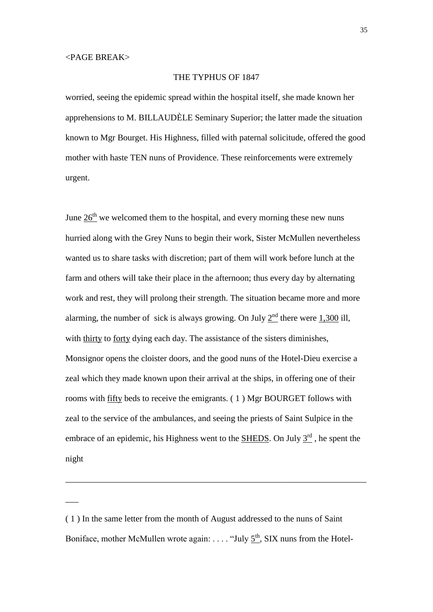$\overline{\phantom{a}}$ 

## THE TYPHUS OF 1847

worried, seeing the epidemic spread within the hospital itself, she made known her apprehensions to M. BILLAUDÈLE Seminary Superior; the latter made the situation known to Mgr Bourget. His Highness, filled with paternal solicitude, offered the good mother with haste TEN nuns of Providence. These reinforcements were extremely urgent.

June  $26<sup>th</sup>$  we welcomed them to the hospital, and every morning these new nuns hurried along with the Grey Nuns to begin their work, Sister McMullen nevertheless wanted us to share tasks with discretion; part of them will work before lunch at the farm and others will take their place in the afternoon; thus every day by alternating work and rest, they will prolong their strength. The situation became more and more alarming, the number of sick is always growing. On July  $2<sup>nd</sup>$  there were 1,300 ill, with thirty to forty dying each day. The assistance of the sisters diminishes, Monsignor opens the cloister doors, and the good nuns of the Hotel-Dieu exercise a zeal which they made known upon their arrival at the ships, in offering one of their rooms with fifty beds to receive the emigrants. ( 1 ) Mgr BOURGET follows with zeal to the service of the ambulances, and seeing the priests of Saint Sulpice in the embrace of an epidemic, his Highness went to the **SHEDS**. On July  $3<sup>rd</sup>$ , he spent the night

\_\_\_\_\_\_\_\_\_\_\_\_\_\_\_\_\_\_\_\_\_\_\_\_\_\_\_\_\_\_\_\_\_\_\_\_\_\_\_\_\_\_\_\_\_\_\_\_\_\_\_\_\_\_\_\_\_\_\_\_\_\_\_\_\_\_\_\_\_

<sup>( 1 )</sup> In the same letter from the month of August addressed to the nuns of Saint Boniface, mother McMullen wrote again: ... . "July  $5<sup>th</sup>$ , SIX nuns from the Hotel-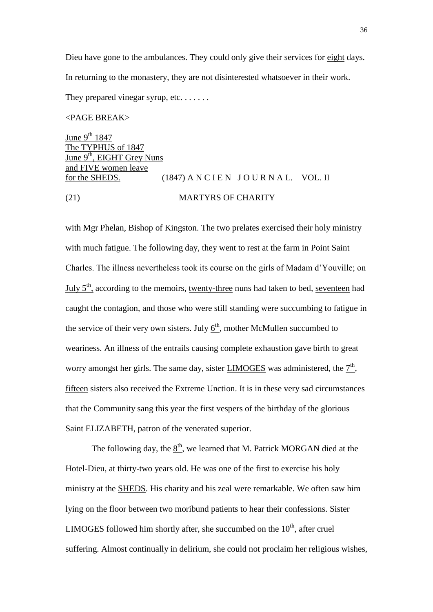Dieu have gone to the ambulances. They could only give their services for eight days. In returning to the monastery, they are not disinterested whatsoever in their work.

They prepared vinegar syrup, etc. . . . . . .

# <PAGE BREAK>

June 9<sup>th</sup> 1847 The TYPHUS of 1847 June 9<sup>th</sup>, EIGHT Grey Nuns and FIVE women leave for the SHEDS.  $(1847)$  A N C I E N J O U R N A L. VOL. II (21) MARTYRS OF CHARITY

with Mgr Phelan, Bishop of Kingston. The two prelates exercised their holy ministry with much fatigue. The following day, they went to rest at the farm in Point Saint Charles. The illness nevertheless took its course on the girls of Madam d'Youville; on July 5<sup>th</sup>, according to the memoirs, twenty-three nuns had taken to bed, seventeen had caught the contagion, and those who were still standing were succumbing to fatigue in the service of their very own sisters. July  $6<sup>th</sup>$ , mother McMullen succumbed to weariness. An illness of the entrails causing complete exhaustion gave birth to great worry amongst her girls. The same day, sister **LIMOGES** was administered, the  $7<sup>th</sup>$ , fifteen sisters also received the Extreme Unction. It is in these very sad circumstances that the Community sang this year the first vespers of the birthday of the glorious Saint ELIZABETH, patron of the venerated superior.

The following day, the  $\underline{8}^{\text{th}}$ , we learned that M. Patrick MORGAN died at the Hotel-Dieu, at thirty-two years old. He was one of the first to exercise his holy ministry at the SHEDS. His charity and his zeal were remarkable. We often saw him lying on the floor between two moribund patients to hear their confessions. Sister LIMOGES followed him shortly after, she succumbed on the  $10<sup>th</sup>$ , after cruel suffering. Almost continually in delirium, she could not proclaim her religious wishes,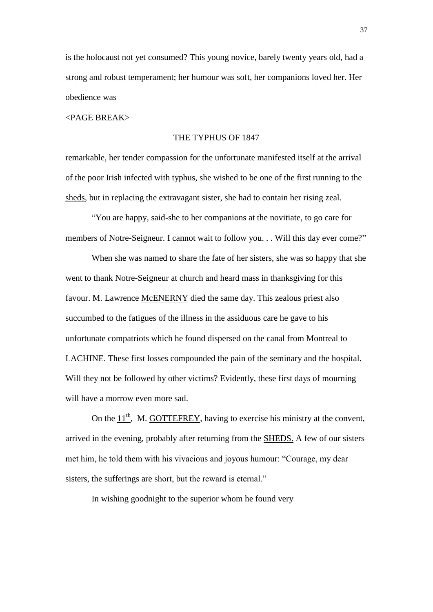is the holocaust not yet consumed? This young novice, barely twenty years old, had a strong and robust temperament; her humour was soft, her companions loved her. Her obedience was

<PAGE BREAK>

#### THE TYPHUS OF 1847

remarkable, her tender compassion for the unfortunate manifested itself at the arrival of the poor Irish infected with typhus, she wished to be one of the first running to the sheds, but in replacing the extravagant sister, she had to contain her rising zeal.

"You are happy, said-she to her companions at the novitiate, to go care for members of Notre-Seigneur. I cannot wait to follow you. . . Will this day ever come?"

When she was named to share the fate of her sisters, she was so happy that she went to thank Notre-Seigneur at church and heard mass in thanksgiving for this favour. M. Lawrence McENERNY died the same day. This zealous priest also succumbed to the fatigues of the illness in the assiduous care he gave to his unfortunate compatriots which he found dispersed on the canal from Montreal to LACHINE. These first losses compounded the pain of the seminary and the hospital. Will they not be followed by other victims? Evidently, these first days of mourning will have a morrow even more sad.

On the  $11<sup>th</sup>$ , M. GOTTEFREY, having to exercise his ministry at the convent, arrived in the evening, probably after returning from the SHEDS. A few of our sisters met him, he told them with his vivacious and joyous humour: "Courage, my dear sisters, the sufferings are short, but the reward is eternal."

In wishing goodnight to the superior whom he found very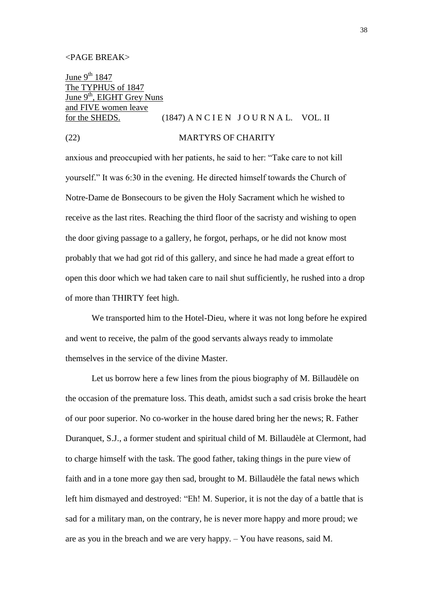June  $9^{th}$  1847 The TYPHUS of 1847 June 9<sup>th</sup>, EIGHT Grey Nuns and FIVE women leave for the SHEDS.  $(1847)$  A N C I E N J O U R N A L. VOL. II

#### (22) MARTYRS OF CHARITY

anxious and preoccupied with her patients, he said to her: "Take care to not kill yourself." It was 6:30 in the evening. He directed himself towards the Church of Notre-Dame de Bonsecours to be given the Holy Sacrament which he wished to receive as the last rites. Reaching the third floor of the sacristy and wishing to open the door giving passage to a gallery, he forgot, perhaps, or he did not know most probably that we had got rid of this gallery, and since he had made a great effort to open this door which we had taken care to nail shut sufficiently, he rushed into a drop of more than THIRTY feet high.

We transported him to the Hotel-Dieu, where it was not long before he expired and went to receive, the palm of the good servants always ready to immolate themselves in the service of the divine Master.

Let us borrow here a few lines from the pious biography of M. Billaudèle on the occasion of the premature loss. This death, amidst such a sad crisis broke the heart of our poor superior. No co-worker in the house dared bring her the news; R. Father Duranquet, S.J., a former student and spiritual child of M. Billaudèle at Clermont, had to charge himself with the task. The good father, taking things in the pure view of faith and in a tone more gay then sad, brought to M. Billaudèle the fatal news which left him dismayed and destroyed: "Eh! M. Superior, it is not the day of a battle that is sad for a military man, on the contrary, he is never more happy and more proud; we are as you in the breach and we are very happy. – You have reasons, said M.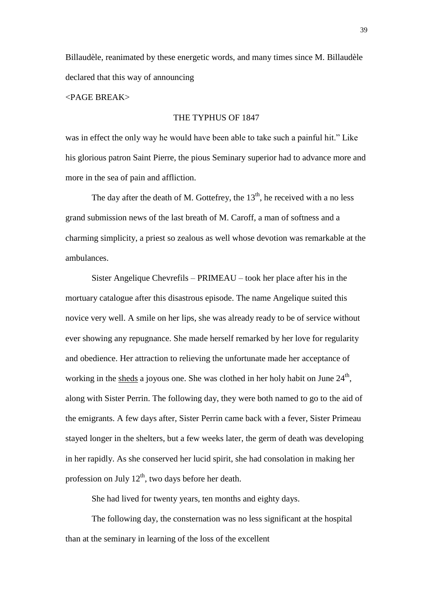Billaudèle, reanimated by these energetic words, and many times since M. Billaudèle declared that this way of announcing

## <PAGE BREAK>

## THE TYPHUS OF 1847

was in effect the only way he would have been able to take such a painful hit." Like his glorious patron Saint Pierre, the pious Seminary superior had to advance more and more in the sea of pain and affliction.

The day after the death of M. Gottefrey, the  $13<sup>th</sup>$ , he received with a no less grand submission news of the last breath of M. Caroff, a man of softness and a charming simplicity, a priest so zealous as well whose devotion was remarkable at the ambulances.

Sister Angelique Chevrefils – PRIMEAU – took her place after his in the mortuary catalogue after this disastrous episode. The name Angelique suited this novice very well. A smile on her lips, she was already ready to be of service without ever showing any repugnance. She made herself remarked by her love for regularity and obedience. Her attraction to relieving the unfortunate made her acceptance of working in the sheds a joyous one. She was clothed in her holy habit on June  $24<sup>th</sup>$ , along with Sister Perrin. The following day, they were both named to go to the aid of the emigrants. A few days after, Sister Perrin came back with a fever, Sister Primeau stayed longer in the shelters, but a few weeks later, the germ of death was developing in her rapidly. As she conserved her lucid spirit, she had consolation in making her profession on July  $12<sup>th</sup>$ , two days before her death.

She had lived for twenty years, ten months and eighty days.

The following day, the consternation was no less significant at the hospital than at the seminary in learning of the loss of the excellent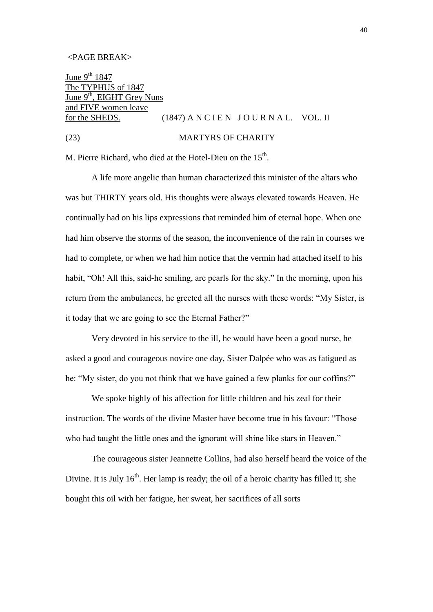June  $9^{th}$  1847 The TYPHUS of 1847 June 9<sup>th</sup>, EIGHT Grey Nuns and FIVE women leave for the SHEDS.  $(1847)$  A N C I E N J O U R N A L. VOL. II

# (23) MARTYRS OF CHARITY

M. Pierre Richard, who died at the Hotel-Dieu on the 15<sup>th</sup>.

A life more angelic than human characterized this minister of the altars who was but THIRTY years old. His thoughts were always elevated towards Heaven. He continually had on his lips expressions that reminded him of eternal hope. When one had him observe the storms of the season, the inconvenience of the rain in courses we had to complete, or when we had him notice that the vermin had attached itself to his habit, "Oh! All this, said-he smiling, are pearls for the sky." In the morning, upon his return from the ambulances, he greeted all the nurses with these words: "My Sister, is it today that we are going to see the Eternal Father?"

Very devoted in his service to the ill, he would have been a good nurse, he asked a good and courageous novice one day, Sister Dalpée who was as fatigued as he: "My sister, do you not think that we have gained a few planks for our coffins?"

We spoke highly of his affection for little children and his zeal for their instruction. The words of the divine Master have become true in his favour: "Those who had taught the little ones and the ignorant will shine like stars in Heaven."

The courageous sister Jeannette Collins, had also herself heard the voice of the Divine. It is July  $16<sup>th</sup>$ . Her lamp is ready; the oil of a heroic charity has filled it; she bought this oil with her fatigue, her sweat, her sacrifices of all sorts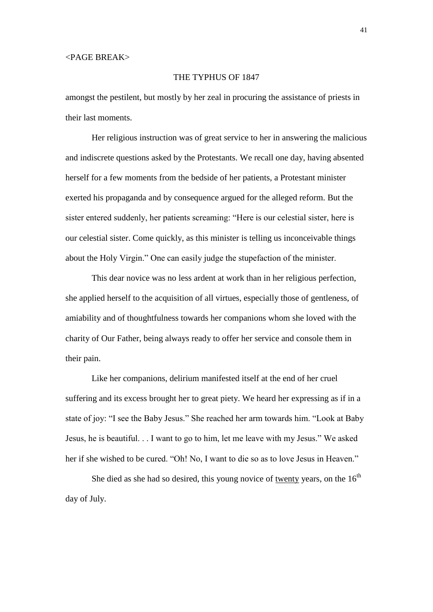## THE TYPHUS OF 1847

amongst the pestilent, but mostly by her zeal in procuring the assistance of priests in their last moments.

Her religious instruction was of great service to her in answering the malicious and indiscrete questions asked by the Protestants. We recall one day, having absented herself for a few moments from the bedside of her patients, a Protestant minister exerted his propaganda and by consequence argued for the alleged reform. But the sister entered suddenly, her patients screaming: "Here is our celestial sister, here is our celestial sister. Come quickly, as this minister is telling us inconceivable things about the Holy Virgin." One can easily judge the stupefaction of the minister.

This dear novice was no less ardent at work than in her religious perfection, she applied herself to the acquisition of all virtues, especially those of gentleness, of amiability and of thoughtfulness towards her companions whom she loved with the charity of Our Father, being always ready to offer her service and console them in their pain.

Like her companions, delirium manifested itself at the end of her cruel suffering and its excess brought her to great piety. We heard her expressing as if in a state of joy: "I see the Baby Jesus." She reached her arm towards him. "Look at Baby Jesus, he is beautiful. . . I want to go to him, let me leave with my Jesus." We asked her if she wished to be cured. "Oh! No, I want to die so as to love Jesus in Heaven."

She died as she had so desired, this young novice of twenty years, on the  $16<sup>th</sup>$ day of July.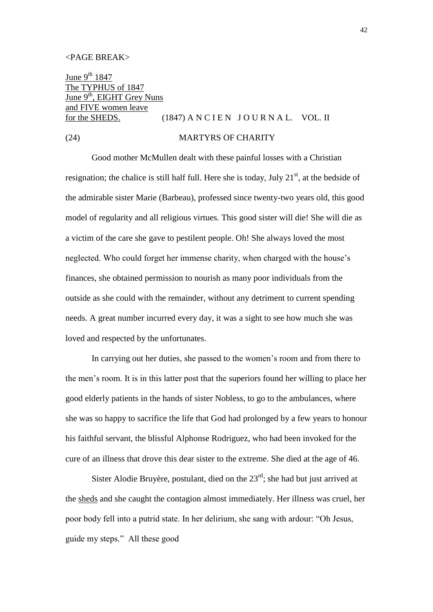June  $9^{th}$  1847 The TYPHUS of 1847 June  $9<sup>th</sup>$ , EIGHT Grey Nuns and FIVE women leave for the SHEDS.  $(1847)$  A N C I E N J O U R N A L. VOL. II

#### (24) MARTYRS OF CHARITY

Good mother McMullen dealt with these painful losses with a Christian resignation; the chalice is still half full. Here she is today, July  $21<sup>st</sup>$ , at the bedside of the admirable sister Marie (Barbeau), professed since twenty-two years old, this good model of regularity and all religious virtues. This good sister will die! She will die as a victim of the care she gave to pestilent people. Oh! She always loved the most neglected. Who could forget her immense charity, when charged with the house's finances, she obtained permission to nourish as many poor individuals from the outside as she could with the remainder, without any detriment to current spending needs. A great number incurred every day, it was a sight to see how much she was loved and respected by the unfortunates.

In carrying out her duties, she passed to the women's room and from there to the men's room. It is in this latter post that the superiors found her willing to place her good elderly patients in the hands of sister Nobless, to go to the ambulances, where she was so happy to sacrifice the life that God had prolonged by a few years to honour his faithful servant, the blissful Alphonse Rodriguez, who had been invoked for the cure of an illness that drove this dear sister to the extreme. She died at the age of 46.

Sister Alodie Bruyère, postulant, died on the  $23<sup>rd</sup>$ ; she had but just arrived at the sheds and she caught the contagion almost immediately. Her illness was cruel, her poor body fell into a putrid state. In her delirium, she sang with ardour: "Oh Jesus, guide my steps." All these good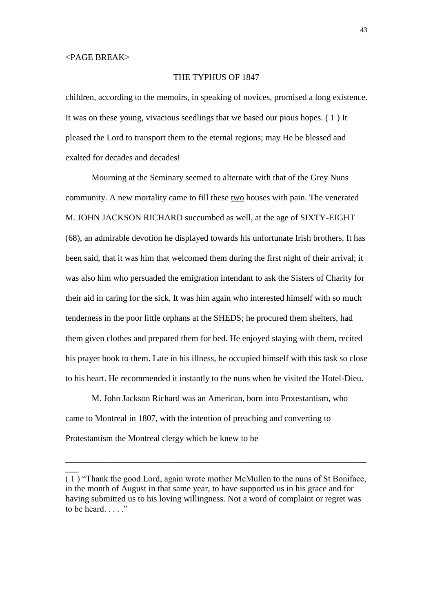$\overline{\phantom{a}}$ 

## THE TYPHUS OF 1847

children, according to the memoirs, in speaking of novices, promised a long existence. It was on these young, vivacious seedlings that we based our pious hopes. ( 1 ) It pleased the Lord to transport them to the eternal regions; may He be blessed and exalted for decades and decades!

Mourning at the Seminary seemed to alternate with that of the Grey Nuns community. A new mortality came to fill these two houses with pain. The venerated M. JOHN JACKSON RICHARD succumbed as well, at the age of SIXTY-EIGHT (68), an admirable devotion he displayed towards his unfortunate Irish brothers. It has been said, that it was him that welcomed them during the first night of their arrival; it was also him who persuaded the emigration intendant to ask the Sisters of Charity for their aid in caring for the sick. It was him again who interested himself with so much tenderness in the poor little orphans at the SHEDS; he procured them shelters, had them given clothes and prepared them for bed. He enjoyed staying with them, recited his prayer book to them. Late in his illness, he occupied himself with this task so close to his heart. He recommended it instantly to the nuns when he visited the Hotel-Dieu.

M. John Jackson Richard was an American, born into Protestantism, who came to Montreal in 1807, with the intention of preaching and converting to Protestantism the Montreal clergy which he knew to be

\_\_\_\_\_\_\_\_\_\_\_\_\_\_\_\_\_\_\_\_\_\_\_\_\_\_\_\_\_\_\_\_\_\_\_\_\_\_\_\_\_\_\_\_\_\_\_\_\_\_\_\_\_\_\_\_\_\_\_\_\_\_\_\_\_\_\_\_\_

<sup>( 1 ) &</sup>quot;Thank the good Lord, again wrote mother McMullen to the nuns of St Boniface, in the month of August in that same year, to have supported us in his grace and for having submitted us to his loving willingness. Not a word of complaint or regret was to be heard. . . . . "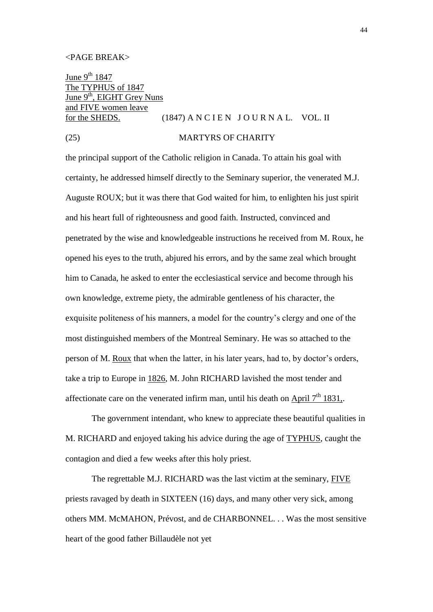June  $9^{th}$  1847 The TYPHUS of 1847 June 9<sup>th</sup>, EIGHT Grey Nuns and FIVE women leave

## for the SHEDS.  $(1847)$  A N C I E N J O U R N A L. VOL. II

## (25) MARTYRS OF CHARITY

the principal support of the Catholic religion in Canada. To attain his goal with certainty, he addressed himself directly to the Seminary superior, the venerated M.J. Auguste ROUX; but it was there that God waited for him, to enlighten his just spirit and his heart full of righteousness and good faith. Instructed, convinced and penetrated by the wise and knowledgeable instructions he received from M. Roux, he opened his eyes to the truth, abjured his errors, and by the same zeal which brought him to Canada, he asked to enter the ecclesiastical service and become through his own knowledge, extreme piety, the admirable gentleness of his character, the exquisite politeness of his manners, a model for the country's clergy and one of the most distinguished members of the Montreal Seminary. He was so attached to the person of M. Roux that when the latter, in his later years, had to, by doctor's orders, take a trip to Europe in 1826, M. John RICHARD lavished the most tender and affectionate care on the venerated infirm man, until his death on April  $7<sup>th</sup> 1831$ ,.

The government intendant, who knew to appreciate these beautiful qualities in M. RICHARD and enjoyed taking his advice during the age of TYPHUS, caught the contagion and died a few weeks after this holy priest.

The regrettable M.J. RICHARD was the last victim at the seminary, FIVE priests ravaged by death in SIXTEEN (16) days, and many other very sick, among others MM. McMAHON, Prévost, and de CHARBONNEL. . . Was the most sensitive heart of the good father Billaudèle not yet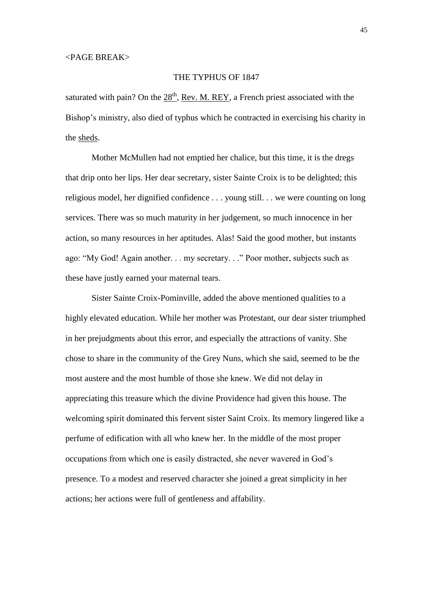## THE TYPHUS OF 1847

saturated with pain? On the  $28<sup>th</sup>$ , Rev. M. REY, a French priest associated with the Bishop's ministry, also died of typhus which he contracted in exercising his charity in the sheds.

Mother McMullen had not emptied her chalice, but this time, it is the dregs that drip onto her lips. Her dear secretary, sister Sainte Croix is to be delighted; this religious model, her dignified confidence . . . young still. . . we were counting on long services. There was so much maturity in her judgement, so much innocence in her action, so many resources in her aptitudes. Alas! Said the good mother, but instants ago: "My God! Again another. . . my secretary. . ." Poor mother, subjects such as these have justly earned your maternal tears.

Sister Sainte Croix-Pominville, added the above mentioned qualities to a highly elevated education. While her mother was Protestant, our dear sister triumphed in her prejudgments about this error, and especially the attractions of vanity. She chose to share in the community of the Grey Nuns, which she said, seemed to be the most austere and the most humble of those she knew. We did not delay in appreciating this treasure which the divine Providence had given this house. The welcoming spirit dominated this fervent sister Saint Croix. Its memory lingered like a perfume of edification with all who knew her. In the middle of the most proper occupations from which one is easily distracted, she never wavered in God's presence. To a modest and reserved character she joined a great simplicity in her actions; her actions were full of gentleness and affability.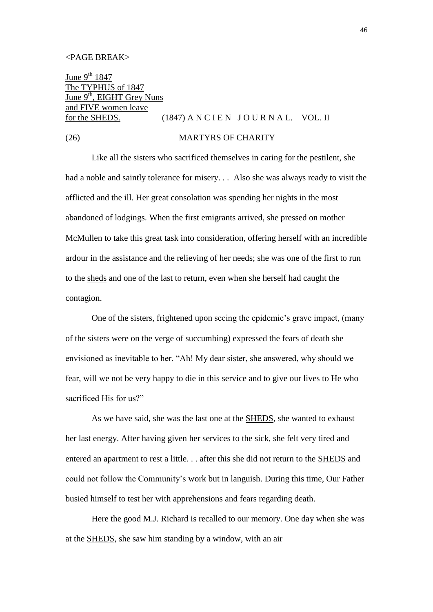June  $9^{th}$  1847 The TYPHUS of 1847 June 9<sup>th</sup>, EIGHT Grey Nuns and FIVE women leave for the SHEDS.  $(1847)$  A N C I E N J O U R N A L. VOL. II

#### (26) MARTYRS OF CHARITY

Like all the sisters who sacrificed themselves in caring for the pestilent, she had a noble and saintly tolerance for misery. . . Also she was always ready to visit the afflicted and the ill. Her great consolation was spending her nights in the most abandoned of lodgings. When the first emigrants arrived, she pressed on mother McMullen to take this great task into consideration, offering herself with an incredible ardour in the assistance and the relieving of her needs; she was one of the first to run to the sheds and one of the last to return, even when she herself had caught the contagion.

One of the sisters, frightened upon seeing the epidemic's grave impact, (many of the sisters were on the verge of succumbing) expressed the fears of death she envisioned as inevitable to her. "Ah! My dear sister, she answered, why should we fear, will we not be very happy to die in this service and to give our lives to He who sacrificed His for us?"

As we have said, she was the last one at the SHEDS, she wanted to exhaust her last energy. After having given her services to the sick, she felt very tired and entered an apartment to rest a little. . . after this she did not return to the SHEDS and could not follow the Community's work but in languish. During this time, Our Father busied himself to test her with apprehensions and fears regarding death.

Here the good M.J. Richard is recalled to our memory. One day when she was at the SHEDS, she saw him standing by a window, with an air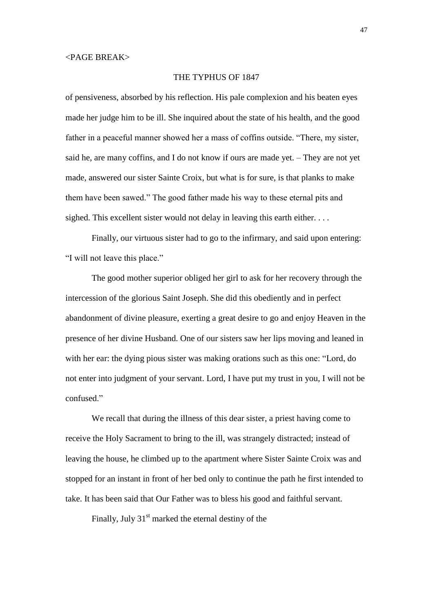## THE TYPHUS OF 1847

of pensiveness, absorbed by his reflection. His pale complexion and his beaten eyes made her judge him to be ill. She inquired about the state of his health, and the good father in a peaceful manner showed her a mass of coffins outside. "There, my sister, said he, are many coffins, and I do not know if ours are made yet. – They are not yet made, answered our sister Sainte Croix, but what is for sure, is that planks to make them have been sawed." The good father made his way to these eternal pits and sighed. This excellent sister would not delay in leaving this earth either. . . .

Finally, our virtuous sister had to go to the infirmary, and said upon entering: "I will not leave this place."

The good mother superior obliged her girl to ask for her recovery through the intercession of the glorious Saint Joseph. She did this obediently and in perfect abandonment of divine pleasure, exerting a great desire to go and enjoy Heaven in the presence of her divine Husband. One of our sisters saw her lips moving and leaned in with her ear: the dying pious sister was making orations such as this one: "Lord, do not enter into judgment of your servant. Lord, I have put my trust in you, I will not be confused."

We recall that during the illness of this dear sister, a priest having come to receive the Holy Sacrament to bring to the ill, was strangely distracted; instead of leaving the house, he climbed up to the apartment where Sister Sainte Croix was and stopped for an instant in front of her bed only to continue the path he first intended to take. It has been said that Our Father was to bless his good and faithful servant.

Finally, July  $31<sup>st</sup>$  marked the eternal destiny of the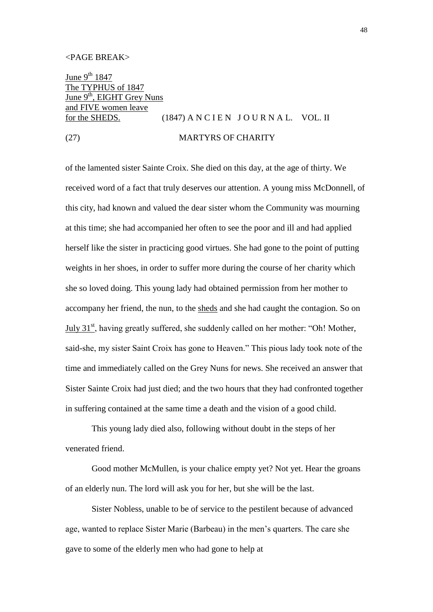June  $9^{th}$  1847 The TYPHUS of 1847 June  $9<sup>th</sup>$ , EIGHT Grey Nuns and FIVE women leave

## for the SHEDS.  $(1847)$  A N C I E N J O U R N A L. VOL. II

(27) MARTYRS OF CHARITY

of the lamented sister Sainte Croix. She died on this day, at the age of thirty. We received word of a fact that truly deserves our attention. A young miss McDonnell, of this city, had known and valued the dear sister whom the Community was mourning at this time; she had accompanied her often to see the poor and ill and had applied herself like the sister in practicing good virtues. She had gone to the point of putting weights in her shoes, in order to suffer more during the course of her charity which she so loved doing. This young lady had obtained permission from her mother to accompany her friend, the nun, to the sheds and she had caught the contagion. So on July  $31<sup>st</sup>$ , having greatly suffered, she suddenly called on her mother: "Oh! Mother, said-she, my sister Saint Croix has gone to Heaven." This pious lady took note of the time and immediately called on the Grey Nuns for news. She received an answer that Sister Sainte Croix had just died; and the two hours that they had confronted together in suffering contained at the same time a death and the vision of a good child.

This young lady died also, following without doubt in the steps of her venerated friend.

Good mother McMullen, is your chalice empty yet? Not yet. Hear the groans of an elderly nun. The lord will ask you for her, but she will be the last.

Sister Nobless, unable to be of service to the pestilent because of advanced age, wanted to replace Sister Marie (Barbeau) in the men's quarters. The care she gave to some of the elderly men who had gone to help at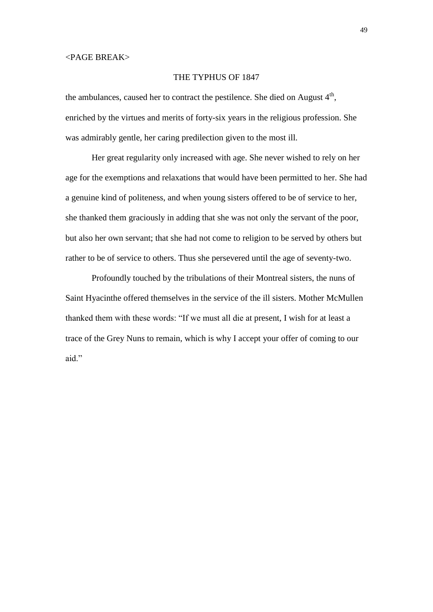## THE TYPHUS OF 1847

the ambulances, caused her to contract the pestilence. She died on August  $4<sup>th</sup>$ , enriched by the virtues and merits of forty-six years in the religious profession. She was admirably gentle, her caring predilection given to the most ill.

Her great regularity only increased with age. She never wished to rely on her age for the exemptions and relaxations that would have been permitted to her. She had a genuine kind of politeness, and when young sisters offered to be of service to her, she thanked them graciously in adding that she was not only the servant of the poor, but also her own servant; that she had not come to religion to be served by others but rather to be of service to others. Thus she persevered until the age of seventy-two.

Profoundly touched by the tribulations of their Montreal sisters, the nuns of Saint Hyacinthe offered themselves in the service of the ill sisters. Mother McMullen thanked them with these words: "If we must all die at present, I wish for at least a trace of the Grey Nuns to remain, which is why I accept your offer of coming to our aid."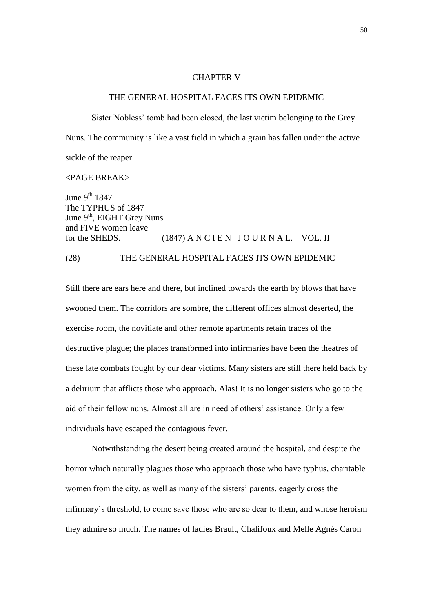## CHAPTER V

#### THE GENERAL HOSPITAL FACES ITS OWN EPIDEMIC

Sister Nobless' tomb had been closed, the last victim belonging to the Grey Nuns. The community is like a vast field in which a grain has fallen under the active sickle of the reaper.

<PAGE BREAK>

June  $9^{th}$  1847 The TYPHUS of 1847 June  $9<sup>th</sup>$ , EIGHT Grey Nuns and FIVE women leave for the SHEDS.  $(1847)$  A N C I E N J O U R N A L. VOL. II (28) THE GENERAL HOSPITAL FACES ITS OWN EPIDEMIC

Still there are ears here and there, but inclined towards the earth by blows that have swooned them. The corridors are sombre, the different offices almost deserted, the exercise room, the novitiate and other remote apartments retain traces of the destructive plague; the places transformed into infirmaries have been the theatres of these late combats fought by our dear victims. Many sisters are still there held back by a delirium that afflicts those who approach. Alas! It is no longer sisters who go to the aid of their fellow nuns. Almost all are in need of others' assistance. Only a few individuals have escaped the contagious fever.

Notwithstanding the desert being created around the hospital, and despite the horror which naturally plagues those who approach those who have typhus, charitable women from the city, as well as many of the sisters' parents, eagerly cross the infirmary's threshold, to come save those who are so dear to them, and whose heroism they admire so much. The names of ladies Brault, Chalifoux and Melle Agnès Caron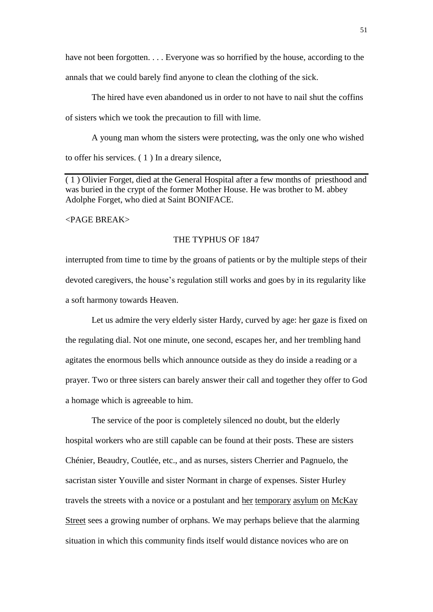have not been forgotten. . . . Everyone was so horrified by the house, according to the annals that we could barely find anyone to clean the clothing of the sick.

The hired have even abandoned us in order to not have to nail shut the coffins of sisters which we took the precaution to fill with lime.

A young man whom the sisters were protecting, was the only one who wished to offer his services. ( 1 ) In a dreary silence,

( 1 ) Olivier Forget, died at the General Hospital after a few months of priesthood and was buried in the crypt of the former Mother House. He was brother to M. abbey Adolphe Forget, who died at Saint BONIFACE.

<PAGE BREAK>

#### THE TYPHUS OF 1847

interrupted from time to time by the groans of patients or by the multiple steps of their devoted caregivers, the house's regulation still works and goes by in its regularity like a soft harmony towards Heaven.

Let us admire the very elderly sister Hardy, curved by age: her gaze is fixed on the regulating dial. Not one minute, one second, escapes her, and her trembling hand agitates the enormous bells which announce outside as they do inside a reading or a prayer. Two or three sisters can barely answer their call and together they offer to God a homage which is agreeable to him.

The service of the poor is completely silenced no doubt, but the elderly hospital workers who are still capable can be found at their posts. These are sisters Chénier, Beaudry, Coutlée, etc., and as nurses, sisters Cherrier and Pagnuelo, the sacristan sister Youville and sister Normant in charge of expenses. Sister Hurley travels the streets with a novice or a postulant and her temporary asylum on McKay Street sees a growing number of orphans. We may perhaps believe that the alarming situation in which this community finds itself would distance novices who are on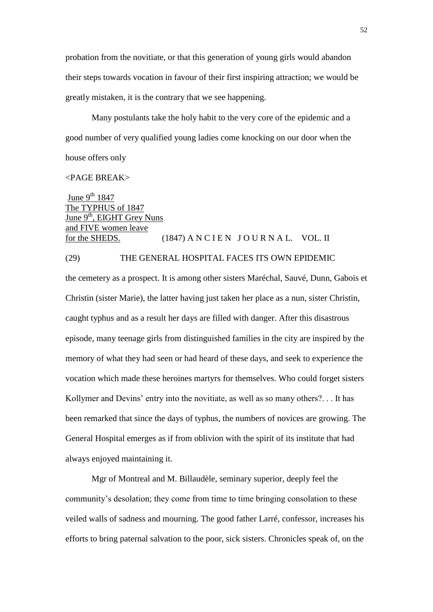probation from the novitiate, or that this generation of young girls would abandon their steps towards vocation in favour of their first inspiring attraction; we would be greatly mistaken, it is the contrary that we see happening.

Many postulants take the holy habit to the very core of the epidemic and a good number of very qualified young ladies come knocking on our door when the house offers only

#### <PAGE BREAK>

June 9<sup>th</sup> 1847 The TYPHUS of 1847 June  $9<sup>th</sup>$ , EIGHT Grey Nuns and FIVE women leave for the SHEDS.  $(1847)$  A N C I E N J O U R N A L. VOL. II

## (29) THE GENERAL HOSPITAL FACES ITS OWN EPIDEMIC

the cemetery as a prospect. It is among other sisters Maréchal, Sauvé, Dunn, Gabois et Christin (sister Marie), the latter having just taken her place as a nun, sister Christin, caught typhus and as a result her days are filled with danger. After this disastrous episode, many teenage girls from distinguished families in the city are inspired by the memory of what they had seen or had heard of these days, and seek to experience the vocation which made these heroines martyrs for themselves. Who could forget sisters Kollymer and Devins' entry into the novitiate, as well as so many others?. . . It has been remarked that since the days of typhus, the numbers of novices are growing. The General Hospital emerges as if from oblivion with the spirit of its institute that had always enjoyed maintaining it.

Mgr of Montreal and M. Billaudèle, seminary superior, deeply feel the community's desolation; they come from time to time bringing consolation to these veiled walls of sadness and mourning. The good father Larré, confessor, increases his efforts to bring paternal salvation to the poor, sick sisters. Chronicles speak of, on the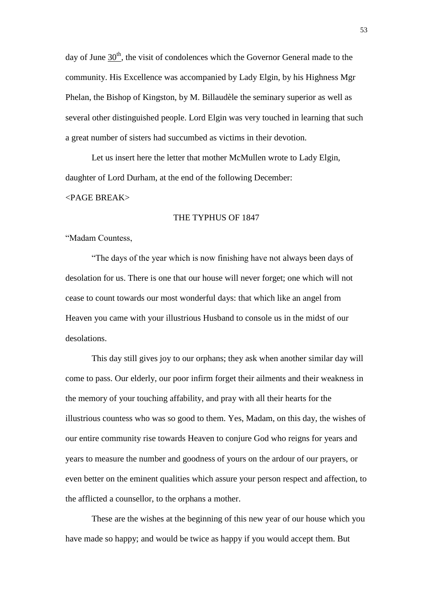day of June  $30<sup>th</sup>$ , the visit of condolences which the Governor General made to the community. His Excellence was accompanied by Lady Elgin, by his Highness Mgr Phelan, the Bishop of Kingston, by M. Billaudèle the seminary superior as well as several other distinguished people. Lord Elgin was very touched in learning that such a great number of sisters had succumbed as victims in their devotion.

Let us insert here the letter that mother McMullen wrote to Lady Elgin, daughter of Lord Durham, at the end of the following December:

#### <PAGE BREAK>

#### THE TYPHUS OF 1847

#### "Madam Countess,

"The days of the year which is now finishing have not always been days of desolation for us. There is one that our house will never forget; one which will not cease to count towards our most wonderful days: that which like an angel from Heaven you came with your illustrious Husband to console us in the midst of our desolations.

This day still gives joy to our orphans; they ask when another similar day will come to pass. Our elderly, our poor infirm forget their ailments and their weakness in the memory of your touching affability, and pray with all their hearts for the illustrious countess who was so good to them. Yes, Madam, on this day, the wishes of our entire community rise towards Heaven to conjure God who reigns for years and years to measure the number and goodness of yours on the ardour of our prayers, or even better on the eminent qualities which assure your person respect and affection, to the afflicted a counsellor, to the orphans a mother.

These are the wishes at the beginning of this new year of our house which you have made so happy; and would be twice as happy if you would accept them. But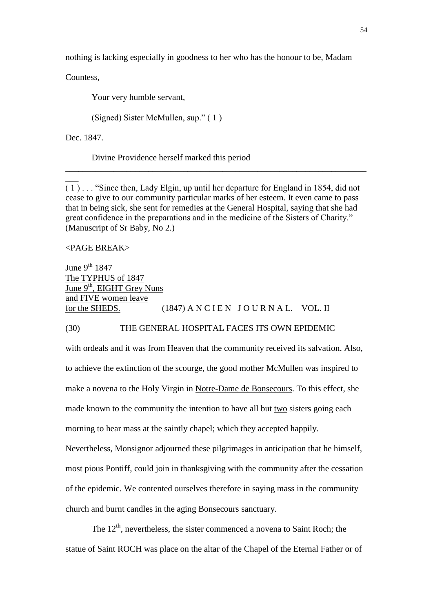nothing is lacking especially in goodness to her who has the honour to be, Madam

Countess,

Your very humble servant,

(Signed) Sister McMullen, sup." ( 1 )

Dec. 1847.

 $\overline{\phantom{a}}$ 

Divine Providence herself marked this period

( 1 ) . . . "Since then, Lady Elgin, up until her departure for England in 1854, did not cease to give to our community particular marks of her esteem. It even came to pass that in being sick, she sent for remedies at the General Hospital, saying that she had great confidence in the preparations and in the medicine of the Sisters of Charity." (Manuscript of Sr Baby, No 2.)

\_\_\_\_\_\_\_\_\_\_\_\_\_\_\_\_\_\_\_\_\_\_\_\_\_\_\_\_\_\_\_\_\_\_\_\_\_\_\_\_\_\_\_\_\_\_\_\_\_\_\_\_\_\_\_\_\_\_\_\_\_\_\_\_\_\_\_\_\_

## <PAGE BREAK>

June  $9^{th}$  1847 The TYPHUS of 1847 June 9<sup>th</sup>, EIGHT Grey Nuns and FIVE women leave for the SHEDS.  $(1847)$  A N C I E N J O U R N A L. VOL. II

#### (30) THE GENERAL HOSPITAL FACES ITS OWN EPIDEMIC

with ordeals and it was from Heaven that the community received its salvation. Also, to achieve the extinction of the scourge, the good mother McMullen was inspired to make a novena to the Holy Virgin in Notre-Dame de Bonsecours. To this effect, she made known to the community the intention to have all but two sisters going each morning to hear mass at the saintly chapel; which they accepted happily. Nevertheless, Monsignor adjourned these pilgrimages in anticipation that he himself, most pious Pontiff, could join in thanksgiving with the community after the cessation of the epidemic. We contented ourselves therefore in saying mass in the community church and burnt candles in the aging Bonsecours sanctuary.

The  $12<sup>th</sup>$ , nevertheless, the sister commenced a novena to Saint Roch; the statue of Saint ROCH was place on the altar of the Chapel of the Eternal Father or of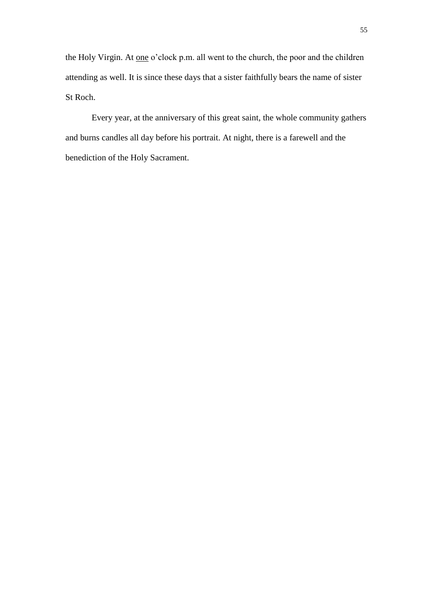the Holy Virgin. At <u>one</u> o'clock p.m. all went to the church, the poor and the children attending as well. It is since these days that a sister faithfully bears the name of sister St Roch.

Every year, at the anniversary of this great saint, the whole community gathers and burns candles all day before his portrait. At night, there is a farewell and the benediction of the Holy Sacrament.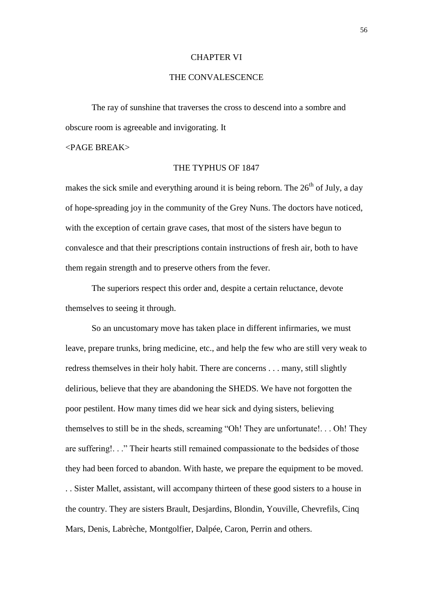#### CHAPTER VI

## THE CONVALESCENCE

The ray of sunshine that traverses the cross to descend into a sombre and obscure room is agreeable and invigorating. It

## <PAGE BREAK>

### THE TYPHUS OF 1847

makes the sick smile and everything around it is being reborn. The  $26<sup>th</sup>$  of July, a day of hope-spreading joy in the community of the Grey Nuns. The doctors have noticed, with the exception of certain grave cases, that most of the sisters have begun to convalesce and that their prescriptions contain instructions of fresh air, both to have them regain strength and to preserve others from the fever.

The superiors respect this order and, despite a certain reluctance, devote themselves to seeing it through.

So an uncustomary move has taken place in different infirmaries, we must leave, prepare trunks, bring medicine, etc., and help the few who are still very weak to redress themselves in their holy habit. There are concerns . . . many, still slightly delirious, believe that they are abandoning the SHEDS. We have not forgotten the poor pestilent. How many times did we hear sick and dying sisters, believing themselves to still be in the sheds, screaming "Oh! They are unfortunate!. . . Oh! They are suffering!. . ." Their hearts still remained compassionate to the bedsides of those they had been forced to abandon. With haste, we prepare the equipment to be moved. . . Sister Mallet, assistant, will accompany thirteen of these good sisters to a house in the country. They are sisters Brault, Desjardins, Blondin, Youville, Chevrefils, Cinq Mars, Denis, Labrèche, Montgolfier, Dalpée, Caron, Perrin and others.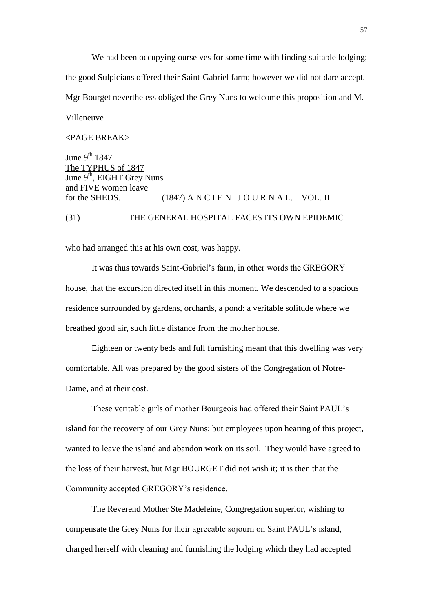We had been occupying ourselves for some time with finding suitable lodging; the good Sulpicians offered their Saint-Gabriel farm; however we did not dare accept. Mgr Bourget nevertheless obliged the Grey Nuns to welcome this proposition and M. Villeneuve

#### <PAGE BREAK>

June  $9^{th}$  1847 The TYPHUS of 1847 June  $9<sup>th</sup>$ . EIGHT Grey Nuns and FIVE women leave for the SHEDS.  $(1847)$  A N C I E N J O U R N A L. VOL. II (31) THE GENERAL HOSPITAL FACES ITS OWN EPIDEMIC

who had arranged this at his own cost, was happy.

It was thus towards Saint-Gabriel's farm, in other words the GREGORY house, that the excursion directed itself in this moment. We descended to a spacious residence surrounded by gardens, orchards, a pond: a veritable solitude where we breathed good air, such little distance from the mother house.

Eighteen or twenty beds and full furnishing meant that this dwelling was very comfortable. All was prepared by the good sisters of the Congregation of Notre-Dame, and at their cost.

These veritable girls of mother Bourgeois had offered their Saint PAUL's island for the recovery of our Grey Nuns; but employees upon hearing of this project, wanted to leave the island and abandon work on its soil. They would have agreed to the loss of their harvest, but Mgr BOURGET did not wish it; it is then that the Community accepted GREGORY's residence.

The Reverend Mother Ste Madeleine, Congregation superior, wishing to compensate the Grey Nuns for their agreeable sojourn on Saint PAUL's island, charged herself with cleaning and furnishing the lodging which they had accepted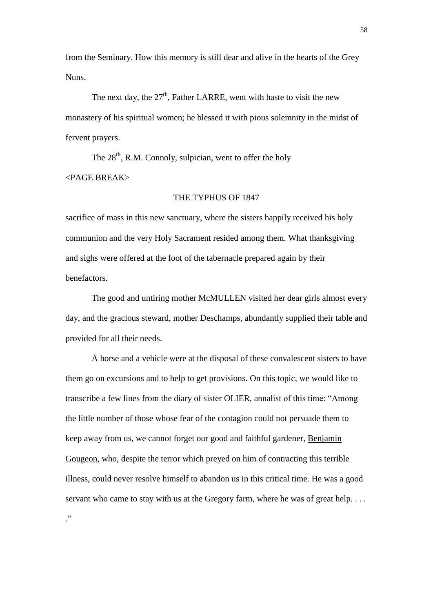from the Seminary. How this memory is still dear and alive in the hearts of the Grey Nuns.

The next day, the  $27<sup>th</sup>$ , Father LARRE, went with haste to visit the new monastery of his spiritual women; he blessed it with pious solemnity in the midst of fervent prayers.

The  $28<sup>th</sup>$ , R.M. Connoly, sulpician, went to offer the holy <PAGE BREAK>

## THE TYPHUS OF 1847

sacrifice of mass in this new sanctuary, where the sisters happily received his holy communion and the very Holy Sacrament resided among them. What thanksgiving and sighs were offered at the foot of the tabernacle prepared again by their benefactors.

The good and untiring mother McMULLEN visited her dear girls almost every day, and the gracious steward, mother Deschamps, abundantly supplied their table and provided for all their needs.

A horse and a vehicle were at the disposal of these convalescent sisters to have them go on excursions and to help to get provisions. On this topic, we would like to transcribe a few lines from the diary of sister OLIER, annalist of this time: "Among the little number of those whose fear of the contagion could not persuade them to keep away from us, we cannot forget our good and faithful gardener, Benjamin Gougeon, who, despite the terror which preyed on him of contracting this terrible illness, could never resolve himself to abandon us in this critical time. He was a good servant who came to stay with us at the Gregory farm, where he was of great help....

."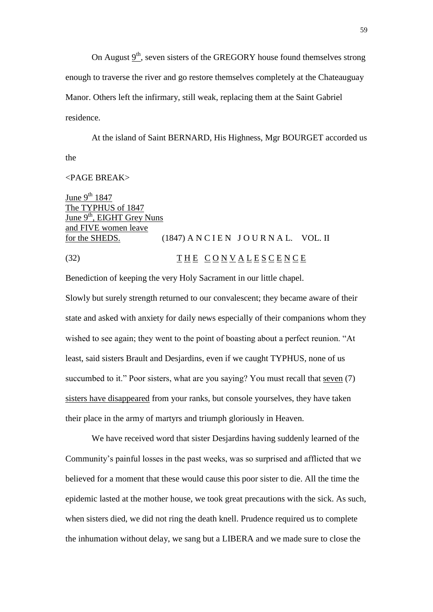On August  $9<sup>th</sup>$ , seven sisters of the GREGORY house found themselves strong enough to traverse the river and go restore themselves completely at the Chateauguay Manor. Others left the infirmary, still weak, replacing them at the Saint Gabriel residence.

At the island of Saint BERNARD, His Highness, Mgr BOURGET accorded us the

### <PAGE BREAK>

June  $9^{th}$  1847 The TYPHUS of 1847 June  $9<sup>th</sup>$ , EIGHT Grey Nuns and FIVE women leave for the SHEDS.  $(1847)$  A N C I E N J O U R N A L. VOL. II (32) THE CONVALESCENCE

Benediction of keeping the very Holy Sacrament in our little chapel.

Slowly but surely strength returned to our convalescent; they became aware of their state and asked with anxiety for daily news especially of their companions whom they wished to see again; they went to the point of boasting about a perfect reunion. "At least, said sisters Brault and Desjardins, even if we caught TYPHUS, none of us succumbed to it." Poor sisters, what are you saying? You must recall that seven (7) sisters have disappeared from your ranks, but console yourselves, they have taken their place in the army of martyrs and triumph gloriously in Heaven.

We have received word that sister Desjardins having suddenly learned of the Community's painful losses in the past weeks, was so surprised and afflicted that we believed for a moment that these would cause this poor sister to die. All the time the epidemic lasted at the mother house, we took great precautions with the sick. As such, when sisters died, we did not ring the death knell. Prudence required us to complete the inhumation without delay, we sang but a LIBERA and we made sure to close the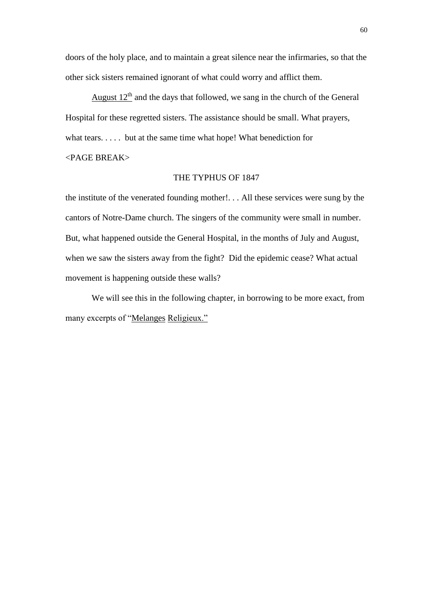doors of the holy place, and to maintain a great silence near the infirmaries, so that the other sick sisters remained ignorant of what could worry and afflict them.

August  $12<sup>th</sup>$  and the days that followed, we sang in the church of the General Hospital for these regretted sisters. The assistance should be small. What prayers, what tears. . . . . but at the same time what hope! What benediction for

# <PAGE BREAK>

#### THE TYPHUS OF 1847

the institute of the venerated founding mother!. . . All these services were sung by the cantors of Notre-Dame church. The singers of the community were small in number. But, what happened outside the General Hospital, in the months of July and August, when we saw the sisters away from the fight? Did the epidemic cease? What actual movement is happening outside these walls?

We will see this in the following chapter, in borrowing to be more exact, from many excerpts of "Melanges Religieux."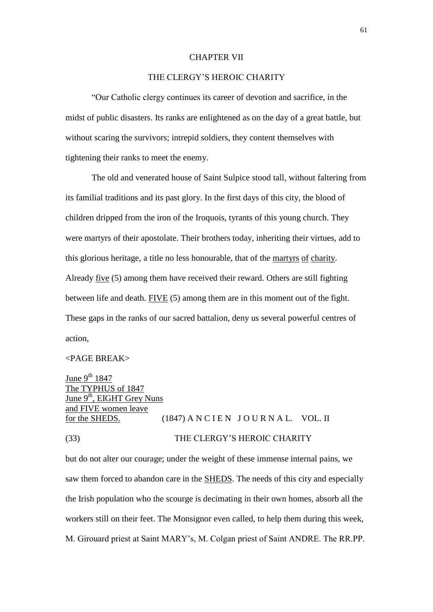#### CHAPTER VII

## THE CLERGY'S HEROIC CHARITY

"Our Catholic clergy continues its career of devotion and sacrifice, in the midst of public disasters. Its ranks are enlightened as on the day of a great battle, but without scaring the survivors; intrepid soldiers, they content themselves with tightening their ranks to meet the enemy.

The old and venerated house of Saint Sulpice stood tall, without faltering from its familial traditions and its past glory. In the first days of this city, the blood of children dripped from the iron of the Iroquois, tyrants of this young church. They were martyrs of their apostolate. Their brothers today, inheriting their virtues, add to this glorious heritage, a title no less honourable, that of the martyrs of charity. Already five (5) among them have received their reward. Others are still fighting between life and death. FIVE (5) among them are in this moment out of the fight. These gaps in the ranks of our sacred battalion, deny us several powerful centres of action,

## <PAGE BREAK>

June  $9^{th}$  1847 The TYPHUS of 1847 June  $9<sup>th</sup>$ , EIGHT Grey Nuns and FIVE women leave for the SHEDS.  $(1847)$  A N C I E N J O U R N A L. VOL. II (33) THE CLERGY'S HEROIC CHARITY

but do not alter our courage; under the weight of these immense internal pains, we saw them forced to abandon care in the SHEDS. The needs of this city and especially the Irish population who the scourge is decimating in their own homes, absorb all the workers still on their feet. The Monsignor even called, to help them during this week, M. Girouard priest at Saint MARY's, M. Colgan priest of Saint ANDRE. The RR.PP.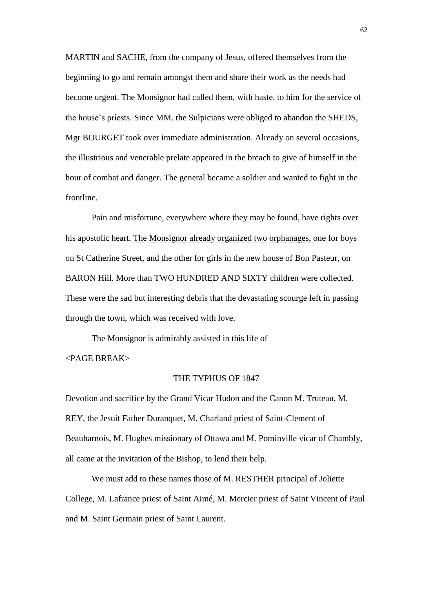MARTIN and SACHE, from the company of Jesus, offered themselves from the beginning to go and remain amongst them and share their work as the needs had become urgent. The Monsignor had called them, with haste, to him for the service of the house's priests. Since MM. the Sulpicians were obliged to abandon the SHEDS, Mgr BOURGET took over immediate administration. Already on several occasions, the illustrious and venerable prelate appeared in the breach to give of himself in the hour of combat and danger. The general became a soldier and wanted to fight in the frontline.

Pain and misfortune, everywhere where they may be found, have rights over his apostolic heart. The Monsignor already organized two orphanages, one for boys on St Catherine Street, and the other for girls in the new house of Bon Pasteur, on BARON Hill. More than TWO HUNDRED AND SIXTY children were collected. These were the sad but interesting debris that the devastating scourge left in passing through the town, which was received with love.

The Monsignor is admirably assisted in this life of <PAGE BREAK>

## THE TYPHUS OF 1847

Devotion and sacrifice by the Grand Vicar Hudon and the Canon M. Truteau, M. REY, the Jesuit Father Duranquet, M. Charland priest of Saint-Clement of Beauharnois, M. Hughes missionary of Ottawa and M. Pominville vicar of Chambly, all came at the invitation of the Bishop, to lend their help.

We must add to these names those of M. RESTHER principal of Joliette College, M. Lafrance priest of Saint Aimé, M. Mercier priest of Saint Vincent of Paul and M. Saint Germain priest of Saint Laurent.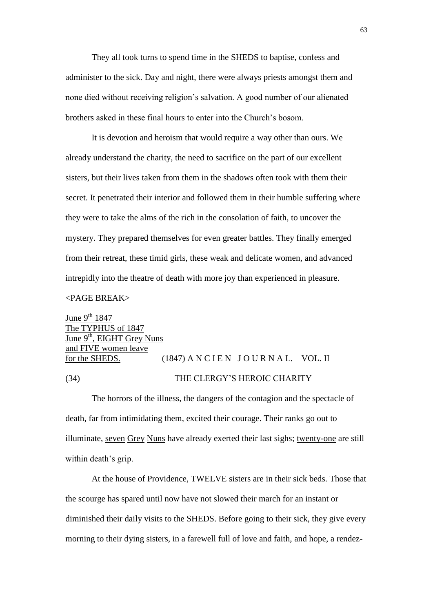They all took turns to spend time in the SHEDS to baptise, confess and administer to the sick. Day and night, there were always priests amongst them and none died without receiving religion's salvation. A good number of our alienated brothers asked in these final hours to enter into the Church's bosom.

It is devotion and heroism that would require a way other than ours. We already understand the charity, the need to sacrifice on the part of our excellent sisters, but their lives taken from them in the shadows often took with them their secret. It penetrated their interior and followed them in their humble suffering where they were to take the alms of the rich in the consolation of faith, to uncover the mystery. They prepared themselves for even greater battles. They finally emerged from their retreat, these timid girls, these weak and delicate women, and advanced intrepidly into the theatre of death with more joy than experienced in pleasure.

## <PAGE BREAK>

June  $9^{th}$  1847 The TYPHUS of 1847 June 9<sup>th</sup>, EIGHT Grey Nuns and FIVE women leave for the SHEDS.  $(1847)$  A N C I E N J O U R N A L. VOL. II (34) THE CLERGY'S HEROIC CHARITY

The horrors of the illness, the dangers of the contagion and the spectacle of death, far from intimidating them, excited their courage. Their ranks go out to illuminate, seven Grey Nuns have already exerted their last sighs; twenty-one are still within death's grip.

At the house of Providence, TWELVE sisters are in their sick beds. Those that the scourge has spared until now have not slowed their march for an instant or diminished their daily visits to the SHEDS. Before going to their sick, they give every morning to their dying sisters, in a farewell full of love and faith, and hope, a rendez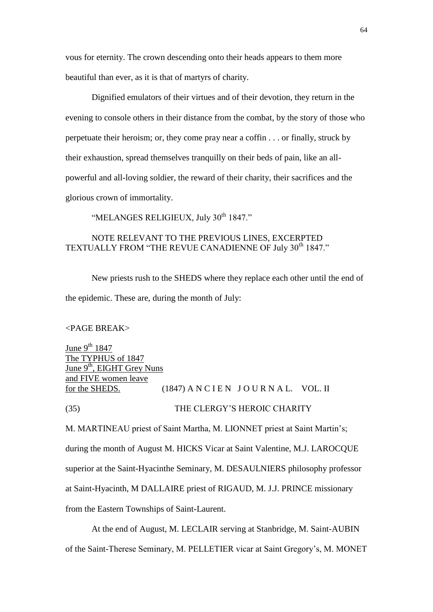vous for eternity. The crown descending onto their heads appears to them more beautiful than ever, as it is that of martyrs of charity.

Dignified emulators of their virtues and of their devotion, they return in the evening to console others in their distance from the combat, by the story of those who perpetuate their heroism; or, they come pray near a coffin . . . or finally, struck by their exhaustion, spread themselves tranquilly on their beds of pain, like an allpowerful and all-loving soldier, the reward of their charity, their sacrifices and the glorious crown of immortality.

"MELANGES RELIGIEUX, July 30<sup>th</sup> 1847."

## NOTE RELEVANT TO THE PREVIOUS LINES, EXCERPTED TEXTUALLY FROM "THE REVUE CANADIENNE OF July 30<sup>th</sup> 1847."

New priests rush to the SHEDS where they replace each other until the end of the epidemic. These are, during the month of July:

#### <PAGE BREAK>

June  $9^{th}$  1847 The TYPHUS of 1847 June 9<sup>th</sup>, EIGHT Grey Nuns and FIVE women leave for the SHEDS.  $(1847)$  A N C I E N J O U R N A L. VOL. II (35) THE CLERGY'S HEROIC CHARITY

M. MARTINEAU priest of Saint Martha, M. LIONNET priest at Saint Martin's; during the month of August M. HICKS Vicar at Saint Valentine, M.J. LAROCQUE superior at the Saint-Hyacinthe Seminary, M. DESAULNIERS philosophy professor at Saint-Hyacinth, M DALLAIRE priest of RIGAUD, M. J.J. PRINCE missionary from the Eastern Townships of Saint-Laurent.

At the end of August, M. LECLAIR serving at Stanbridge, M. Saint-AUBIN of the Saint-Therese Seminary, M. PELLETIER vicar at Saint Gregory's, M. MONET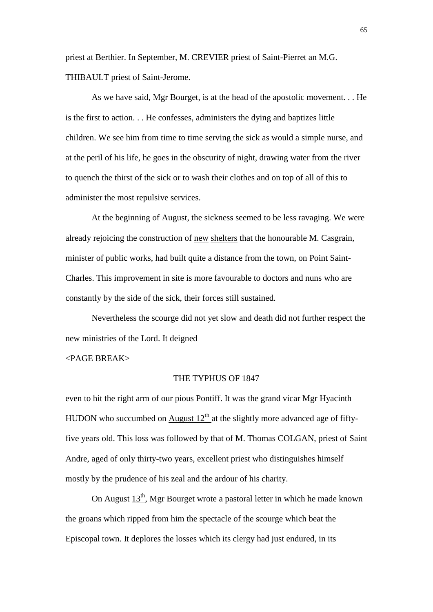priest at Berthier. In September, M. CREVIER priest of Saint-Pierret an M.G. THIBAULT priest of Saint-Jerome.

As we have said, Mgr Bourget, is at the head of the apostolic movement. . . He is the first to action. . . He confesses, administers the dying and baptizes little children. We see him from time to time serving the sick as would a simple nurse, and at the peril of his life, he goes in the obscurity of night, drawing water from the river to quench the thirst of the sick or to wash their clothes and on top of all of this to administer the most repulsive services.

At the beginning of August, the sickness seemed to be less ravaging. We were already rejoicing the construction of new shelters that the honourable M. Casgrain, minister of public works, had built quite a distance from the town, on Point Saint-Charles. This improvement in site is more favourable to doctors and nuns who are constantly by the side of the sick, their forces still sustained.

Nevertheless the scourge did not yet slow and death did not further respect the new ministries of the Lord. It deigned

## <PAGE BREAK>

## THE TYPHUS OF 1847

even to hit the right arm of our pious Pontiff. It was the grand vicar Mgr Hyacinth HUDON who succumbed on August  $12<sup>th</sup>$  at the slightly more advanced age of fiftyfive years old. This loss was followed by that of M. Thomas COLGAN, priest of Saint Andre, aged of only thirty-two years, excellent priest who distinguishes himself mostly by the prudence of his zeal and the ardour of his charity.

On August  $13<sup>th</sup>$ , Mgr Bourget wrote a pastoral letter in which he made known the groans which ripped from him the spectacle of the scourge which beat the Episcopal town. It deplores the losses which its clergy had just endured, in its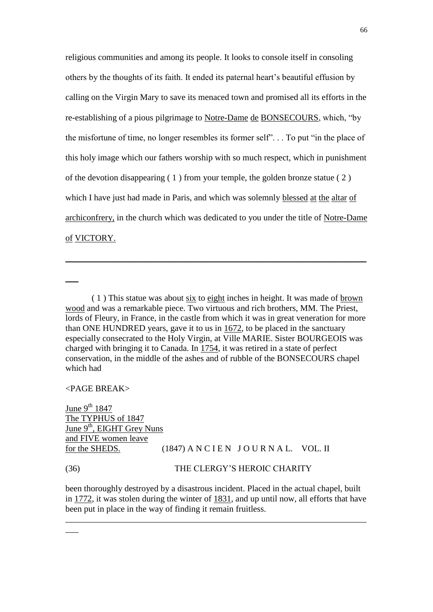religious communities and among its people. It looks to console itself in consoling others by the thoughts of its faith. It ended its paternal heart's beautiful effusion by calling on the Virgin Mary to save its menaced town and promised all its efforts in the re-establishing of a pious pilgrimage to Notre-Dame de BONSECOURS, which, "by the misfortune of time, no longer resembles its former self". . . To put "in the place of this holy image which our fathers worship with so much respect, which in punishment of the devotion disappearing  $(1)$  from your temple, the golden bronze statue  $(2)$ which I have just had made in Paris, and which was solemnly blessed at the altar of archiconfrery, in the church which was dedicated to you under the title of Notre-Dame of VICTORY.

\_\_\_\_\_\_\_\_\_\_\_\_\_\_\_\_\_\_\_\_\_\_\_\_\_\_\_\_\_\_\_\_\_\_\_\_\_\_\_\_\_\_\_\_\_\_\_\_\_\_\_\_\_\_\_\_\_\_\_\_\_\_\_\_\_\_\_\_\_

<PAGE BREAK>

 $\overline{\phantom{a}}$ 

 $\overline{\phantom{a}}$ 

June  $9^{th}$  1847 The TYPHUS of 1847 June 9<sup>th</sup>, EIGHT Grey Nuns and FIVE women leave for the SHEDS.  $(1847)$  A N C I E N J O U R N A L. VOL. II

## (36) THE CLERGY'S HEROIC CHARITY

been thoroughly destroyed by a disastrous incident. Placed in the actual chapel, built in 1772, it was stolen during the winter of 1831, and up until now, all efforts that have been put in place in the way of finding it remain fruitless.

\_\_\_\_\_\_\_\_\_\_\_\_\_\_\_\_\_\_\_\_\_\_\_\_\_\_\_\_\_\_\_\_\_\_\_\_\_\_\_\_\_\_\_\_\_\_\_\_\_\_\_\_\_\_\_\_\_\_\_\_\_\_\_\_\_\_\_\_\_

<sup>( 1 )</sup> This statue was about six to eight inches in height. It was made of brown wood and was a remarkable piece. Two virtuous and rich brothers, MM. The Priest, lords of Fleury, in France, in the castle from which it was in great veneration for more than ONE HUNDRED years, gave it to us in 1672, to be placed in the sanctuary especially consecrated to the Holy Virgin, at Ville MARIE. Sister BOURGEOIS was charged with bringing it to Canada. In 1754, it was retired in a state of perfect conservation, in the middle of the ashes and of rubble of the BONSECOURS chapel which had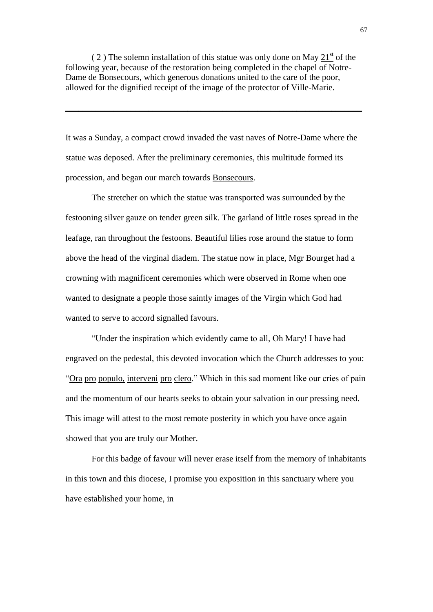$(2)$  The solemn installation of this statue was only done on May 21<sup>st</sup> of the following year, because of the restoration being completed in the chapel of Notre-Dame de Bonsecours, which generous donations united to the care of the poor, allowed for the dignified receipt of the image of the protector of Ville-Marie.

\_\_\_\_\_\_\_\_\_\_\_\_\_\_\_\_\_\_\_\_\_\_\_\_\_\_\_\_\_\_\_\_\_\_\_\_\_\_\_\_\_\_\_\_\_\_\_\_\_\_\_\_\_\_\_\_\_\_\_\_\_\_\_\_\_\_\_\_

It was a Sunday, a compact crowd invaded the vast naves of Notre-Dame where the statue was deposed. After the preliminary ceremonies, this multitude formed its procession, and began our march towards Bonsecours.

The stretcher on which the statue was transported was surrounded by the festooning silver gauze on tender green silk. The garland of little roses spread in the leafage, ran throughout the festoons. Beautiful lilies rose around the statue to form above the head of the virginal diadem. The statue now in place, Mgr Bourget had a crowning with magnificent ceremonies which were observed in Rome when one wanted to designate a people those saintly images of the Virgin which God had wanted to serve to accord signalled favours.

"Under the inspiration which evidently came to all, Oh Mary! I have had engraved on the pedestal, this devoted invocation which the Church addresses to you: "Ora pro populo, interveni pro clero." Which in this sad moment like our cries of pain and the momentum of our hearts seeks to obtain your salvation in our pressing need. This image will attest to the most remote posterity in which you have once again showed that you are truly our Mother.

For this badge of favour will never erase itself from the memory of inhabitants in this town and this diocese, I promise you exposition in this sanctuary where you have established your home, in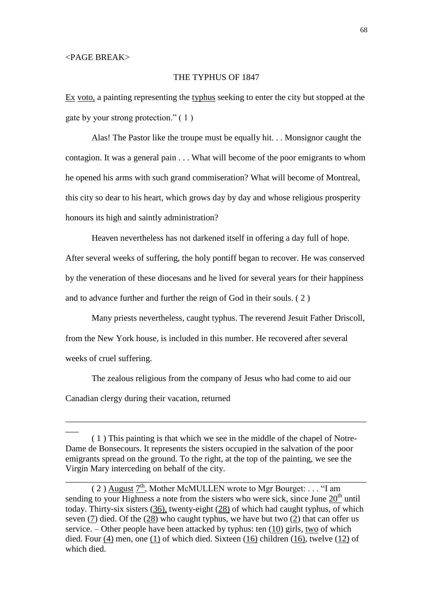$\overline{\phantom{a}}$ 

## THE TYPHUS OF 1847

Ex voto, a painting representing the typhus seeking to enter the city but stopped at the gate by your strong protection." ( 1 )

Alas! The Pastor like the troupe must be equally hit. . . Monsignor caught the contagion. It was a general pain . . . What will become of the poor emigrants to whom he opened his arms with such grand commiseration? What will become of Montreal, this city so dear to his heart, which grows day by day and whose religious prosperity honours its high and saintly administration?

Heaven nevertheless has not darkened itself in offering a day full of hope.

After several weeks of suffering, the holy pontiff began to recover. He was conserved by the veneration of these diocesans and he lived for several years for their happiness and to advance further and further the reign of God in their souls. ( 2 )

Many priests nevertheless, caught typhus. The reverend Jesuit Father Driscoll, from the New York house, is included in this number. He recovered after several weeks of cruel suffering.

The zealous religious from the company of Jesus who had come to aid our Canadian clergy during their vacation, returned

\_\_\_\_\_\_\_\_\_\_\_\_\_\_\_\_\_\_\_\_\_\_\_\_\_\_\_\_\_\_\_\_\_\_\_\_\_\_\_\_\_\_\_\_\_\_\_\_\_\_\_\_\_\_\_\_\_\_\_\_\_\_\_\_\_\_\_\_\_

\_\_\_\_\_\_\_\_\_\_\_\_\_\_\_\_\_\_\_\_\_\_\_\_\_\_\_\_\_\_\_\_\_\_\_\_\_\_\_\_\_\_\_\_\_\_\_\_\_\_\_\_\_\_\_\_\_\_\_\_\_\_\_\_\_\_\_\_\_

<sup>( 1 )</sup> This painting is that which we see in the middle of the chapel of Notre-Dame de Bonsecours. It represents the sisters occupied in the salvation of the poor emigrants spread on the ground. To the right, at the top of the painting, we see the Virgin Mary interceding on behalf of the city.

<sup>(2)</sup>  $\Delta$ ugust  $7<sup>th</sup>$ , Mother McMULLEN wrote to Mgr Bourget: . . . "I am sending to your Highness a note from the sisters who were sick, since June  $20<sup>th</sup>$  until today. Thirty-six sisters (36), twenty-eight (28) of which had caught typhus, of which seven (7) died. Of the (28) who caught typhus, we have but two (2) that can offer us service. – Other people have been attacked by typhus: ten (10) girls, two of which died. Four (4) men, one (1) of which died. Sixteen (16) children (16), twelve (12) of which died.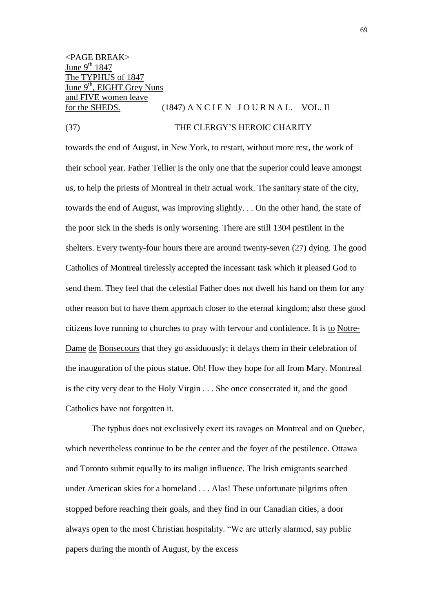<PAGE BREAK> June  $9<sup>th</sup> 1847$ The TYPHUS of 1847 June 9<sup>th</sup>, EIGHT Grey Nuns and FIVE women leave for the SHEDS.  $(1847)$  A N C I E N J O U R N A L. VOL. II

#### (37) THE CLERGY'S HEROIC CHARITY

towards the end of August, in New York, to restart, without more rest, the work of their school year. Father Tellier is the only one that the superior could leave amongst us, to help the priests of Montreal in their actual work. The sanitary state of the city, towards the end of August, was improving slightly. . . On the other hand, the state of the poor sick in the sheds is only worsening. There are still 1304 pestilent in the shelters. Every twenty-four hours there are around twenty-seven (27) dying. The good Catholics of Montreal tirelessly accepted the incessant task which it pleased God to send them. They feel that the celestial Father does not dwell his hand on them for any other reason but to have them approach closer to the eternal kingdom; also these good citizens love running to churches to pray with fervour and confidence. It is to Notre-Dame de Bonsecours that they go assiduously; it delays them in their celebration of the inauguration of the pious statue. Oh! How they hope for all from Mary. Montreal is the city very dear to the Holy Virgin . . . She once consecrated it, and the good Catholics have not forgotten it.

The typhus does not exclusively exert its ravages on Montreal and on Quebec, which nevertheless continue to be the center and the foyer of the pestilence. Ottawa and Toronto submit equally to its malign influence. The Irish emigrants searched under American skies for a homeland . . . Alas! These unfortunate pilgrims often stopped before reaching their goals, and they find in our Canadian cities, a door always open to the most Christian hospitality. "We are utterly alarmed, say public papers during the month of August, by the excess

69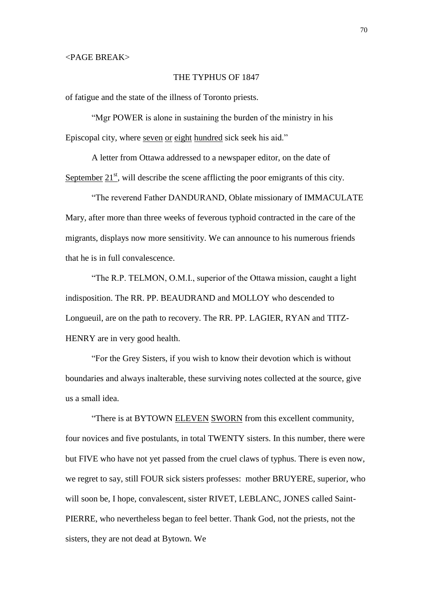## THE TYPHUS OF 1847

of fatigue and the state of the illness of Toronto priests.

"Mgr POWER is alone in sustaining the burden of the ministry in his Episcopal city, where seven or eight hundred sick seek his aid."

A letter from Ottawa addressed to a newspaper editor, on the date of September  $21<sup>st</sup>$ , will describe the scene afflicting the poor emigrants of this city.

"The reverend Father DANDURAND, Oblate missionary of IMMACULATE Mary, after more than three weeks of feverous typhoid contracted in the care of the migrants, displays now more sensitivity. We can announce to his numerous friends that he is in full convalescence.

"The R.P. TELMON, O.M.I., superior of the Ottawa mission, caught a light indisposition. The RR. PP. BEAUDRAND and MOLLOY who descended to Longueuil, are on the path to recovery. The RR. PP. LAGIER, RYAN and TITZ-HENRY are in very good health.

"For the Grey Sisters, if you wish to know their devotion which is without boundaries and always inalterable, these surviving notes collected at the source, give us a small idea.

"There is at BYTOWN ELEVEN SWORN from this excellent community, four novices and five postulants, in total TWENTY sisters. In this number, there were but FIVE who have not yet passed from the cruel claws of typhus. There is even now, we regret to say, still FOUR sick sisters professes: mother BRUYERE, superior, who will soon be, I hope, convalescent, sister RIVET, LEBLANC, JONES called Saint-PIERRE, who nevertheless began to feel better. Thank God, not the priests, not the sisters, they are not dead at Bytown. We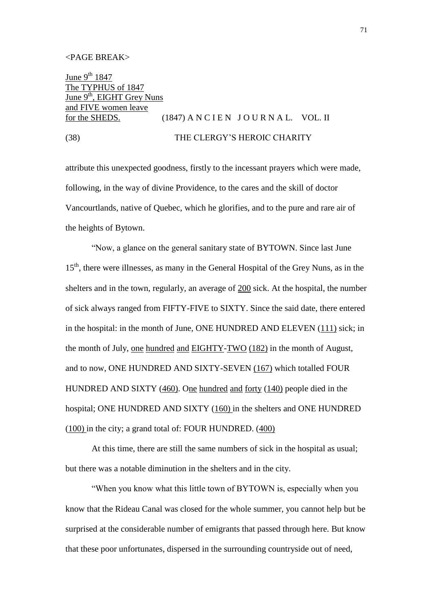June  $9^{th}$  1847 The TYPHUS of 1847 June 9<sup>th</sup>, EIGHT Grey Nuns and FIVE women leave for the SHEDS.  $(1847)$  A N C I E N J O U R N A L. VOL. II

# (38) THE CLERGY'S HEROIC CHARITY

attribute this unexpected goodness, firstly to the incessant prayers which were made, following, in the way of divine Providence, to the cares and the skill of doctor Vancourtlands, native of Quebec, which he glorifies, and to the pure and rare air of the heights of Bytown.

"Now, a glance on the general sanitary state of BYTOWN. Since last June 15<sup>th</sup>, there were illnesses, as many in the General Hospital of the Grey Nuns, as in the shelters and in the town, regularly, an average of 200 sick. At the hospital, the number of sick always ranged from FIFTY-FIVE to SIXTY. Since the said date, there entered in the hospital: in the month of June, ONE HUNDRED AND ELEVEN (111) sick; in the month of July, one hundred and EIGHTY-TWO (182) in the month of August, and to now, ONE HUNDRED AND SIXTY-SEVEN (167) which totalled FOUR HUNDRED AND SIXTY (460). One hundred and forty (140) people died in the hospital; ONE HUNDRED AND SIXTY (160) in the shelters and ONE HUNDRED (100) in the city; a grand total of: FOUR HUNDRED. (400)

At this time, there are still the same numbers of sick in the hospital as usual; but there was a notable diminution in the shelters and in the city.

"When you know what this little town of BYTOWN is, especially when you know that the Rideau Canal was closed for the whole summer, you cannot help but be surprised at the considerable number of emigrants that passed through here. But know that these poor unfortunates, dispersed in the surrounding countryside out of need,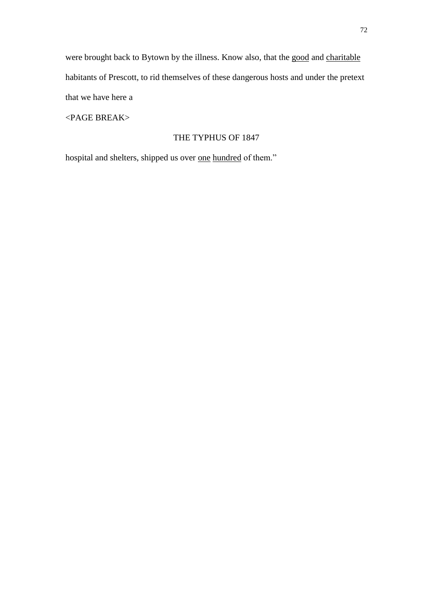were brought back to Bytown by the illness. Know also, that the good and charitable habitants of Prescott, to rid themselves of these dangerous hosts and under the pretext that we have here a

<PAGE BREAK>

## THE TYPHUS OF 1847

hospital and shelters, shipped us over one hundred of them."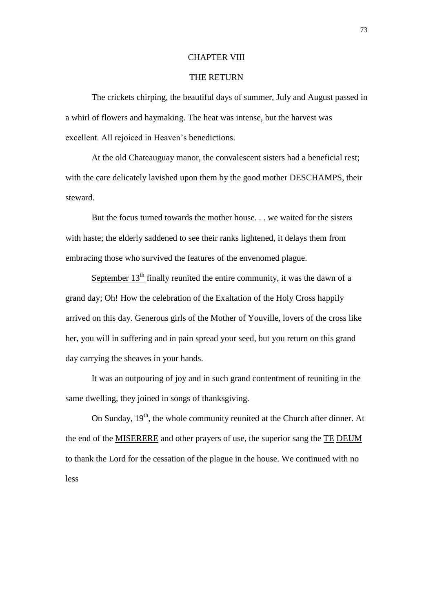#### CHAPTER VIII

# THE RETURN

The crickets chirping, the beautiful days of summer, July and August passed in a whirl of flowers and haymaking. The heat was intense, but the harvest was excellent. All rejoiced in Heaven's benedictions.

At the old Chateauguay manor, the convalescent sisters had a beneficial rest; with the care delicately lavished upon them by the good mother DESCHAMPS, their steward.

But the focus turned towards the mother house. . . we waited for the sisters with haste; the elderly saddened to see their ranks lightened, it delays them from embracing those who survived the features of the envenomed plague.

September  $13<sup>th</sup>$  finally reunited the entire community, it was the dawn of a grand day; Oh! How the celebration of the Exaltation of the Holy Cross happily arrived on this day. Generous girls of the Mother of Youville, lovers of the cross like her, you will in suffering and in pain spread your seed, but you return on this grand day carrying the sheaves in your hands.

It was an outpouring of joy and in such grand contentment of reuniting in the same dwelling, they joined in songs of thanksgiving.

On Sunday,  $19<sup>th</sup>$ , the whole community reunited at the Church after dinner. At the end of the MISERERE and other prayers of use, the superior sang the TE DEUM to thank the Lord for the cessation of the plague in the house. We continued with no less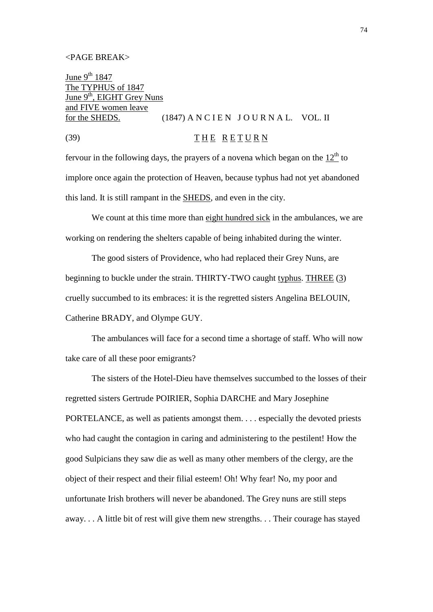#### <PAGE BREAK>

June  $9^{th}$  1847 The TYPHUS of 1847 June 9<sup>th</sup>, EIGHT Grey Nuns and FIVE women leave for the SHEDS.  $(1847)$  A N C I E N J O U R N A L. VOL. II

(39)  $\overline{T} \underline{H} \underline{E} \underline{R} \underline{E} \underline{T} \underline{U} \underline{R} \underline{N}$ 

fervour in the following days, the prayers of a novena which began on the  $12<sup>th</sup>$  to implore once again the protection of Heaven, because typhus had not yet abandoned this land. It is still rampant in the SHEDS, and even in the city.

We count at this time more than eight hundred sick in the ambulances, we are working on rendering the shelters capable of being inhabited during the winter.

The good sisters of Providence, who had replaced their Grey Nuns, are beginning to buckle under the strain. THIRTY-TWO caught typhus. THREE (3) cruelly succumbed to its embraces: it is the regretted sisters Angelina BELOUIN, Catherine BRADY, and Olympe GUY.

The ambulances will face for a second time a shortage of staff. Who will now take care of all these poor emigrants?

The sisters of the Hotel-Dieu have themselves succumbed to the losses of their regretted sisters Gertrude POIRIER, Sophia DARCHE and Mary Josephine PORTELANCE, as well as patients amongst them. . . . especially the devoted priests who had caught the contagion in caring and administering to the pestilent! How the good Sulpicians they saw die as well as many other members of the clergy, are the object of their respect and their filial esteem! Oh! Why fear! No, my poor and unfortunate Irish brothers will never be abandoned. The Grey nuns are still steps away. . . A little bit of rest will give them new strengths. . . Their courage has stayed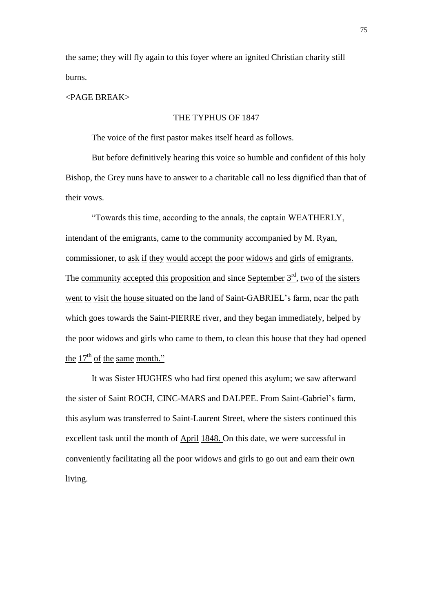the same; they will fly again to this foyer where an ignited Christian charity still burns.

#### <PAGE BREAK>

# THE TYPHUS OF 1847

The voice of the first pastor makes itself heard as follows.

But before definitively hearing this voice so humble and confident of this holy Bishop, the Grey nuns have to answer to a charitable call no less dignified than that of their vows.

"Towards this time, according to the annals, the captain WEATHERLY, intendant of the emigrants, came to the community accompanied by M. Ryan, commissioner, to ask if they would accept the poor widows and girls of emigrants. The community accepted this proposition and since September 3<sup>rd</sup>, two of the sisters went to visit the house situated on the land of Saint-GABRIEL's farm, near the path which goes towards the Saint-PIERRE river, and they began immediately, helped by the poor widows and girls who came to them, to clean this house that they had opened the  $17<sup>th</sup>$  of the same month."

It was Sister HUGHES who had first opened this asylum; we saw afterward the sister of Saint ROCH, CINC-MARS and DALPEE. From Saint-Gabriel's farm, this asylum was transferred to Saint-Laurent Street, where the sisters continued this excellent task until the month of April 1848. On this date, we were successful in conveniently facilitating all the poor widows and girls to go out and earn their own living.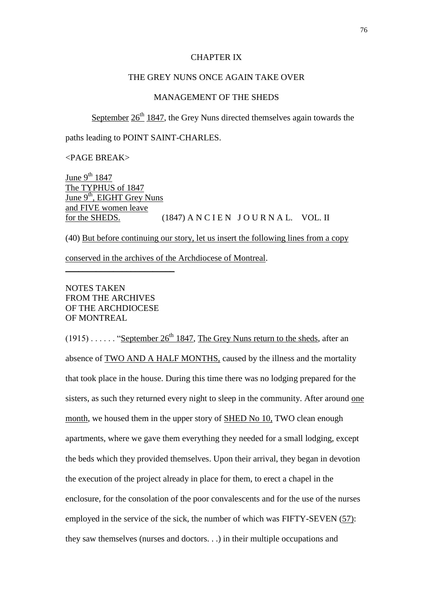#### CHAPTER IX

# THE GREY NUNS ONCE AGAIN TAKE OVER

# MANAGEMENT OF THE SHEDS

September  $26<sup>th</sup> 1847$ , the Grey Nuns directed themselves again towards the

paths leading to POINT SAINT-CHARLES.

# <PAGE BREAK>

June  $9^{th}$  1847 The TYPHUS of 1847 June 9<sup>th</sup>, EIGHT Grey Nuns and FIVE women leave for the SHEDS.  $(1847)$  A N C I E N J O U R N A L. VOL. II

(40) But before continuing our story, let us insert the following lines from a copy

conserved in the archives of the Archdiocese of Montreal.

# NOTES TAKEN FROM THE ARCHIVES OF THE ARCHDIOCESE OF MONTREAL

\_\_\_\_\_\_\_\_\_\_\_\_\_\_\_\_\_\_\_\_\_\_\_\_\_

 $(1915)$ ..... "September 26<sup>th</sup> 1847, The Grey Nuns return to the sheds, after an absence of TWO AND A HALF MONTHS, caused by the illness and the mortality that took place in the house. During this time there was no lodging prepared for the sisters, as such they returned every night to sleep in the community. After around one month, we housed them in the upper story of SHED No 10, TWO clean enough apartments, where we gave them everything they needed for a small lodging, except the beds which they provided themselves. Upon their arrival, they began in devotion the execution of the project already in place for them, to erect a chapel in the enclosure, for the consolation of the poor convalescents and for the use of the nurses employed in the service of the sick, the number of which was FIFTY-SEVEN (57): they saw themselves (nurses and doctors. . .) in their multiple occupations and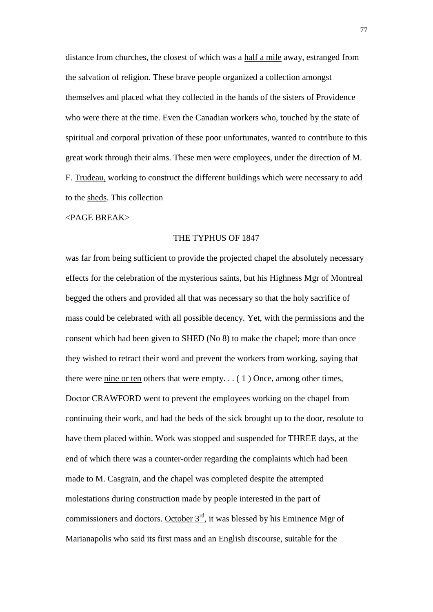distance from churches, the closest of which was a half a mile away, estranged from the salvation of religion. These brave people organized a collection amongst themselves and placed what they collected in the hands of the sisters of Providence who were there at the time. Even the Canadian workers who, touched by the state of spiritual and corporal privation of these poor unfortunates, wanted to contribute to this great work through their alms. These men were employees, under the direction of M. F. Trudeau, working to construct the different buildings which were necessary to add to the sheds. This collection

#### <PAGE BREAK>

#### THE TYPHUS OF 1847

was far from being sufficient to provide the projected chapel the absolutely necessary effects for the celebration of the mysterious saints, but his Highness Mgr of Montreal begged the others and provided all that was necessary so that the holy sacrifice of mass could be celebrated with all possible decency. Yet, with the permissions and the consent which had been given to SHED (No 8) to make the chapel; more than once they wished to retract their word and prevent the workers from working, saying that there were nine or ten others that were empty...  $(1)$  Once, among other times, Doctor CRAWFORD went to prevent the employees working on the chapel from continuing their work, and had the beds of the sick brought up to the door, resolute to have them placed within. Work was stopped and suspended for THREE days, at the end of which there was a counter-order regarding the complaints which had been made to M. Casgrain, and the chapel was completed despite the attempted molestations during construction made by people interested in the part of commissioners and doctors. October  $3<sup>rd</sup>$ , it was blessed by his Eminence Mgr of Marianapolis who said its first mass and an English discourse, suitable for the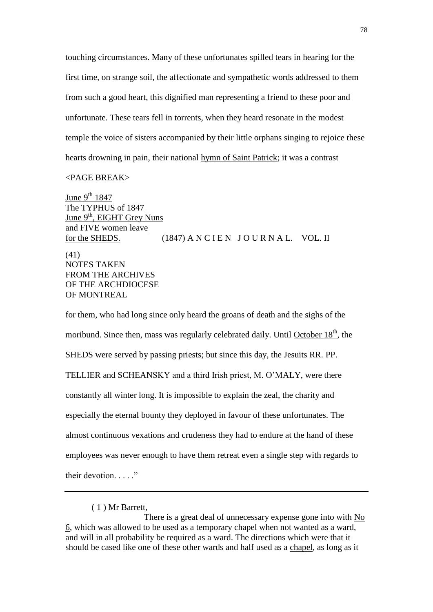touching circumstances. Many of these unfortunates spilled tears in hearing for the first time, on strange soil, the affectionate and sympathetic words addressed to them from such a good heart, this dignified man representing a friend to these poor and unfortunate. These tears fell in torrents, when they heard resonate in the modest temple the voice of sisters accompanied by their little orphans singing to rejoice these hearts drowning in pain, their national hymn of Saint Patrick; it was a contrast

# <PAGE BREAK>

June 9<sup>th</sup> 1847 The TYPHUS of 1847 June  $9<sup>th</sup>$ , EIGHT Grey Nuns and FIVE women leave for the SHEDS.  $(1847)$  A N C I E N J O U R N A L. VOL. II (41) NOTES TAKEN FROM THE ARCHIVES OF THE ARCHDIOCESE OF MONTREAL

for them, who had long since only heard the groans of death and the sighs of the moribund. Since then, mass was regularly celebrated daily. Until October 18<sup>th</sup>, the SHEDS were served by passing priests; but since this day, the Jesuits RR. PP. TELLIER and SCHEANSKY and a third Irish priest, M. O'MALY, were there constantly all winter long. It is impossible to explain the zeal, the charity and especially the eternal bounty they deployed in favour of these unfortunates. The almost continuous vexations and crudeness they had to endure at the hand of these employees was never enough to have them retreat even a single step with regards to their devotion. . . . ."

( 1 ) Mr Barrett,

There is a great deal of unnecessary expense gone into with No 6, which was allowed to be used as a temporary chapel when not wanted as a ward, and will in all probability be required as a ward. The directions which were that it should be cased like one of these other wards and half used as a chapel, as long as it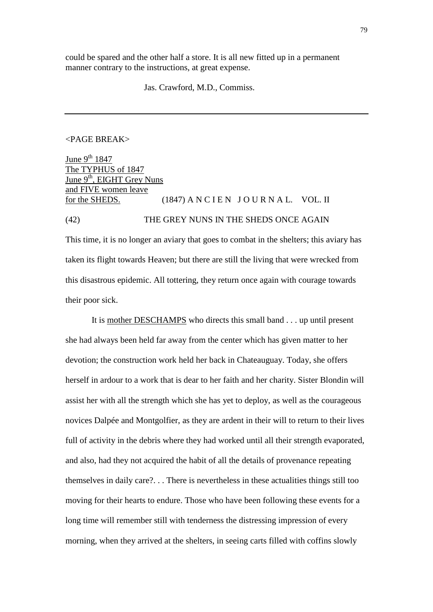could be spared and the other half a store. It is all new fitted up in a permanent manner contrary to the instructions, at great expense.

Jas. Crawford, M.D., Commiss.

# <PAGE BREAK>

June  $9^{th}$  1847 The TYPHUS of 1847 June 9<sup>th</sup>, EIGHT Grey Nuns and FIVE women leave for the SHEDS. (1847) A N C I E N  $J$  O U R N A L. VOL. II

(42) THE GREY NUNS IN THE SHEDS ONCE AGAIN

This time, it is no longer an aviary that goes to combat in the shelters; this aviary has taken its flight towards Heaven; but there are still the living that were wrecked from this disastrous epidemic. All tottering, they return once again with courage towards their poor sick.

It is mother DESCHAMPS who directs this small band . . . up until present she had always been held far away from the center which has given matter to her devotion; the construction work held her back in Chateauguay. Today, she offers herself in ardour to a work that is dear to her faith and her charity. Sister Blondin will assist her with all the strength which she has yet to deploy, as well as the courageous novices Dalpée and Montgolfier, as they are ardent in their will to return to their lives full of activity in the debris where they had worked until all their strength evaporated, and also, had they not acquired the habit of all the details of provenance repeating themselves in daily care?. . . There is nevertheless in these actualities things still too moving for their hearts to endure. Those who have been following these events for a long time will remember still with tenderness the distressing impression of every morning, when they arrived at the shelters, in seeing carts filled with coffins slowly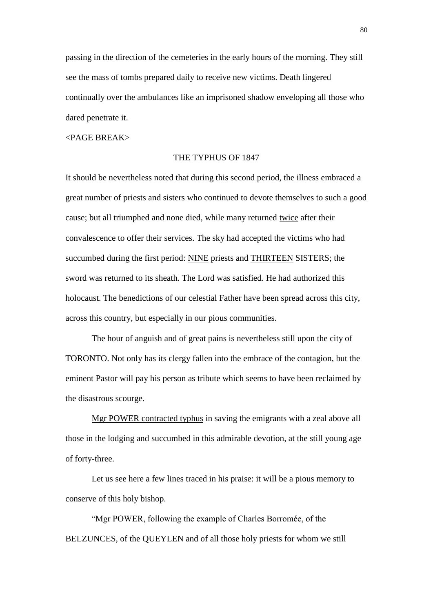passing in the direction of the cemeteries in the early hours of the morning. They still see the mass of tombs prepared daily to receive new victims. Death lingered continually over the ambulances like an imprisoned shadow enveloping all those who dared penetrate it.

#### <PAGE BREAK>

#### THE TYPHUS OF 1847

It should be nevertheless noted that during this second period, the illness embraced a great number of priests and sisters who continued to devote themselves to such a good cause; but all triumphed and none died, while many returned twice after their convalescence to offer their services. The sky had accepted the victims who had succumbed during the first period: NINE priests and THIRTEEN SISTERS; the sword was returned to its sheath. The Lord was satisfied. He had authorized this holocaust. The benedictions of our celestial Father have been spread across this city, across this country, but especially in our pious communities.

The hour of anguish and of great pains is nevertheless still upon the city of TORONTO. Not only has its clergy fallen into the embrace of the contagion, but the eminent Pastor will pay his person as tribute which seems to have been reclaimed by the disastrous scourge.

Mgr POWER contracted typhus in saving the emigrants with a zeal above all those in the lodging and succumbed in this admirable devotion, at the still young age of forty-three.

Let us see here a few lines traced in his praise: it will be a pious memory to conserve of this holy bishop.

"Mgr POWER, following the example of Charles Borromée, of the BELZUNCES, of the QUEYLEN and of all those holy priests for whom we still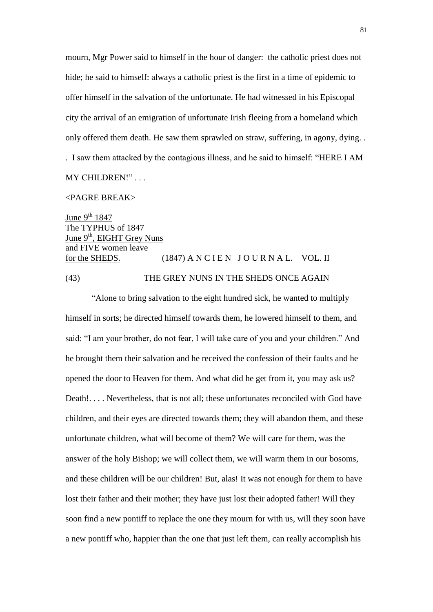mourn, Mgr Power said to himself in the hour of danger: the catholic priest does not hide; he said to himself: always a catholic priest is the first in a time of epidemic to offer himself in the salvation of the unfortunate. He had witnessed in his Episcopal city the arrival of an emigration of unfortunate Irish fleeing from a homeland which only offered them death. He saw them sprawled on straw, suffering, in agony, dying. . . I saw them attacked by the contagious illness, and he said to himself: "HERE I AM MY CHILDREN!" . . .

#### <PAGRE BREAK>

June  $9^{th}$  1847 The TYPHUS of 1847 June 9<sup>th</sup>, EIGHT Grey Nuns and FIVE women leave for the SHEDS.  $(1847)$  A N C I E N J O U R N A L. VOL. II (43) THE GREY NUNS IN THE SHEDS ONCE AGAIN

"Alone to bring salvation to the eight hundred sick, he wanted to multiply himself in sorts; he directed himself towards them, he lowered himself to them, and said: "I am your brother, do not fear, I will take care of you and your children." And he brought them their salvation and he received the confession of their faults and he opened the door to Heaven for them. And what did he get from it, you may ask us? Death!. . . . Nevertheless, that is not all; these unfortunates reconciled with God have children, and their eyes are directed towards them; they will abandon them, and these unfortunate children, what will become of them? We will care for them, was the answer of the holy Bishop; we will collect them, we will warm them in our bosoms, and these children will be our children! But, alas! It was not enough for them to have lost their father and their mother; they have just lost their adopted father! Will they soon find a new pontiff to replace the one they mourn for with us, will they soon have a new pontiff who, happier than the one that just left them, can really accomplish his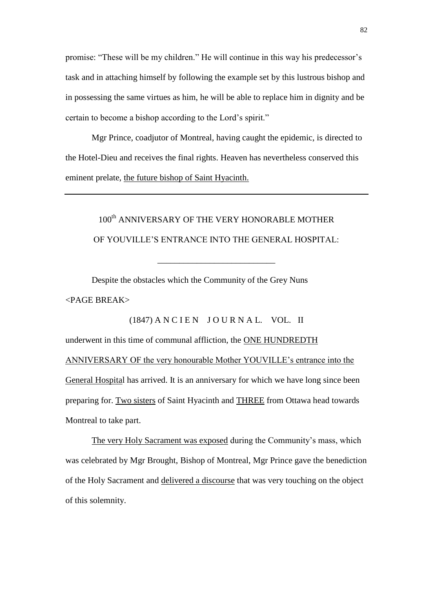promise: "These will be my children." He will continue in this way his predecessor's task and in attaching himself by following the example set by this lustrous bishop and in possessing the same virtues as him, he will be able to replace him in dignity and be certain to become a bishop according to the Lord's spirit."

Mgr Prince, coadjutor of Montreal, having caught the epidemic, is directed to the Hotel-Dieu and receives the final rights. Heaven has nevertheless conserved this eminent prelate, the future bishop of Saint Hyacinth.

# 100<sup>th</sup> ANNIVERSARY OF THE VERY HONORABLE MOTHER OF YOUVILLE'S ENTRANCE INTO THE GENERAL HOSPITAL:

\_\_\_\_\_\_\_\_\_\_\_\_\_\_\_\_\_\_\_\_\_\_\_\_\_\_\_

 $(1847)$  A N C I E N J O U R N A L. VOL. II

Despite the obstacles which the Community of the Grey Nuns <PAGE BREAK>

underwent in this time of communal affliction, the ONE HUNDREDTH ANNIVERSARY OF the very honourable Mother YOUVILLE's entrance into the General Hospital has arrived. It is an anniversary for which we have long since been preparing for. Two sisters of Saint Hyacinth and THREE from Ottawa head towards Montreal to take part.

The very Holy Sacrament was exposed during the Community's mass, which was celebrated by Mgr Brought, Bishop of Montreal, Mgr Prince gave the benediction of the Holy Sacrament and delivered a discourse that was very touching on the object of this solemnity.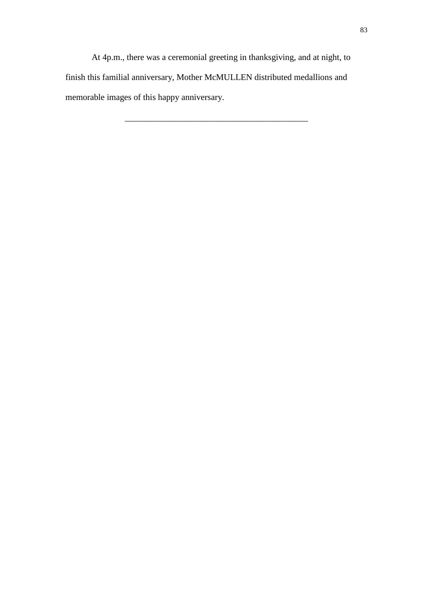At 4p.m., there was a ceremonial greeting in thanksgiving, and at night, to finish this familial anniversary, Mother McMULLEN distributed medallions and memorable images of this happy anniversary.

\_\_\_\_\_\_\_\_\_\_\_\_\_\_\_\_\_\_\_\_\_\_\_\_\_\_\_\_\_\_\_\_\_\_\_\_\_\_\_\_\_\_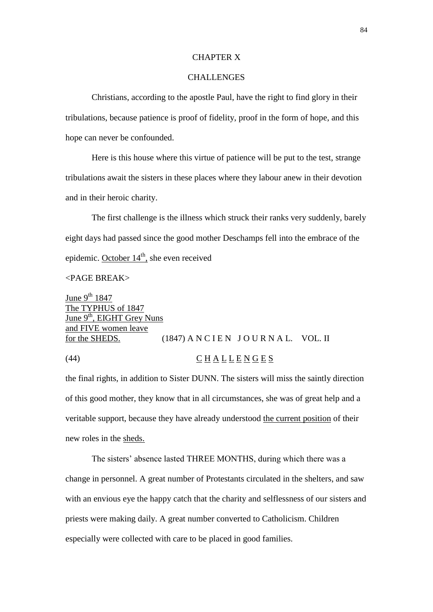#### CHAPTER X

# CHALLENGES

Christians, according to the apostle Paul, have the right to find glory in their tribulations, because patience is proof of fidelity, proof in the form of hope, and this hope can never be confounded.

Here is this house where this virtue of patience will be put to the test, strange tribulations await the sisters in these places where they labour anew in their devotion and in their heroic charity.

The first challenge is the illness which struck their ranks very suddenly, barely eight days had passed since the good mother Deschamps fell into the embrace of the epidemic. October 14<sup>th</sup>, she even received

# $\epsilon$ PAGE BREAK $>$

June  $9^{th}$  1847 The TYPHUS of 1847 June 9<sup>th</sup>, EIGHT Grey Nuns and FIVE women leave for the SHEDS.  $(1847)$  A N C I E N J O U R N A L. VOL. II

# (44) C H A L L E N G E S

the final rights, in addition to Sister DUNN. The sisters will miss the saintly direction of this good mother, they know that in all circumstances, she was of great help and a veritable support, because they have already understood the current position of their new roles in the sheds.

The sisters' absence lasted THREE MONTHS, during which there was a change in personnel. A great number of Protestants circulated in the shelters, and saw with an envious eye the happy catch that the charity and selflessness of our sisters and priests were making daily. A great number converted to Catholicism. Children especially were collected with care to be placed in good families.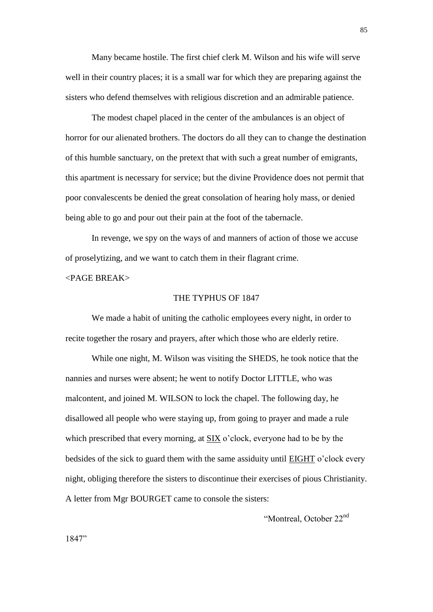Many became hostile. The first chief clerk M. Wilson and his wife will serve well in their country places; it is a small war for which they are preparing against the sisters who defend themselves with religious discretion and an admirable patience.

The modest chapel placed in the center of the ambulances is an object of horror for our alienated brothers. The doctors do all they can to change the destination of this humble sanctuary, on the pretext that with such a great number of emigrants, this apartment is necessary for service; but the divine Providence does not permit that poor convalescents be denied the great consolation of hearing holy mass, or denied being able to go and pour out their pain at the foot of the tabernacle.

In revenge, we spy on the ways of and manners of action of those we accuse of proselytizing, and we want to catch them in their flagrant crime.

 $\epsilon$ PAGE BREAK $>$ 

# THE TYPHUS OF 1847

We made a habit of uniting the catholic employees every night, in order to recite together the rosary and prayers, after which those who are elderly retire.

While one night, M. Wilson was visiting the SHEDS, he took notice that the nannies and nurses were absent; he went to notify Doctor LITTLE, who was malcontent, and joined M. WILSON to lock the chapel. The following day, he disallowed all people who were staying up, from going to prayer and made a rule which prescribed that every morning, at SIX o'clock, everyone had to be by the bedsides of the sick to guard them with the same assiduity until EIGHT o'clock every night, obliging therefore the sisters to discontinue their exercises of pious Christianity. A letter from Mgr BOURGET came to console the sisters:

"Montreal, October 22nd

1847"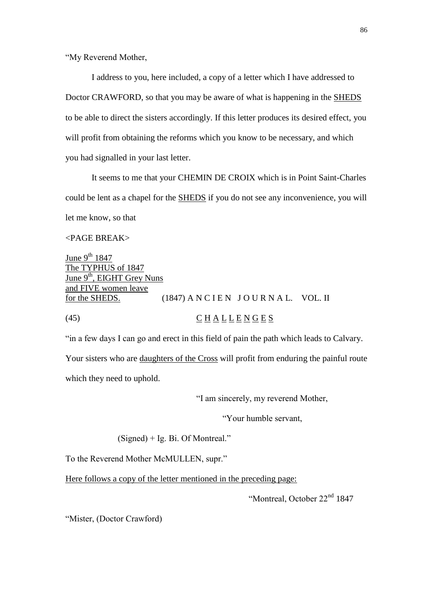"My Reverend Mother,

I address to you, here included, a copy of a letter which I have addressed to Doctor CRAWFORD, so that you may be aware of what is happening in the SHEDS to be able to direct the sisters accordingly. If this letter produces its desired effect, you will profit from obtaining the reforms which you know to be necessary, and which you had signalled in your last letter.

It seems to me that your CHEMIN DE CROIX which is in Point Saint-Charles could be lent as a chapel for the SHEDS if you do not see any inconvenience, you will let me know, so that

# <PAGE BREAK>

June  $9^{th}$  1847 The TYPHUS of 1847  $\overline{\text{June } 9^{\text{th}}}, \text{ EIGHT Grey Nuns}$ and FIVE women leave for the SHEDS.  $(1847)$  A N C I E N J O U R N A L. VOL. II (45)  $\underline{C} \underline{H} \underline{A} \underline{L} \underline{L} \underline{E} \underline{N} \underline{G} \underline{E} \underline{S}$ 

"in a few days I can go and erect in this field of pain the path which leads to Calvary. Your sisters who are daughters of the Cross will profit from enduring the painful route which they need to uphold.

"I am sincerely, my reverend Mother,

"Your humble servant,

(Signed) + Ig. Bi. Of Montreal."

To the Reverend Mother McMULLEN, supr."

Here follows a copy of the letter mentioned in the preceding page:

"Montreal, October 22<sup>nd</sup> 1847

"Mister, (Doctor Crawford)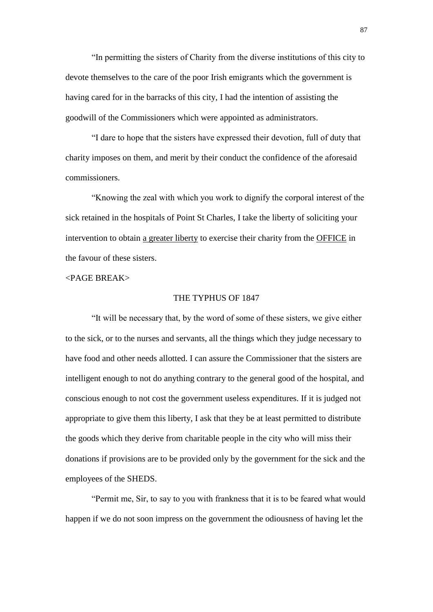"In permitting the sisters of Charity from the diverse institutions of this city to devote themselves to the care of the poor Irish emigrants which the government is having cared for in the barracks of this city, I had the intention of assisting the goodwill of the Commissioners which were appointed as administrators.

"I dare to hope that the sisters have expressed their devotion, full of duty that charity imposes on them, and merit by their conduct the confidence of the aforesaid commissioners.

"Knowing the zeal with which you work to dignify the corporal interest of the sick retained in the hospitals of Point St Charles, I take the liberty of soliciting your intervention to obtain a greater liberty to exercise their charity from the OFFICE in the favour of these sisters.

#### <PAGE BREAK>

### THE TYPHUS OF 1847

"It will be necessary that, by the word of some of these sisters, we give either to the sick, or to the nurses and servants, all the things which they judge necessary to have food and other needs allotted. I can assure the Commissioner that the sisters are intelligent enough to not do anything contrary to the general good of the hospital, and conscious enough to not cost the government useless expenditures. If it is judged not appropriate to give them this liberty, I ask that they be at least permitted to distribute the goods which they derive from charitable people in the city who will miss their donations if provisions are to be provided only by the government for the sick and the employees of the SHEDS.

"Permit me, Sir, to say to you with frankness that it is to be feared what would happen if we do not soon impress on the government the odiousness of having let the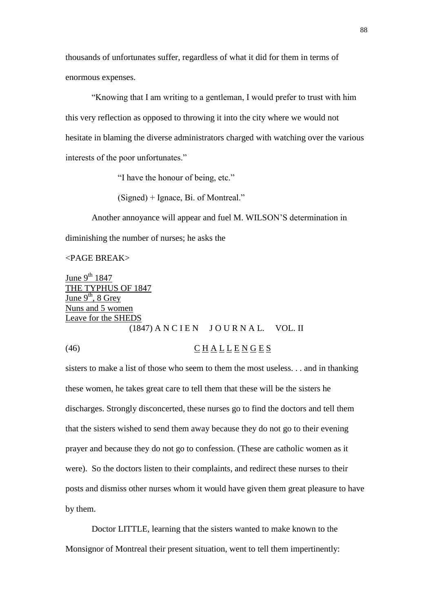thousands of unfortunates suffer, regardless of what it did for them in terms of enormous expenses.

"Knowing that I am writing to a gentleman, I would prefer to trust with him this very reflection as opposed to throwing it into the city where we would not hesitate in blaming the diverse administrators charged with watching over the various interests of the poor unfortunates."

"I have the honour of being, etc."

(Signed) + Ignace, Bi. of Montreal."

Another annoyance will appear and fuel M. WILSON'S determination in diminishing the number of nurses; he asks the

<PAGE BREAK>

June  $9^{th}$  1847 THE TYPHUS OF 1847 June  $9^{th}$ , 8 Grey Nuns and 5 women Leave for the SHEDS  $(1847)$  A N C I E N  $J$  O U R N A L. VOL. II

(46) C H A L L E N G E S

# sisters to make a list of those who seem to them the most useless. . . and in thanking these women, he takes great care to tell them that these will be the sisters he discharges. Strongly disconcerted, these nurses go to find the doctors and tell them that the sisters wished to send them away because they do not go to their evening prayer and because they do not go to confession. (These are catholic women as it were). So the doctors listen to their complaints, and redirect these nurses to their posts and dismiss other nurses whom it would have given them great pleasure to have by them.

Doctor LITTLE, learning that the sisters wanted to make known to the Monsignor of Montreal their present situation, went to tell them impertinently: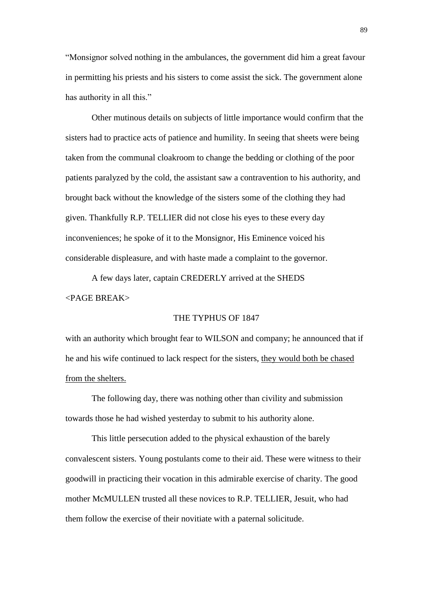"Monsignor solved nothing in the ambulances, the government did him a great favour in permitting his priests and his sisters to come assist the sick. The government alone has authority in all this."

Other mutinous details on subjects of little importance would confirm that the sisters had to practice acts of patience and humility. In seeing that sheets were being taken from the communal cloakroom to change the bedding or clothing of the poor patients paralyzed by the cold, the assistant saw a contravention to his authority, and brought back without the knowledge of the sisters some of the clothing they had given. Thankfully R.P. TELLIER did not close his eyes to these every day inconveniences; he spoke of it to the Monsignor, His Eminence voiced his considerable displeasure, and with haste made a complaint to the governor.

A few days later, captain CREDERLY arrived at the SHEDS <PAGE BREAK>

#### THE TYPHUS OF 1847

with an authority which brought fear to WILSON and company; he announced that if he and his wife continued to lack respect for the sisters, they would both be chased from the shelters.

The following day, there was nothing other than civility and submission towards those he had wished yesterday to submit to his authority alone.

This little persecution added to the physical exhaustion of the barely convalescent sisters. Young postulants come to their aid. These were witness to their goodwill in practicing their vocation in this admirable exercise of charity. The good mother McMULLEN trusted all these novices to R.P. TELLIER, Jesuit, who had them follow the exercise of their novitiate with a paternal solicitude.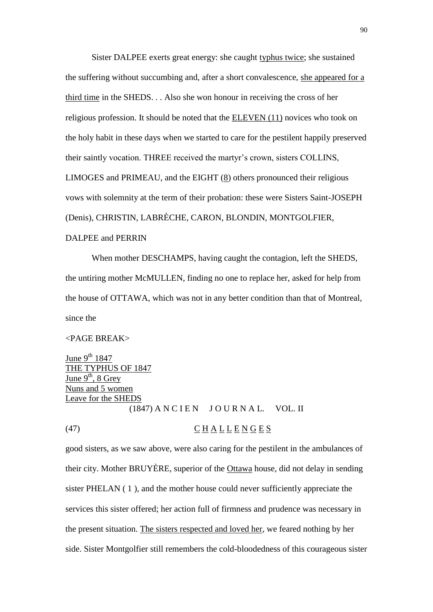Sister DALPEE exerts great energy: she caught typhus twice; she sustained the suffering without succumbing and, after a short convalescence, she appeared for a third time in the SHEDS. . . Also she won honour in receiving the cross of her religious profession. It should be noted that the ELEVEN (11) novices who took on the holy habit in these days when we started to care for the pestilent happily preserved their saintly vocation. THREE received the martyr's crown, sisters COLLINS, LIMOGES and PRIMEAU, and the EIGHT  $(8)$  others pronounced their religious vows with solemnity at the term of their probation: these were Sisters Saint-JOSEPH (Denis), CHRISTIN, LABRÈCHE, CARON, BLONDIN, MONTGOLFIER, DALPEE and PERRIN

When mother DESCHAMPS, having caught the contagion, left the SHEDS, the untiring mother McMULLEN, finding no one to replace her, asked for help from the house of OTTAWA, which was not in any better condition than that of Montreal, since the

# <PAGE BREAK>

June  $9^{th}$  1847 THE TYPHUS OF 1847 June  $9<sup>th</sup>$ , 8 Grey Nuns and 5 women Leave for the SHEDS  $(1847)$  A N C I E N J O U R N A L. VOL. II

# (47) C H A L L E N G E S

good sisters, as we saw above, were also caring for the pestilent in the ambulances of their city. Mother BRUYÈRE, superior of the Ottawa house, did not delay in sending sister PHELAN ( 1 ), and the mother house could never sufficiently appreciate the services this sister offered; her action full of firmness and prudence was necessary in the present situation. The sisters respected and loved her, we feared nothing by her side. Sister Montgolfier still remembers the cold-bloodedness of this courageous sister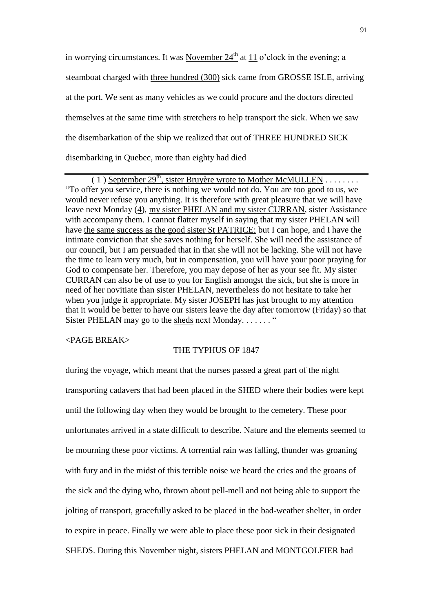in worrying circumstances. It was November  $24<sup>th</sup>$  at 11 o'clock in the evening; a steamboat charged with three hundred (300) sick came from GROSSE ISLE, arriving at the port. We sent as many vehicles as we could procure and the doctors directed themselves at the same time with stretchers to help transport the sick. When we saw the disembarkation of the ship we realized that out of THREE HUNDRED SICK disembarking in Quebec, more than eighty had died

 $(1)$  September 29<sup>th</sup>, sister Bruyère wrote to Mother McMULLEN . . . . . . . . . "To offer you service, there is nothing we would not do. You are too good to us, we would never refuse you anything. It is therefore with great pleasure that we will have leave next Monday (4), my sister PHELAN and my sister CURRAN, sister Assistance with accompany them. I cannot flatter myself in saying that my sister PHELAN will have the same success as the good sister St PATRICE; but I can hope, and I have the intimate conviction that she saves nothing for herself. She will need the assistance of our council, but I am persuaded that in that she will not be lacking. She will not have the time to learn very much, but in compensation, you will have your poor praying for God to compensate her. Therefore, you may depose of her as your see fit. My sister CURRAN can also be of use to you for English amongst the sick, but she is more in need of her novitiate than sister PHELAN, nevertheless do not hesitate to take her when you judge it appropriate. My sister JOSEPH has just brought to my attention that it would be better to have our sisters leave the day after tomorrow (Friday) so that Sister PHELAN may go to the sheds next Monday.  $\dots$  . . . . . . "

<PAGE BREAK>

#### THE TYPHUS OF 1847

during the voyage, which meant that the nurses passed a great part of the night transporting cadavers that had been placed in the SHED where their bodies were kept until the following day when they would be brought to the cemetery. These poor unfortunates arrived in a state difficult to describe. Nature and the elements seemed to be mourning these poor victims. A torrential rain was falling, thunder was groaning with fury and in the midst of this terrible noise we heard the cries and the groans of the sick and the dying who, thrown about pell-mell and not being able to support the jolting of transport, gracefully asked to be placed in the bad-weather shelter, in order to expire in peace. Finally we were able to place these poor sick in their designated SHEDS. During this November night, sisters PHELAN and MONTGOLFIER had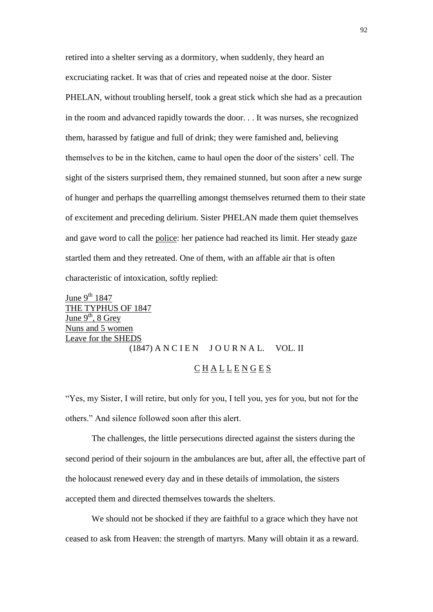retired into a shelter serving as a dormitory, when suddenly, they heard an excruciating racket. It was that of cries and repeated noise at the door. Sister PHELAN, without troubling herself, took a great stick which she had as a precaution in the room and advanced rapidly towards the door. . . It was nurses, she recognized them, harassed by fatigue and full of drink; they were famished and, believing themselves to be in the kitchen, came to haul open the door of the sisters' cell. The sight of the sisters surprised them, they remained stunned, but soon after a new surge of hunger and perhaps the quarrelling amongst themselves returned them to their state of excitement and preceding delirium. Sister PHELAN made them quiet themselves and gave word to call the police: her patience had reached its limit. Her steady gaze startled them and they retreated. One of them, with an affable air that is often characteristic of intoxication, softly replied:

June  $9^{th}$  1847 THE TYPHUS OF 1847  $\frac{1}{\text{June } 9^{\text{th}}$ , 8 Grey Nuns and 5 women Leave for the SHEDS  $(1847)$  A N C I E N J O U R N A L. VOL. II

#### $\underline{C}$  <u>H A L L E N G E S</u>

"Yes, my Sister, I will retire, but only for you, I tell you, yes for you, but not for the others." And silence followed soon after this alert.

The challenges, the little persecutions directed against the sisters during the second period of their sojourn in the ambulances are but, after all, the effective part of the holocaust renewed every day and in these details of immolation, the sisters accepted them and directed themselves towards the shelters.

We should not be shocked if they are faithful to a grace which they have not ceased to ask from Heaven: the strength of martyrs. Many will obtain it as a reward.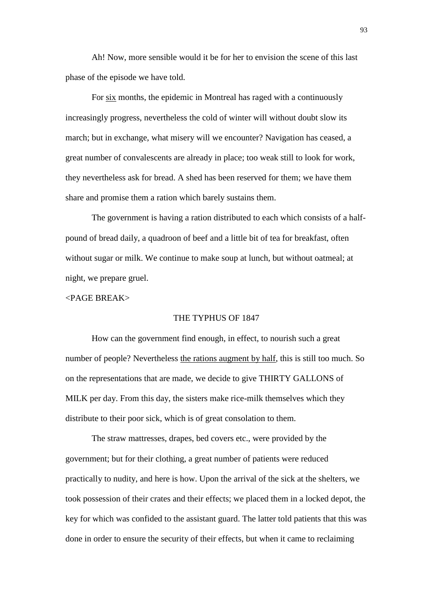Ah! Now, more sensible would it be for her to envision the scene of this last phase of the episode we have told.

For six months, the epidemic in Montreal has raged with a continuously increasingly progress, nevertheless the cold of winter will without doubt slow its march; but in exchange, what misery will we encounter? Navigation has ceased, a great number of convalescents are already in place; too weak still to look for work, they nevertheless ask for bread. A shed has been reserved for them; we have them share and promise them a ration which barely sustains them.

The government is having a ration distributed to each which consists of a halfpound of bread daily, a quadroon of beef and a little bit of tea for breakfast, often without sugar or milk. We continue to make soup at lunch, but without oatmeal; at night, we prepare gruel.

# <PAGE BREAK>

#### THE TYPHUS OF 1847

How can the government find enough, in effect, to nourish such a great number of people? Nevertheless the rations augment by half, this is still too much. So on the representations that are made, we decide to give THIRTY GALLONS of MILK per day. From this day, the sisters make rice-milk themselves which they distribute to their poor sick, which is of great consolation to them.

The straw mattresses, drapes, bed covers etc., were provided by the government; but for their clothing, a great number of patients were reduced practically to nudity, and here is how. Upon the arrival of the sick at the shelters, we took possession of their crates and their effects; we placed them in a locked depot, the key for which was confided to the assistant guard. The latter told patients that this was done in order to ensure the security of their effects, but when it came to reclaiming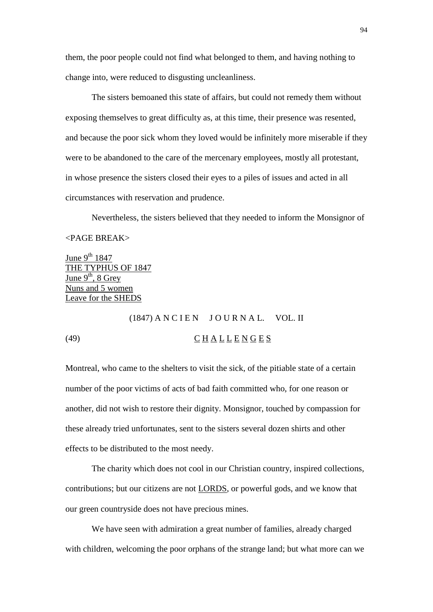them, the poor people could not find what belonged to them, and having nothing to change into, were reduced to disgusting uncleanliness.

The sisters bemoaned this state of affairs, but could not remedy them without exposing themselves to great difficulty as, at this time, their presence was resented, and because the poor sick whom they loved would be infinitely more miserable if they were to be abandoned to the care of the mercenary employees, mostly all protestant, in whose presence the sisters closed their eyes to a piles of issues and acted in all circumstances with reservation and prudence.

Nevertheless, the sisters believed that they needed to inform the Monsignor of <PAGE BREAK>

June  $9^{th}$  1847 THE TYPHUS OF 1847 June  $9<sup>th</sup>$ , 8 Grey Nuns and 5 women Leave for the SHEDS

# $(1847)$  A N C I E N J O U R N A L. VOL. II (49)  $\overline{C} H A L L E N G E S$

Montreal, who came to the shelters to visit the sick, of the pitiable state of a certain number of the poor victims of acts of bad faith committed who, for one reason or another, did not wish to restore their dignity. Monsignor, touched by compassion for these already tried unfortunates, sent to the sisters several dozen shirts and other effects to be distributed to the most needy.

The charity which does not cool in our Christian country, inspired collections, contributions; but our citizens are not LORDS, or powerful gods, and we know that our green countryside does not have precious mines.

We have seen with admiration a great number of families, already charged with children, welcoming the poor orphans of the strange land; but what more can we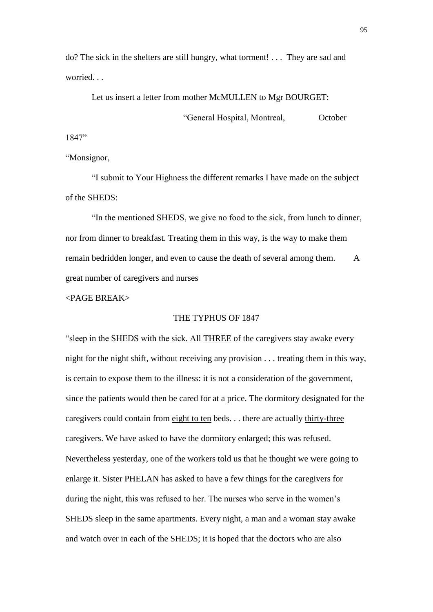do? The sick in the shelters are still hungry, what torment! . . . They are sad and worried

Let us insert a letter from mother McMULLEN to Mgr BOURGET:

"General Hospital, Montreal, October

1847"

"Monsignor,

"I submit to Your Highness the different remarks I have made on the subject of the SHEDS:

"In the mentioned SHEDS, we give no food to the sick, from lunch to dinner, nor from dinner to breakfast. Treating them in this way, is the way to make them remain bedridden longer, and even to cause the death of several among them. A great number of caregivers and nurses

<PAGE BREAK>

## THE TYPHUS OF 1847

"sleep in the SHEDS with the sick. All THREE of the caregivers stay awake every night for the night shift, without receiving any provision . . . treating them in this way, is certain to expose them to the illness: it is not a consideration of the government, since the patients would then be cared for at a price. The dormitory designated for the caregivers could contain from eight to ten beds. . . there are actually thirty-three caregivers. We have asked to have the dormitory enlarged; this was refused. Nevertheless yesterday, one of the workers told us that he thought we were going to enlarge it. Sister PHELAN has asked to have a few things for the caregivers for during the night, this was refused to her. The nurses who serve in the women's SHEDS sleep in the same apartments. Every night, a man and a woman stay awake and watch over in each of the SHEDS; it is hoped that the doctors who are also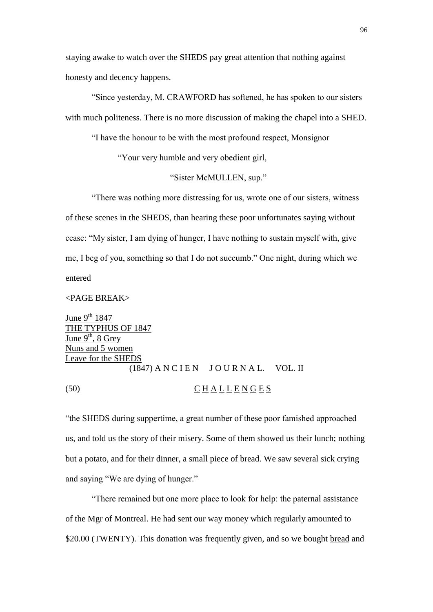staying awake to watch over the SHEDS pay great attention that nothing against honesty and decency happens.

"Since yesterday, M. CRAWFORD has softened, he has spoken to our sisters with much politeness. There is no more discussion of making the chapel into a SHED.

"I have the honour to be with the most profound respect, Monsignor

"Your very humble and very obedient girl,

"Sister McMULLEN, sup."

"There was nothing more distressing for us, wrote one of our sisters, witness of these scenes in the SHEDS, than hearing these poor unfortunates saying without cease: "My sister, I am dying of hunger, I have nothing to sustain myself with, give me, I beg of you, something so that I do not succumb." One night, during which we entered

<PAGE BREAK>

June  $9^{th}$  1847 THE TYPHUS OF 1847 June  $9^{th}$ , 8 Grey Nuns and 5 women Leave for the SHEDS  $(1847)$  A N C I E N J O U R N A L. VOL. II (50) C H A L L E N G E S

"the SHEDS during suppertime, a great number of these poor famished approached us, and told us the story of their misery. Some of them showed us their lunch; nothing but a potato, and for their dinner, a small piece of bread. We saw several sick crying and saying "We are dying of hunger."

"There remained but one more place to look for help: the paternal assistance of the Mgr of Montreal. He had sent our way money which regularly amounted to \$20.00 (TWENTY). This donation was frequently given, and so we bought bread and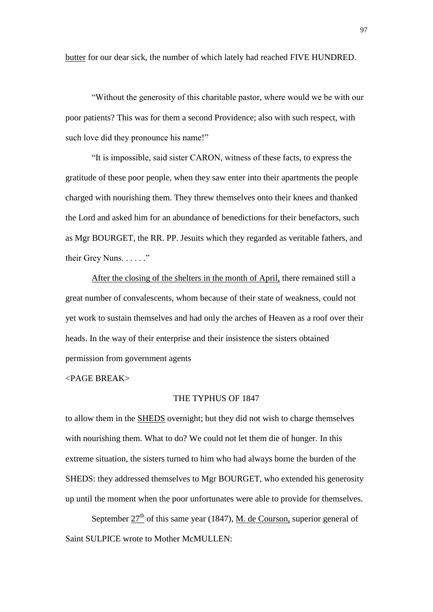butter for our dear sick, the number of which lately had reached FIVE HUNDRED.

"Without the generosity of this charitable pastor, where would we be with our poor patients? This was for them a second Providence; also with such respect, with such love did they pronounce his name!"

"It is impossible, said sister CARON, witness of these facts, to express the gratitude of these poor people, when they saw enter into their apartments the people charged with nourishing them. They threw themselves onto their knees and thanked the Lord and asked him for an abundance of benedictions for their benefactors, such as Mgr BOURGET, the RR. PP. Jesuits which they regarded as veritable fathers, and their Grey Nuns. . . . . ."

After the closing of the shelters in the month of April, there remained still a great number of convalescents, whom because of their state of weakness, could not yet work to sustain themselves and had only the arches of Heaven as a roof over their heads. In the way of their enterprise and their insistence the sisters obtained permission from government agents

# <PAGE BREAK>

#### THE TYPHUS OF 1847

to allow them in the SHEDS overnight; but they did not wish to charge themselves with nourishing them. What to do? We could not let them die of hunger. In this extreme situation, the sisters turned to him who had always borne the burden of the SHEDS: they addressed themselves to Mgr BOURGET, who extended his generosity up until the moment when the poor unfortunates were able to provide for themselves.

September  $27<sup>th</sup>$  of this same year (1847), <u>M. de Courson</u>, superior general of Saint SULPICE wrote to Mother McMULLEN: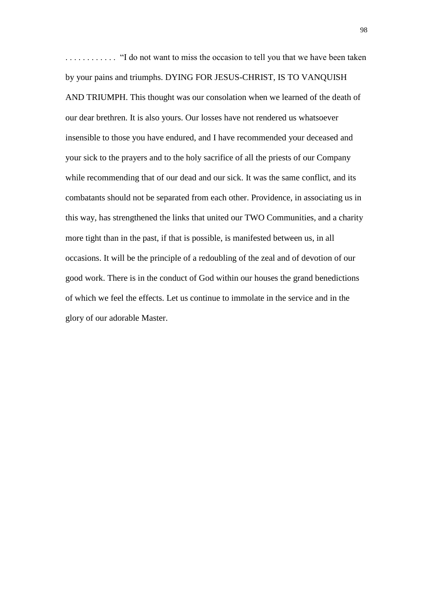. . . . . . . . . . . . "I do not want to miss the occasion to tell you that we have been taken by your pains and triumphs. DYING FOR JESUS-CHRIST, IS TO VANQUISH AND TRIUMPH. This thought was our consolation when we learned of the death of our dear brethren. It is also yours. Our losses have not rendered us whatsoever insensible to those you have endured, and I have recommended your deceased and your sick to the prayers and to the holy sacrifice of all the priests of our Company while recommending that of our dead and our sick. It was the same conflict, and its combatants should not be separated from each other. Providence, in associating us in this way, has strengthened the links that united our TWO Communities, and a charity more tight than in the past, if that is possible, is manifested between us, in all occasions. It will be the principle of a redoubling of the zeal and of devotion of our good work. There is in the conduct of God within our houses the grand benedictions of which we feel the effects. Let us continue to immolate in the service and in the glory of our adorable Master.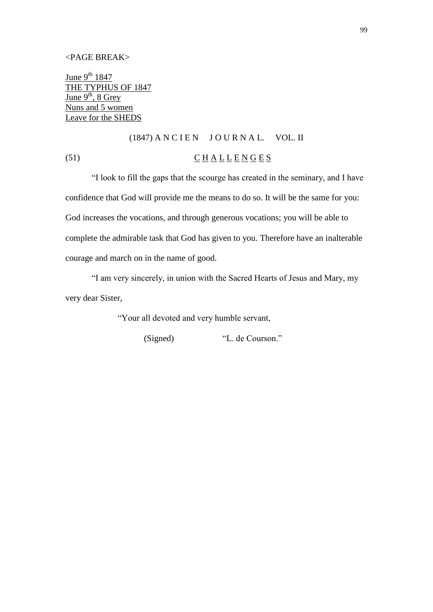#### <PAGE BREAK>

June  $9^{th}$  1847 THE TYPHUS OF 1847 June  $9<sup>th</sup>$ , 8 Grey Nuns and 5 women Leave for the SHEDS

# $(1847)$  A N C I E N  $J$  O U R N A L. VOL. II

# (51)  $\overline{C}$  H A L L E N G E S

"I look to fill the gaps that the scourge has created in the seminary, and I have confidence that God will provide me the means to do so. It will be the same for you: God increases the vocations, and through generous vocations; you will be able to complete the admirable task that God has given to you. Therefore have an inalterable courage and march on in the name of good.

"I am very sincerely, in union with the Sacred Hearts of Jesus and Mary, my very dear Sister,

"Your all devoted and very humble servant,

(Signed) "L. de Courson."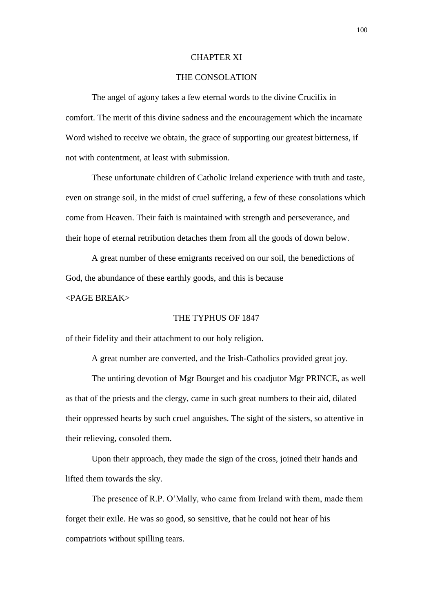#### CHAPTER XI

# THE CONSOLATION

The angel of agony takes a few eternal words to the divine Crucifix in comfort. The merit of this divine sadness and the encouragement which the incarnate Word wished to receive we obtain, the grace of supporting our greatest bitterness, if not with contentment, at least with submission.

These unfortunate children of Catholic Ireland experience with truth and taste, even on strange soil, in the midst of cruel suffering, a few of these consolations which come from Heaven. Their faith is maintained with strength and perseverance, and their hope of eternal retribution detaches them from all the goods of down below.

A great number of these emigrants received on our soil, the benedictions of God, the abundance of these earthly goods, and this is because

<PAGE BREAK>

#### THE TYPHUS OF 1847

of their fidelity and their attachment to our holy religion.

A great number are converted, and the Irish-Catholics provided great joy.

The untiring devotion of Mgr Bourget and his coadjutor Mgr PRINCE, as well as that of the priests and the clergy, came in such great numbers to their aid, dilated their oppressed hearts by such cruel anguishes. The sight of the sisters, so attentive in their relieving, consoled them.

Upon their approach, they made the sign of the cross, joined their hands and lifted them towards the sky.

The presence of R.P. O'Mally, who came from Ireland with them, made them forget their exile. He was so good, so sensitive, that he could not hear of his compatriots without spilling tears.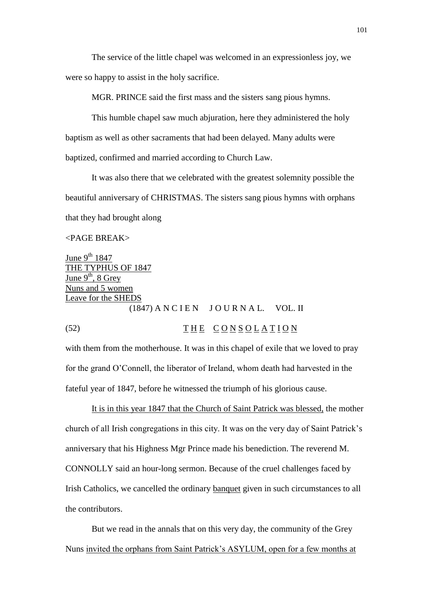The service of the little chapel was welcomed in an expressionless joy, we were so happy to assist in the holy sacrifice.

MGR. PRINCE said the first mass and the sisters sang pious hymns.

This humble chapel saw much abjuration, here they administered the holy baptism as well as other sacraments that had been delayed. Many adults were baptized, confirmed and married according to Church Law.

It was also there that we celebrated with the greatest solemnity possible the beautiful anniversary of CHRISTMAS. The sisters sang pious hymns with orphans that they had brought along

# <PAGE BREAK>

June  $9^{th}$  1847 THE TYPHUS OF 1847 June  $9<sup>th</sup>$ , 8 Grey Nuns and 5 women Leave for the SHEDS  $(1847)$  A N C I E N J O U R N A L. VOL. II

(52)  $\overline{THE} \ \overline{CONSOLATION}$ 

with them from the motherhouse. It was in this chapel of exile that we loved to pray for the grand O'Connell, the liberator of Ireland, whom death had harvested in the fateful year of 1847, before he witnessed the triumph of his glorious cause.

It is in this year 1847 that the Church of Saint Patrick was blessed, the mother church of all Irish congregations in this city. It was on the very day of Saint Patrick's anniversary that his Highness Mgr Prince made his benediction. The reverend M. CONNOLLY said an hour-long sermon. Because of the cruel challenges faced by Irish Catholics, we cancelled the ordinary banquet given in such circumstances to all the contributors.

But we read in the annals that on this very day, the community of the Grey Nuns invited the orphans from Saint Patrick's ASYLUM, open for a few months at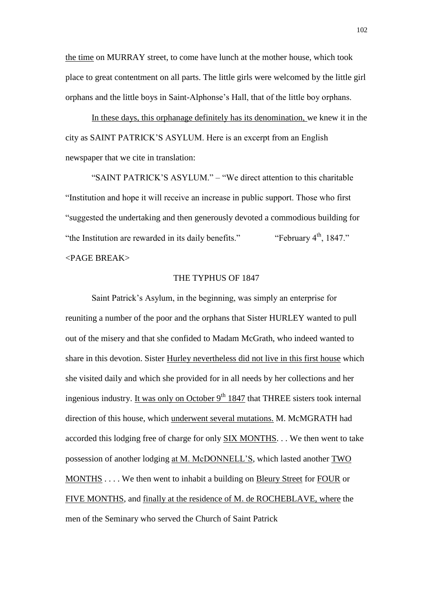the time on MURRAY street, to come have lunch at the mother house, which took place to great contentment on all parts. The little girls were welcomed by the little girl orphans and the little boys in Saint-Alphonse's Hall, that of the little boy orphans.

In these days, this orphanage definitely has its denomination, we knew it in the city as SAINT PATRICK'S ASYLUM. Here is an excerpt from an English newspaper that we cite in translation:

"SAINT PATRICK'S ASYLUM." – "We direct attention to this charitable "Institution and hope it will receive an increase in public support. Those who first "suggested the undertaking and then generously devoted a commodious building for "the Institution are rewarded in its daily benefits." "February  $4<sup>th</sup>$ , 1847." <PAGE BREAK>

#### THE TYPHUS OF 1847

Saint Patrick's Asylum, in the beginning, was simply an enterprise for reuniting a number of the poor and the orphans that Sister HURLEY wanted to pull out of the misery and that she confided to Madam McGrath, who indeed wanted to share in this devotion. Sister Hurley nevertheless did not live in this first house which she visited daily and which she provided for in all needs by her collections and her ingenious industry. It was only on October  $9<sup>th</sup> 1847$  that THREE sisters took internal direction of this house, which underwent several mutations. M. McMGRATH had accorded this lodging free of charge for only SIX MONTHS. . . We then went to take possession of another lodging at M. McDONNELL'S, which lasted another TWO MONTHS . . . . We then went to inhabit a building on Bleury Street for FOUR or FIVE MONTHS, and finally at the residence of M. de ROCHEBLAVE, where the men of the Seminary who served the Church of Saint Patrick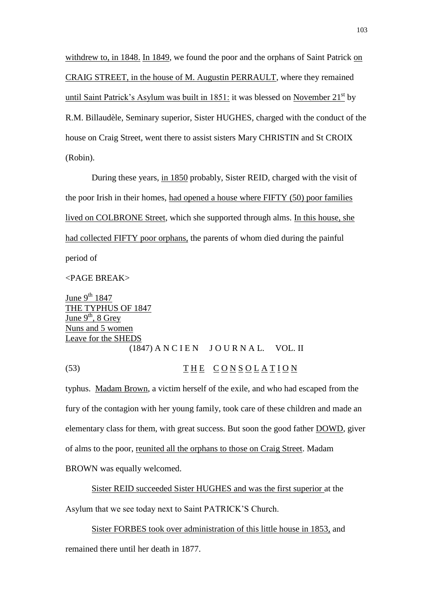withdrew to, in 1848. In 1849, we found the poor and the orphans of Saint Patrick on CRAIG STREET, in the house of M. Augustin PERRAULT, where they remained until Saint Patrick's Asylum was built in 1851: it was blessed on November  $21^{st}$  by R.M. Billaudèle, Seminary superior, Sister HUGHES, charged with the conduct of the house on Craig Street, went there to assist sisters Mary CHRISTIN and St CROIX (Robin).

During these years, in 1850 probably, Sister REID, charged with the visit of the poor Irish in their homes, had opened a house where FIFTY (50) poor families lived on COLBRONE Street, which she supported through alms. In this house, she had collected FIFTY poor orphans, the parents of whom died during the painful period of

<PAGE BREAK>

June  $9^{th}$  1847 THE TYPHUS OF 1847 June  $9^{th}$ , 8 Grey Nuns and 5 women Leave for the SHEDS  $(1847)$  A N C I E N J O U R N A L. VOL. II

(53) THE CONSOLATION

typhus. Madam Brown, a victim herself of the exile, and who had escaped from the fury of the contagion with her young family, took care of these children and made an elementary class for them, with great success. But soon the good father DOWD, giver of alms to the poor, reunited all the orphans to those on Craig Street. Madam BROWN was equally welcomed.

Sister REID succeeded Sister HUGHES and was the first superior at the Asylum that we see today next to Saint PATRICK'S Church.

Sister FORBES took over administration of this little house in 1853, and remained there until her death in 1877.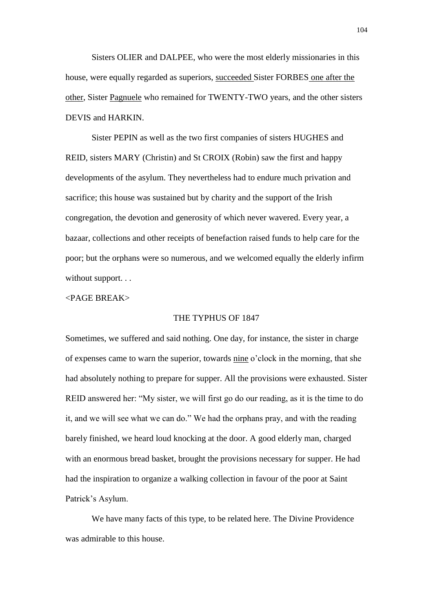Sisters OLIER and DALPEE, who were the most elderly missionaries in this house, were equally regarded as superiors, succeeded Sister FORBES one after the other, Sister Pagnuele who remained for TWENTY-TWO years, and the other sisters DEVIS and HARKIN.

Sister PEPIN as well as the two first companies of sisters HUGHES and REID, sisters MARY (Christin) and St CROIX (Robin) saw the first and happy developments of the asylum. They nevertheless had to endure much privation and sacrifice; this house was sustained but by charity and the support of the Irish congregation, the devotion and generosity of which never wavered. Every year, a bazaar, collections and other receipts of benefaction raised funds to help care for the poor; but the orphans were so numerous, and we welcomed equally the elderly infirm without support...

# <PAGE BREAK>

#### THE TYPHUS OF 1847

Sometimes, we suffered and said nothing. One day, for instance, the sister in charge of expenses came to warn the superior, towards nine o'clock in the morning, that she had absolutely nothing to prepare for supper. All the provisions were exhausted. Sister REID answered her: "My sister, we will first go do our reading, as it is the time to do it, and we will see what we can do." We had the orphans pray, and with the reading barely finished, we heard loud knocking at the door. A good elderly man, charged with an enormous bread basket, brought the provisions necessary for supper. He had had the inspiration to organize a walking collection in favour of the poor at Saint Patrick's Asylum.

We have many facts of this type, to be related here. The Divine Providence was admirable to this house.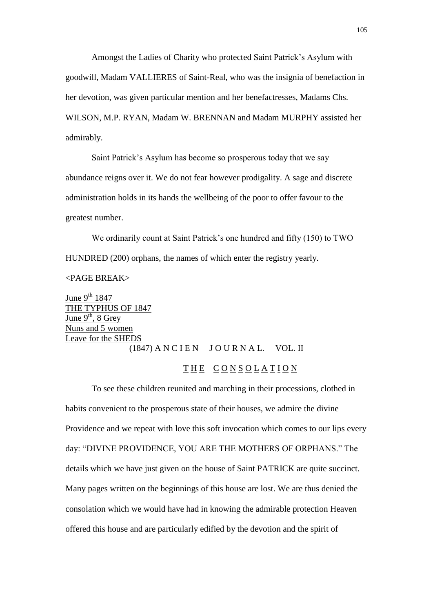Amongst the Ladies of Charity who protected Saint Patrick's Asylum with goodwill, Madam VALLIERES of Saint-Real, who was the insignia of benefaction in her devotion, was given particular mention and her benefactresses, Madams Chs. WILSON, M.P. RYAN, Madam W. BRENNAN and Madam MURPHY assisted her admirably.

Saint Patrick's Asylum has become so prosperous today that we say abundance reigns over it. We do not fear however prodigality. A sage and discrete administration holds in its hands the wellbeing of the poor to offer favour to the greatest number.

We ordinarily count at Saint Patrick's one hundred and fifty (150) to TWO HUNDRED (200) orphans, the names of which enter the registry yearly.

#### <PAGE BREAK>

June  $9^{th}$  1847 THE TYPHUS OF 1847 June  $9^{th}$ , 8 Grey Nuns and 5 women Leave for the SHEDS  $(1847)$  A N C I E N J O U R N A L. VOL. II

# THE CONSOLATION

To see these children reunited and marching in their processions, clothed in habits convenient to the prosperous state of their houses, we admire the divine Providence and we repeat with love this soft invocation which comes to our lips every day: "DIVINE PROVIDENCE, YOU ARE THE MOTHERS OF ORPHANS." The details which we have just given on the house of Saint PATRICK are quite succinct. Many pages written on the beginnings of this house are lost. We are thus denied the consolation which we would have had in knowing the admirable protection Heaven offered this house and are particularly edified by the devotion and the spirit of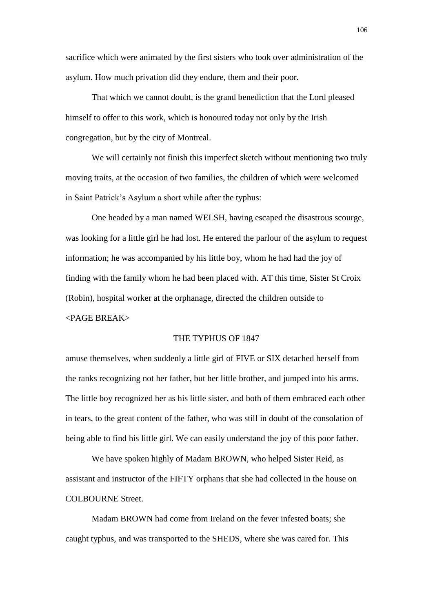sacrifice which were animated by the first sisters who took over administration of the asylum. How much privation did they endure, them and their poor.

That which we cannot doubt, is the grand benediction that the Lord pleased himself to offer to this work, which is honoured today not only by the Irish congregation, but by the city of Montreal.

We will certainly not finish this imperfect sketch without mentioning two truly moving traits, at the occasion of two families, the children of which were welcomed in Saint Patrick's Asylum a short while after the typhus:

One headed by a man named WELSH, having escaped the disastrous scourge, was looking for a little girl he had lost. He entered the parlour of the asylum to request information; he was accompanied by his little boy, whom he had had the joy of finding with the family whom he had been placed with. AT this time, Sister St Croix (Robin), hospital worker at the orphanage, directed the children outside to <PAGE BREAK>

# THE TYPHUS OF 1847

amuse themselves, when suddenly a little girl of FIVE or SIX detached herself from the ranks recognizing not her father, but her little brother, and jumped into his arms. The little boy recognized her as his little sister, and both of them embraced each other in tears, to the great content of the father, who was still in doubt of the consolation of being able to find his little girl. We can easily understand the joy of this poor father.

We have spoken highly of Madam BROWN, who helped Sister Reid, as assistant and instructor of the FIFTY orphans that she had collected in the house on COLBOURNE Street.

Madam BROWN had come from Ireland on the fever infested boats; she caught typhus, and was transported to the SHEDS, where she was cared for. This

106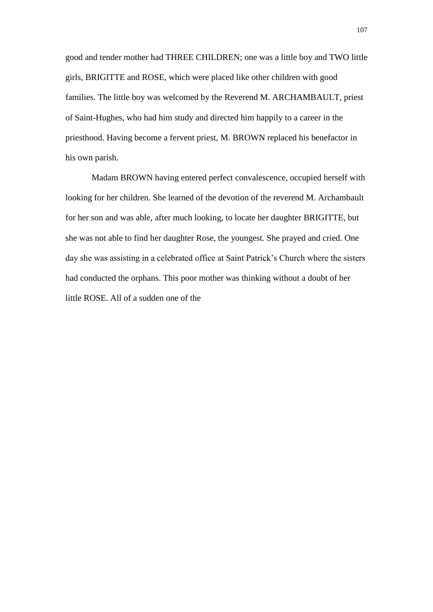good and tender mother had THREE CHILDREN; one was a little boy and TWO little girls, BRIGITTE and ROSE, which were placed like other children with good families. The little boy was welcomed by the Reverend M. ARCHAMBAULT, priest of Saint-Hughes, who had him study and directed him happily to a career in the priesthood. Having become a fervent priest, M. BROWN replaced his benefactor in his own parish.

Madam BROWN having entered perfect convalescence, occupied herself with looking for her children. She learned of the devotion of the reverend M. Archambault for her son and was able, after much looking, to locate her daughter BRIGITTE, but she was not able to find her daughter Rose, the youngest. She prayed and cried. One day she was assisting in a celebrated office at Saint Patrick's Church where the sisters had conducted the orphans. This poor mother was thinking without a doubt of her little ROSE. All of a sudden one of the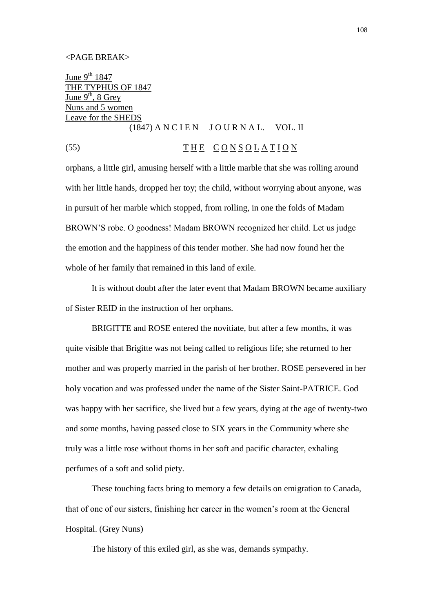#### <PAGE BREAK>

June  $9^{th}$  1847 THE TYPHUS OF 1847 June  $9<sup>th</sup>$ , 8 Grey Nuns and 5 women Leave for the SHEDS  $(1847)$  A N C I E N J O U R N A L. VOL. II

# (55) THE CONSOLATION

orphans, a little girl, amusing herself with a little marble that she was rolling around with her little hands, dropped her toy; the child, without worrying about anyone, was in pursuit of her marble which stopped, from rolling, in one the folds of Madam BROWN'S robe. O goodness! Madam BROWN recognized her child. Let us judge the emotion and the happiness of this tender mother. She had now found her the whole of her family that remained in this land of exile.

It is without doubt after the later event that Madam BROWN became auxiliary of Sister REID in the instruction of her orphans.

BRIGITTE and ROSE entered the novitiate, but after a few months, it was quite visible that Brigitte was not being called to religious life; she returned to her mother and was properly married in the parish of her brother. ROSE persevered in her holy vocation and was professed under the name of the Sister Saint-PATRICE. God was happy with her sacrifice, she lived but a few years, dying at the age of twenty-two and some months, having passed close to SIX years in the Community where she truly was a little rose without thorns in her soft and pacific character, exhaling perfumes of a soft and solid piety.

These touching facts bring to memory a few details on emigration to Canada, that of one of our sisters, finishing her career in the women's room at the General Hospital. (Grey Nuns)

The history of this exiled girl, as she was, demands sympathy.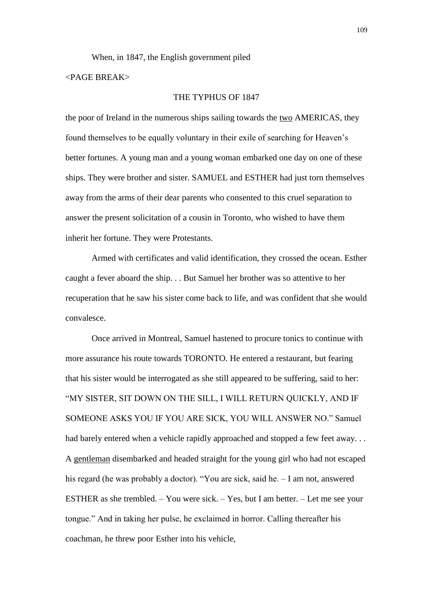When, in 1847, the English government piled

# $\epsilon$ PAGE BREAK $>$

## THE TYPHUS OF 1847

the poor of Ireland in the numerous ships sailing towards the two AMERICAS, they found themselves to be equally voluntary in their exile of searching for Heaven's better fortunes. A young man and a young woman embarked one day on one of these ships. They were brother and sister. SAMUEL and ESTHER had just torn themselves away from the arms of their dear parents who consented to this cruel separation to answer the present solicitation of a cousin in Toronto, who wished to have them inherit her fortune. They were Protestants.

Armed with certificates and valid identification, they crossed the ocean. Esther caught a fever aboard the ship. . . But Samuel her brother was so attentive to her recuperation that he saw his sister come back to life, and was confident that she would convalesce.

Once arrived in Montreal, Samuel hastened to procure tonics to continue with more assurance his route towards TORONTO. He entered a restaurant, but fearing that his sister would be interrogated as she still appeared to be suffering, said to her: "MY SISTER, SIT DOWN ON THE SILL, I WILL RETURN QUICKLY, AND IF SOMEONE ASKS YOU IF YOU ARE SICK, YOU WILL ANSWER NO." Samuel had barely entered when a vehicle rapidly approached and stopped a few feet away... A gentleman disembarked and headed straight for the young girl who had not escaped his regard (he was probably a doctor). "You are sick, said he.  $- I$  am not, answered ESTHER as she trembled. – You were sick. – Yes, but I am better. – Let me see your tongue." And in taking her pulse, he exclaimed in horror. Calling thereafter his coachman, he threw poor Esther into his vehicle,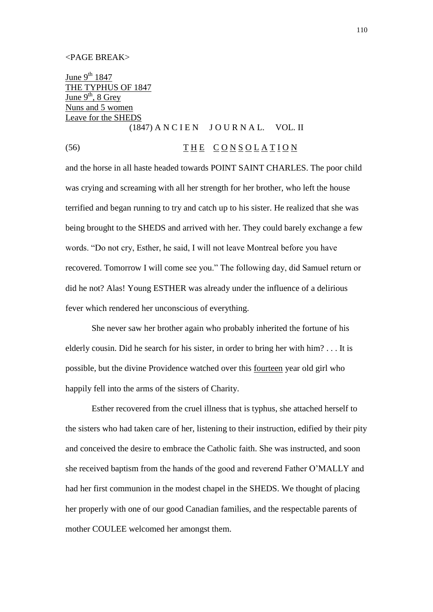### <PAGE BREAK>

June  $9^{th}$  1847 THE TYPHUS OF 1847 June  $9<sup>th</sup>$ , 8 Grey Nuns and 5 women Leave for the SHEDS  $(1847)$  A N C I E N J O U R N A L. VOL. II

# (56) THE CONSOLATION

and the horse in all haste headed towards POINT SAINT CHARLES. The poor child was crying and screaming with all her strength for her brother, who left the house terrified and began running to try and catch up to his sister. He realized that she was being brought to the SHEDS and arrived with her. They could barely exchange a few words. "Do not cry, Esther, he said, I will not leave Montreal before you have recovered. Tomorrow I will come see you." The following day, did Samuel return or did he not? Alas! Young ESTHER was already under the influence of a delirious fever which rendered her unconscious of everything.

She never saw her brother again who probably inherited the fortune of his elderly cousin. Did he search for his sister, in order to bring her with him? . . . It is possible, but the divine Providence watched over this fourteen year old girl who happily fell into the arms of the sisters of Charity.

Esther recovered from the cruel illness that is typhus, she attached herself to the sisters who had taken care of her, listening to their instruction, edified by their pity and conceived the desire to embrace the Catholic faith. She was instructed, and soon she received baptism from the hands of the good and reverend Father O'MALLY and had her first communion in the modest chapel in the SHEDS. We thought of placing her properly with one of our good Canadian families, and the respectable parents of mother COULEE welcomed her amongst them.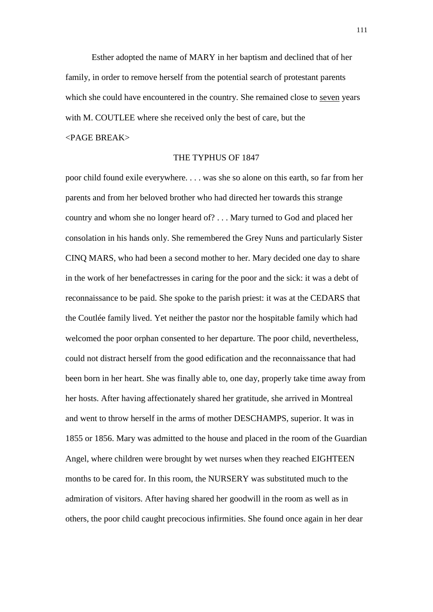Esther adopted the name of MARY in her baptism and declined that of her family, in order to remove herself from the potential search of protestant parents which she could have encountered in the country. She remained close to seven years with M. COUTLEE where she received only the best of care, but the <PAGE BREAK>

## THE TYPHUS OF 1847

poor child found exile everywhere. . . . was she so alone on this earth, so far from her parents and from her beloved brother who had directed her towards this strange country and whom she no longer heard of? . . . Mary turned to God and placed her consolation in his hands only. She remembered the Grey Nuns and particularly Sister CINQ MARS, who had been a second mother to her. Mary decided one day to share in the work of her benefactresses in caring for the poor and the sick: it was a debt of reconnaissance to be paid. She spoke to the parish priest: it was at the CEDARS that the Coutlée family lived. Yet neither the pastor nor the hospitable family which had welcomed the poor orphan consented to her departure. The poor child, nevertheless, could not distract herself from the good edification and the reconnaissance that had been born in her heart. She was finally able to, one day, properly take time away from her hosts. After having affectionately shared her gratitude, she arrived in Montreal and went to throw herself in the arms of mother DESCHAMPS, superior. It was in 1855 or 1856. Mary was admitted to the house and placed in the room of the Guardian Angel, where children were brought by wet nurses when they reached EIGHTEEN months to be cared for. In this room, the NURSERY was substituted much to the admiration of visitors. After having shared her goodwill in the room as well as in others, the poor child caught precocious infirmities. She found once again in her dear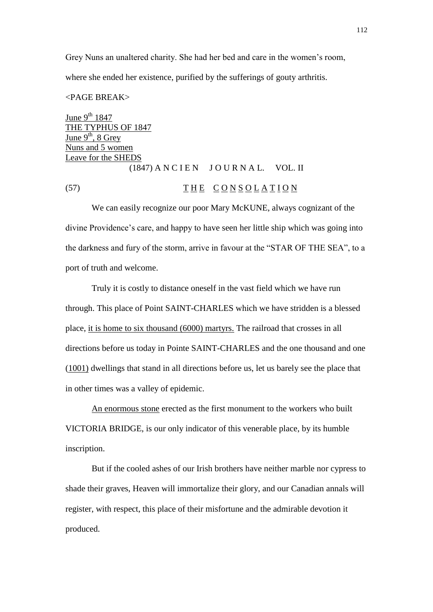Grey Nuns an unaltered charity. She had her bed and care in the women's room, where she ended her existence, purified by the sufferings of gouty arthritis.

## <PAGE BREAK>

June  $9^{th}$  1847 THE TYPHUS OF 1847 June  $9<sup>th</sup>$ , 8 Grey Nuns and 5 women Leave for the SHEDS  $(1847)$  A N C I E N J O U R N A L. VOL. II (57) THE CONSOLATION

We can easily recognize our poor Mary McKUNE, always cognizant of the divine Providence's care, and happy to have seen her little ship which was going into the darkness and fury of the storm, arrive in favour at the "STAR OF THE SEA", to a port of truth and welcome.

Truly it is costly to distance oneself in the vast field which we have run through. This place of Point SAINT-CHARLES which we have stridden is a blessed place, it is home to six thousand (6000) martyrs. The railroad that crosses in all directions before us today in Pointe SAINT-CHARLES and the one thousand and one (1001) dwellings that stand in all directions before us, let us barely see the place that in other times was a valley of epidemic.

An enormous stone erected as the first monument to the workers who built VICTORIA BRIDGE, is our only indicator of this venerable place, by its humble inscription.

But if the cooled ashes of our Irish brothers have neither marble nor cypress to shade their graves, Heaven will immortalize their glory, and our Canadian annals will register, with respect, this place of their misfortune and the admirable devotion it produced.